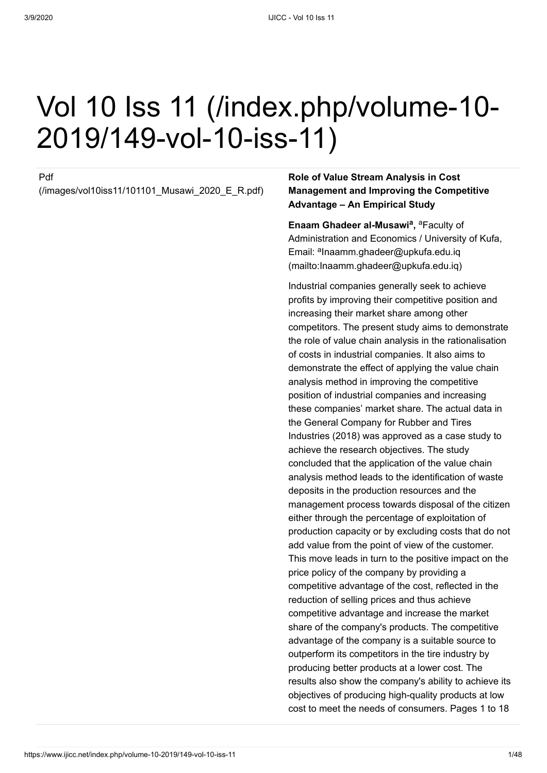# [Vol 10 Iss 11 \(/index.php/volume-10-](https://www.ijicc.net/index.php/volume-10-2019/149-vol-10-iss-11) 2019/149-vol-10-iss-11)

#### Pdf

[\(/images/vol10iss11/101101\\_Musawi\\_2020\\_E\\_R.pdf\)](https://www.ijicc.net/images/vol10iss11/101101_Musawi_2020_E_R.pdf)

#### **Role of Value Stream Analysis in Cost Management and Improving the Competitive Advantage – An Empirical Study**

**Enaam Ghadeer al-Musawi<sup>a</sup>**, <sup>a</sup> Faculty of Administration and Economics / University of Kufa, Email: <sup>a</sup>lnaamm.ghadeer@upkufa.edu.iq (mailto:Inaamm.ghadeer@upkufa.edu.iq)

Industrial companies generally seek to achieve profits by improving their competitive position and increasing their market share among other competitors. The present study aims to demonstrate the role of value chain analysis in the rationalisation of costs in industrial companies. It also aims to demonstrate the effect of applying the value chain analysis method in improving the competitive position of industrial companies and increasing these companies' market share. The actual data in the General Company for Rubber and Tires Industries (2018) was approved as a case study to achieve the research objectives. The study concluded that the application of the value chain analysis method leads to the identification of waste deposits in the production resources and the management process towards disposal of the citizen either through the percentage of exploitation of production capacity or by excluding costs that do not add value from the point of view of the customer. This move leads in turn to the positive impact on the price policy of the company by providing a competitive advantage of the cost, reflected in the reduction of selling prices and thus achieve competitive advantage and increase the market share of the company's products. The competitive advantage of the company is a suitable source to outperform its competitors in the tire industry by producing better products at a lower cost. The results also show the company's ability to achieve its objectives of producing high-quality products at low cost to meet the needs of consumers. Pages 1 to 18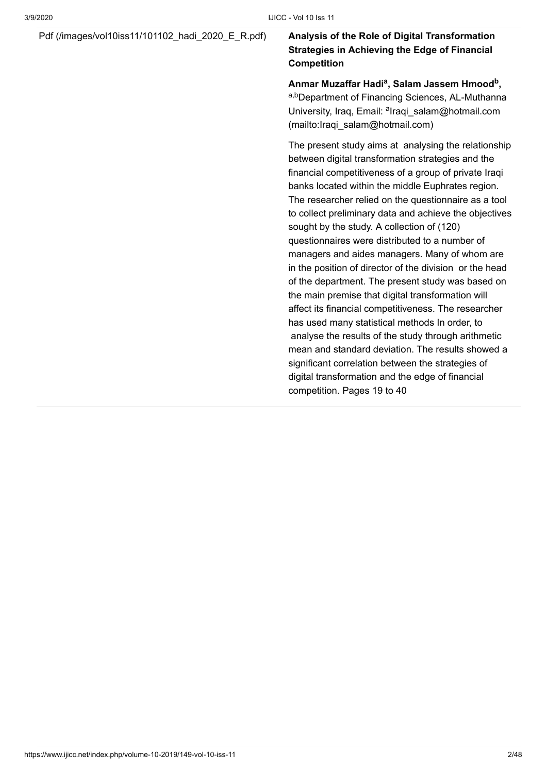#### [Pdf \(/images/vol10iss11/101102\\_hadi\\_2020\\_E\\_R.pdf\)](https://www.ijicc.net/images/vol10iss11/101102_hadi_2020_E_R.pdf) **Analysis of the Role of Digital Transformation**

### **Strategies in Achieving the Edge of Financial Competition**

Anmar Muzaffar Hadi<sup>a</sup>, Salam Jassem Hmood<sup>b</sup>, a,bDepartment of Financing Sciences, AL-Muthanna University, Iraq, Email: <sup>a</sup>lraqi\_salam@hotmail.com (mailto:Iraqi\_salam@hotmail.com)

The present study aims at analysing the relationship between digital transformation strategies and the financial competitiveness of a group of private Iraqi banks located within the middle Euphrates region. The researcher relied on the questionnaire as a tool to collect preliminary data and achieve the objectives sought by the study. A collection of (120) questionnaires were distributed to a number of managers and aides managers. Many of whom are in the position of director of the division or the head of the department. The present study was based on the main premise that digital transformation will affect its financial competitiveness. The researcher has used many statistical methods In order, to analyse the results of the study through arithmetic mean and standard deviation. The results showed a significant correlation between the strategies of digital transformation and the edge of financial competition. Pages 19 to 40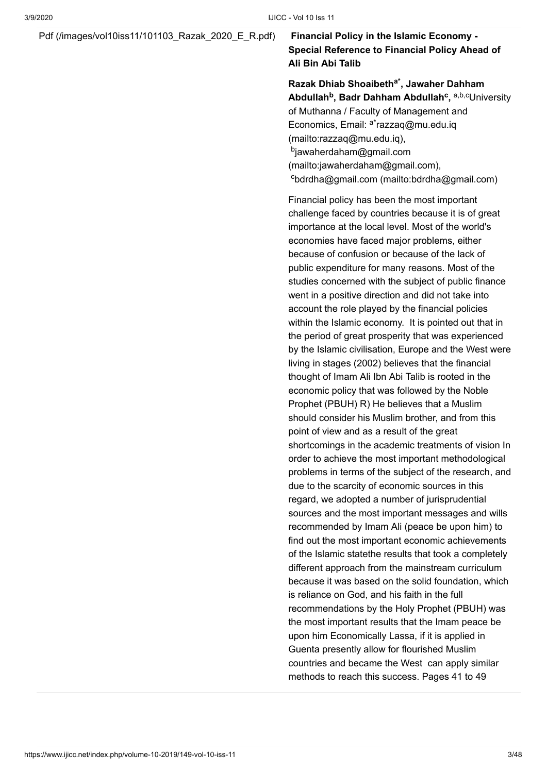#### [Pdf \(/images/vol10iss11/101103\\_Razak\\_2020\\_E\\_R.pdf\)](https://www.ijicc.net/images/vol10iss11/101103_Razak_2020_E_R.pdf) **Financial Policy in the Islamic Economy -**

### **Special Reference to Financial Policy Ahead of Ali Bin Abi Talib**

Razak Dhiab Shoaibeth<sup>a\*</sup>, Jawaher Dahham **Abdullah<sup>b</sup>, Badr Dahham Abdullah<sup>c</sup>, <sup>a,b,c</sup>University** of Muthanna / Faculty of Management and Economics, Email: <sup>a\*</sup>razzaq@mu.edu.iq (mailto:razzaq@mu.edu.iq), <sup>b</sup>jawaherdaham@gmail.com [\(mailto:jawaherdaham@gmail.com\)](mailto:jawaherdaham@gmail.com), c[bdrdha@gmail.com \(mailto:bdrdha@gmail.com\)](mailto:bdrdha@gmail.com)

Financial policy has been the most important challenge faced by countries because it is of great importance at the local level. Most of the world's economies have faced major problems, either because of confusion or because of the lack of public expenditure for many reasons. Most of the studies concerned with the subject of public finance went in a positive direction and did not take into account the role played by the financial policies within the Islamic economy. It is pointed out that in the period of great prosperity that was experienced by the Islamic civilisation, Europe and the West were living in stages (2002) believes that the financial thought of Imam Ali Ibn Abi Talib is rooted in the economic policy that was followed by the Noble Prophet (PBUH) R) He believes that a Muslim should consider his Muslim brother, and from this point of view and as a result of the great shortcomings in the academic treatments of vision In order to achieve the most important methodological problems in terms of the subject of the research, and due to the scarcity of economic sources in this regard, we adopted a number of jurisprudential sources and the most important messages and wills recommended by Imam Ali (peace be upon him) to find out the most important economic achievements of the Islamic statethe results that took a completely different approach from the mainstream curriculum because it was based on the solid foundation, which is reliance on God, and his faith in the full recommendations by the Holy Prophet (PBUH) was the most important results that the Imam peace be upon him Economically Lassa, if it is applied in Guenta presently allow for flourished Muslim countries and became the West can apply similar methods to reach this success. Pages 41 to 49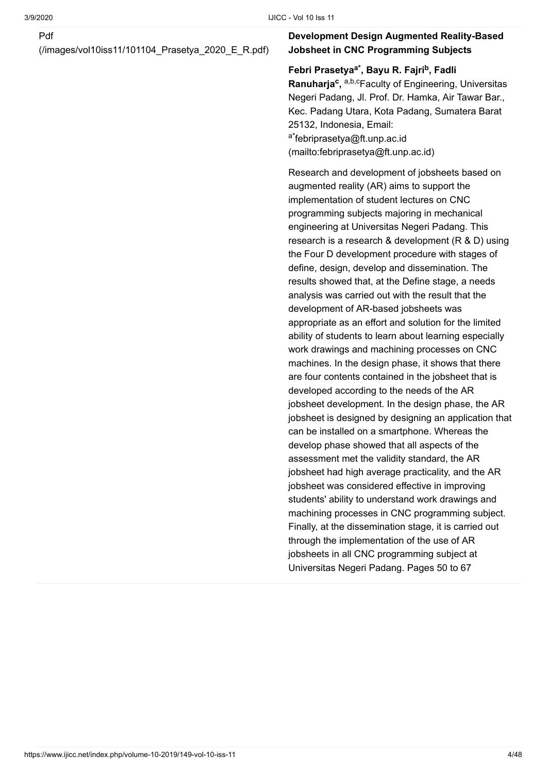[\(/images/vol10iss11/101104\\_Prasetya\\_2020\\_E\\_R.pdf\)](https://www.ijicc.net/images/vol10iss11/101104_Prasetya_2020_E_R.pdf)

#### **Development Design Augmented Reality-Based Jobsheet in CNC Programming Subjects**

#### **Febri Prasetya , Bayu R. Fajri , Fadli a\* b**

Ranuharja<sup>c</sup>, a,b,cFaculty of Engineering, Universitas Negeri Padang, Jl. Prof. Dr. Hamka, Air Tawar Bar., Kec. Padang Utara, Kota Padang, Sumatera Barat 25132, Indonesia, Email: <sup>a\*</sup>febriprasetya@ft.unp.ac.id [\(mailto:febriprasetya@ft.unp.ac.id\)](mailto:febriprasetya@ft.unp.ac.id)

Research and development of jobsheets based on augmented reality (AR) aims to support the implementation of student lectures on CNC programming subjects majoring in mechanical engineering at Universitas Negeri Padang. This research is a research & development (R & D) using the Four D development procedure with stages of define, design, develop and dissemination. The results showed that, at the Define stage, a needs analysis was carried out with the result that the development of AR-based jobsheets was appropriate as an effort and solution for the limited ability of students to learn about learning especially work drawings and machining processes on CNC machines. In the design phase, it shows that there are four contents contained in the jobsheet that is developed according to the needs of the AR jobsheet development. In the design phase, the AR jobsheet is designed by designing an application that can be installed on a smartphone. Whereas the develop phase showed that all aspects of the assessment met the validity standard, the AR jobsheet had high average practicality, and the AR jobsheet was considered effective in improving students' ability to understand work drawings and machining processes in CNC programming subject. Finally, at the dissemination stage, it is carried out through the implementation of the use of AR jobsheets in all CNC programming subject at Universitas Negeri Padang. Pages 50 to 67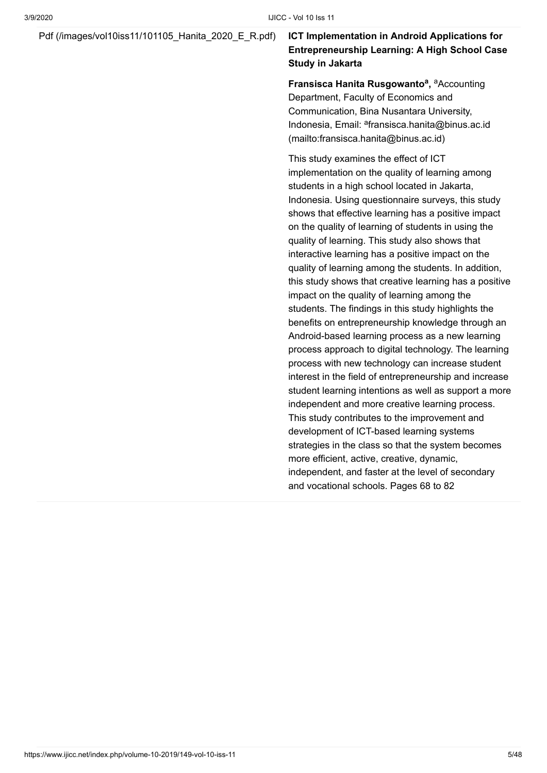#### [Pdf \(/images/vol10iss11/101105\\_Hanita\\_2020\\_E\\_R.pdf\)](https://www.ijicc.net/images/vol10iss11/101105_Hanita_2020_E_R.pdf) **ICT Implementation in Android Applications for**

### **Entrepreneurship Learning: A High School Case Study in Jakarta**

**Fransisca Hanita Rusgowanto<sup>a</sup>, <sup>a</sup>Accounting** Department, Faculty of Economics and Communication, Bina Nusantara University, Indonesia, Email: <sup>a</sup>fransisca.hanita@binus.ac.id (mailto:fransisca.hanita@binus.ac.id)

This study examines the effect of ICT implementation on the quality of learning among students in a high school located in Jakarta, Indonesia. Using questionnaire surveys, this study shows that effective learning has a positive impact on the quality of learning of students in using the quality of learning. This study also shows that interactive learning has a positive impact on the quality of learning among the students. In addition, this study shows that creative learning has a positive impact on the quality of learning among the students. The findings in this study highlights the benefits on entrepreneurship knowledge through an Android-based learning process as a new learning process approach to digital technology. The learning process with new technology can increase student interest in the field of entrepreneurship and increase student learning intentions as well as support a more independent and more creative learning process. This study contributes to the improvement and development of ICT-based learning systems strategies in the class so that the system becomes more efficient, active, creative, dynamic, independent, and faster at the level of secondary and vocational schools. Pages 68 to 82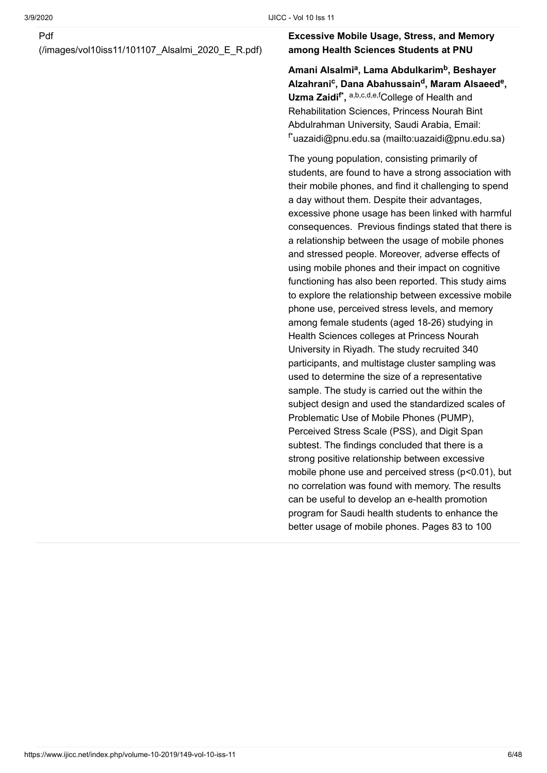[\(/images/vol10iss11/101107\\_Alsalmi\\_2020\\_E\\_R.pdf\)](https://www.ijicc.net/images/vol10iss11/101107_Alsalmi_2020_E_R.pdf)

#### **Excessive Mobile Usage, Stress, and Memory among Health Sciences Students at PNU**

Amani Alsalmi<sup>a</sup>, Lama Abdulkarim<sup>b</sup>, Beshayer  $A$ Izahrani<sup>c</sup>, Dana Abahussain<sup>d</sup>, Maram Alsaeed<sup>e</sup>, **Uzma Zaidi<sup>f\*</sup>,** <sup>a,b,c,d,e,f</sup>College of Health and Rehabilitation Sciences, Princess Nourah Bint Abdulrahman University, Saudi Arabia, Email:  $f^*$ [uazaidi@pnu.edu.sa \(mailto:uazaidi@pnu.edu.sa\)](mailto:uazaidi@pnu.edu.sa)

The young population, consisting primarily of students, are found to have a strong association with their mobile phones, and find it challenging to spend a day without them. Despite their advantages, excessive phone usage has been linked with harmful consequences. Previous findings stated that there is a relationship between the usage of mobile phones and stressed people. Moreover, adverse effects of using mobile phones and their impact on cognitive functioning has also been reported. This study aims to explore the relationship between excessive mobile phone use, perceived stress levels, and memory among female students (aged 18-26) studying in Health Sciences colleges at Princess Nourah University in Riyadh. The study recruited 340 participants, and multistage cluster sampling was used to determine the size of a representative sample. The study is carried out the within the subject design and used the standardized scales of Problematic Use of Mobile Phones (PUMP), Perceived Stress Scale (PSS), and Digit Span subtest. The findings concluded that there is a strong positive relationship between excessive mobile phone use and perceived stress (p<0.01), but no correlation was found with memory. The results can be useful to develop an e-health promotion program for Saudi health students to enhance the better usage of mobile phones. Pages 83 to 100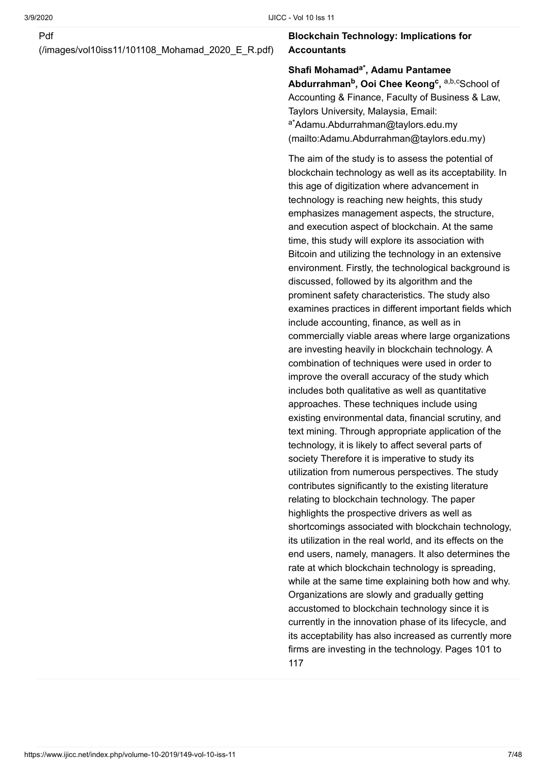[\(/images/vol10iss11/101108\\_Mohamad\\_2020\\_E\\_R.pdf\)](https://www.ijicc.net/images/vol10iss11/101108_Mohamad_2020_E_R.pdf)

#### **Blockchain Technology: Implications for Accountants**

Shafi Mohamad<sup>a\*</sup>, Adamu Pantamee  $\boldsymbol{\mathsf{A}}$ bdurrahman<sup>b</sup>, Ooi Chee Keong<sup>c</sup>, <sup>a,b,c</sup>School of Accounting & Finance, Faculty of Business & Law, Taylors University, Malaysia, Email: <sup>a\*</sup>Adamu.Abdurrahman@taylors.edu.my [\(mailto:Adamu.Abdurrahman@taylors.edu.my\)](mailto:Adamu.Abdurrahman@taylors.edu.my)

The aim of the study is to assess the potential of blockchain technology as well as its acceptability. In this age of digitization where advancement in technology is reaching new heights, this study emphasizes management aspects, the structure, and execution aspect of blockchain. At the same time, this study will explore its association with Bitcoin and utilizing the technology in an extensive environment. Firstly, the technological background is discussed, followed by its algorithm and the prominent safety characteristics. The study also examines practices in different important fields which include accounting, finance, as well as in commercially viable areas where large organizations are investing heavily in blockchain technology. A combination of techniques were used in order to improve the overall accuracy of the study which includes both qualitative as well as quantitative approaches. These techniques include using existing environmental data, financial scrutiny, and text mining. Through appropriate application of the technology, it is likely to affect several parts of society Therefore it is imperative to study its utilization from numerous perspectives. The study contributes significantly to the existing literature relating to blockchain technology. The paper highlights the prospective drivers as well as shortcomings associated with blockchain technology, its utilization in the real world, and its effects on the end users, namely, managers. It also determines the rate at which blockchain technology is spreading, while at the same time explaining both how and why. Organizations are slowly and gradually getting accustomed to blockchain technology since it is currently in the innovation phase of its lifecycle, and its acceptability has also increased as currently more firms are investing in the technology. Pages 101 to 117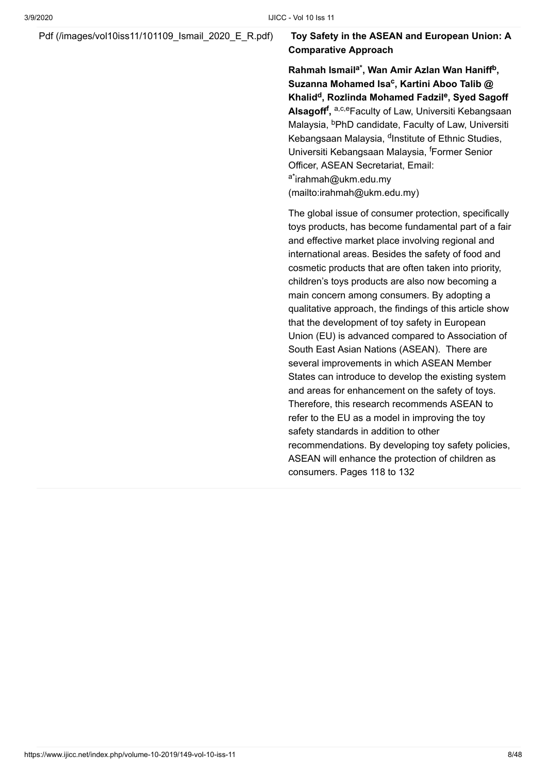#### [Pdf \(/images/vol10iss11/101109\\_Ismail\\_2020\\_E\\_R.pdf\)](https://www.ijicc.net/images/vol10iss11/101109_Ismail_2020_E_R.pdf) **Toy Safety in the ASEAN and European Union: A**

## **Comparative Approach**

**Rahmah Ismail<sup>a\*</sup>, Wan Amir Azlan Wan Haniff<sup>b</sup>, Suzanna Mohamed Isa<sup>c</sup>, Kartini Aboo Talib @** Khalid<sup>d</sup>, Rozlinda Mohamed Fadzil<sup>e</sup>, Syed Sagoff **Alsagoff<sup>f</sup>, <sup>a,c,e</sup>Faculty of Law, Universiti Kebangsaan** Malaysia, <sup>b</sup>PhD candidate, Faculty of Law, Universiti Kebangsaan Malaysia, <sup>d</sup>Institute of Ethnic Studies, Universiti Kebangsaan Malaysia, <sup>f</sup>Former Senior Officer, ASEAN Secretariat, Email: <sup>a\*</sup>irahmah@ukm.edu.my [\(mailto:irahmah@ukm.edu.my\)](mailto:irahmah@ukm.edu.my)

The global issue of consumer protection, specifically toys products, has become fundamental part of a fair and effective market place involving regional and international areas. Besides the safety of food and cosmetic products that are often taken into priority, children's toys products are also now becoming a main concern among consumers. By adopting a qualitative approach, the findings of this article show that the development of toy safety in European Union (EU) is advanced compared to Association of South East Asian Nations (ASEAN). There are several improvements in which ASEAN Member States can introduce to develop the existing system and areas for enhancement on the safety of toys. Therefore, this research recommends ASEAN to refer to the EU as a model in improving the toy safety standards in addition to other recommendations. By developing toy safety policies, ASEAN will enhance the protection of children as consumers. Pages 118 to 132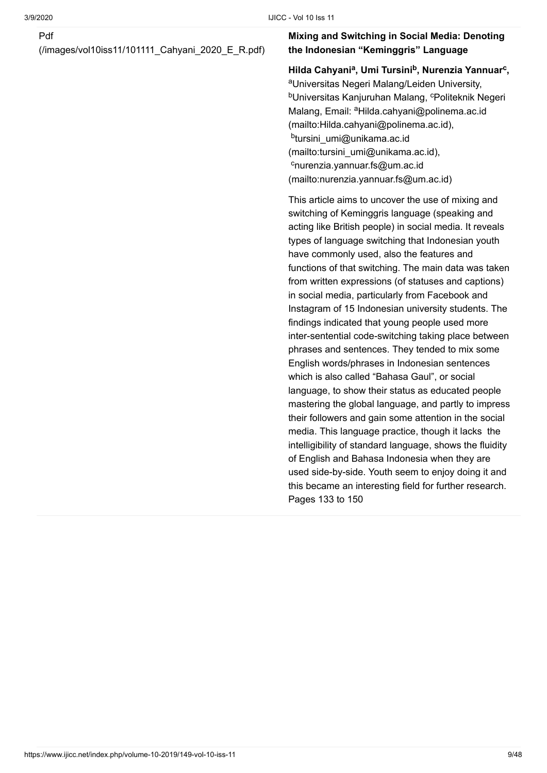[\(/images/vol10iss11/101111\\_Cahyani\\_2020\\_E\\_R.pdf\)](https://www.ijicc.net/images/vol10iss11/101111_Cahyani_2020_E_R.pdf)

#### **Mixing and Switching in Social Media: Denoting the Indonesian "Keminggris" Language**

#### **Hilda Cahyani , Umi Tursini , Nurenzia Yannuar , a b c**

<sup>a</sup>Universitas Negeri Malang/Leiden University, <sup>b</sup>Universitas Kanjuruhan Malang, <sup>c</sup>Politeknik Negeri Malang, Email: <sup>a</sup>Hilda.cahyani@polinema.ac.id (mailto:Hilda.cahyani@polinema.ac.id), <sup>b</sup>tursini\_umi@unikama.ac.id [\(mailto:tursini\\_umi@unikama.ac.id\)](mailto:tursini_umi@unikama.ac.id), <sup>c</sup>nurenzia.yannuar.fs@um.ac.id [\(mailto:nurenzia.yannuar.fs@um.ac.id\)](mailto:nurenzia.yannuar.fs@um.ac.id)

This article aims to uncover the use of mixing and switching of Keminggris language (speaking and acting like British people) in social media. It reveals types of language switching that Indonesian youth have commonly used, also the features and functions of that switching. The main data was taken from written expressions (of statuses and captions) in social media, particularly from Facebook and Instagram of 15 Indonesian university students. The findings indicated that young people used more inter-sentential code-switching taking place between phrases and sentences. They tended to mix some English words/phrases in Indonesian sentences which is also called "Bahasa Gaul", or social language, to show their status as educated people mastering the global language, and partly to impress their followers and gain some attention in the social media. This language practice, though it lacks the intelligibility of standard language, shows the fluidity of English and Bahasa Indonesia when they are used side-by-side. Youth seem to enjoy doing it and this became an interesting field for further research. Pages 133 to 150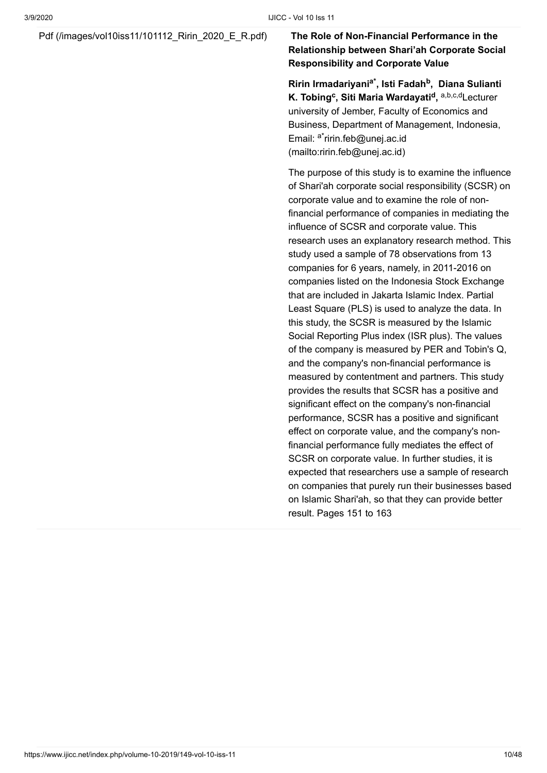#### [Pdf \(/images/vol10iss11/101112\\_Ririn\\_2020\\_E\\_R.pdf\)](https://www.ijicc.net/images/vol10iss11/101112_Ririn_2020_E_R.pdf) **The Role of Non-Financial Performance in the**

### **Relationship between Shari'ah Corporate Social Responsibility and Corporate Value**

**Ririn Irmadariyani , Isti Fadah , Diana Sulianti a\* b K. Tobing<sup>c</sup>, Siti Maria Wardayati<sup>d</sup>, a,b,c,dLecturer** university of Jember, Faculty of Economics and Business, Department of Management, Indonesia, Email: <sup>a\*</sup>ririn.feb@unej.ac.id (mailto:ririn.feb@unej.ac.id)

The purpose of this study is to examine the influence of Shari'ah corporate social responsibility (SCSR) on corporate value and to examine the role of nonfinancial performance of companies in mediating the influence of SCSR and corporate value. This research uses an explanatory research method. This study used a sample of 78 observations from 13 companies for 6 years, namely, in 2011-2016 on companies listed on the Indonesia Stock Exchange that are included in Jakarta Islamic Index. Partial Least Square (PLS) is used to analyze the data. In this study, the SCSR is measured by the Islamic Social Reporting Plus index (ISR plus). The values of the company is measured by PER and Tobin's Q, and the company's non-financial performance is measured by contentment and partners. This study provides the results that SCSR has a positive and significant effect on the company's non-financial performance, SCSR has a positive and significant effect on corporate value, and the company's nonfinancial performance fully mediates the effect of SCSR on corporate value. In further studies, it is expected that researchers use a sample of research on companies that purely run their businesses based on Islamic Shari'ah, so that they can provide better result. Pages 151 to 163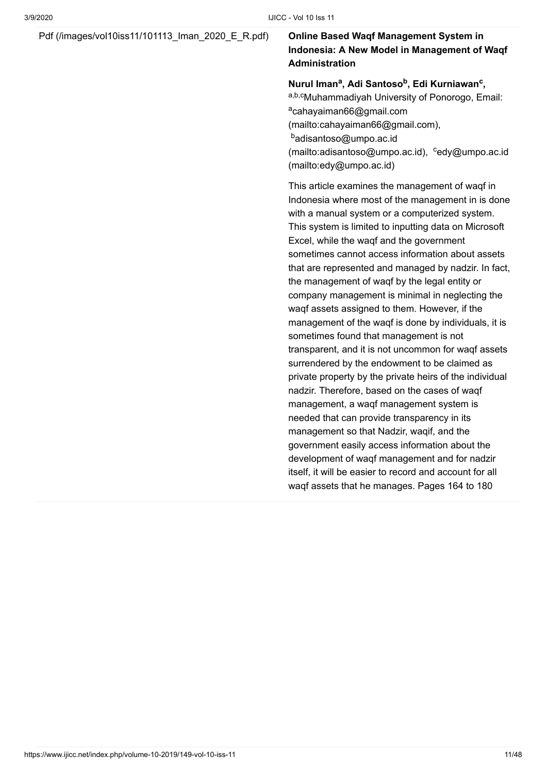#### [Pdf \(/images/vol10iss11/101113\\_Iman\\_2020\\_E\\_R.pdf\)](https://www.ijicc.net/images/vol10iss11/101113_Iman_2020_E_R.pdf) **Online Based Waqf Management System in**

### **Indonesia: A New Model in Management of Waqf Administration**

#### **Nurul Iman<sup>a</sup>, Adi Santoso<sup>b</sup>, Edi Kurniawan<sup>c</sup>,**

a,b,cMuhammadiyah University of Ponorogo, Email: <sup>a</sup>cahayaiman66@gmail.com [\(mailto:cahayaiman66@gmail.com\),](mailto:cahayaiman66@gmail.com) <sup>b</sup>adisantoso@umpo.ac.id [\(mailto:adisantoso@umpo.ac.id](mailto:adisantoso@umpo.ac.id)), cedy@umpo.ac.id (mailto:edy@umpo.ac.id)

This article examines the management of waqf in Indonesia where most of the management in is done with a manual system or a computerized system. This system is limited to inputting data on Microsoft Excel, while the waqf and the government sometimes cannot access information about assets that are represented and managed by nadzir. In fact, the management of waqf by the legal entity or company management is minimal in neglecting the waqf assets assigned to them. However, if the management of the waqf is done by individuals, it is sometimes found that management is not transparent, and it is not uncommon for waqf assets surrendered by the endowment to be claimed as private property by the private heirs of the individual nadzir. Therefore, based on the cases of waqf management, a waqf management system is needed that can provide transparency in its management so that Nadzir, waqif, and the government easily access information about the development of waqf management and for nadzir itself, it will be easier to record and account for all waqf assets that he manages. Pages 164 to 180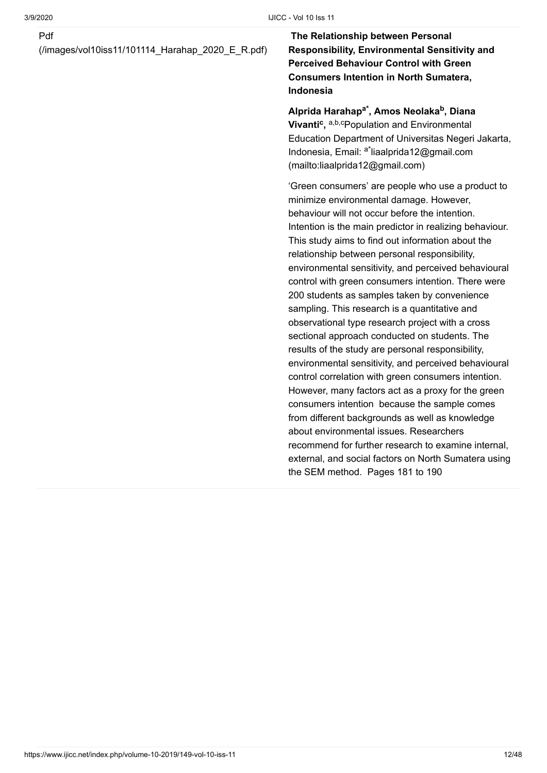[\(/images/vol10iss11/101114\\_Harahap\\_2020\\_E\\_R.pdf\)](https://www.ijicc.net/images/vol10iss11/101114_Harahap_2020_E_R.pdf)

**The Relationship between Personal Responsibility, Environmental Sensitivity and Perceived Behaviour Control with Green Consumers Intention in North Sumatera, Indonesia**

Alprida Harahap<sup>a\*</sup>, Amos Neolaka<sup>b</sup>, Diana **Vivanti<sup>c</sup>, a,b,cPopulation and Environmental** Education Department of Universitas Negeri Jakarta, Indonesia, Email: <sup>a\*</sup>liaalprida12@gmail.com (mailto:liaalprida12@gmail.com)

'Green consumers' are people who use a product to minimize environmental damage. However, behaviour will not occur before the intention. Intention is the main predictor in realizing behaviour. This study aims to find out information about the relationship between personal responsibility, environmental sensitivity, and perceived behavioural control with green consumers intention. There were 200 students as samples taken by convenience sampling. This research is a quantitative and observational type research project with a cross sectional approach conducted on students. The results of the study are personal responsibility, environmental sensitivity, and perceived behavioural control correlation with green consumers intention. However, many factors act as a proxy for the green consumers intention because the sample comes from different backgrounds as well as knowledge about environmental issues. Researchers recommend for further research to examine internal, external, and social factors on North Sumatera using the SEM method. Pages 181 to 190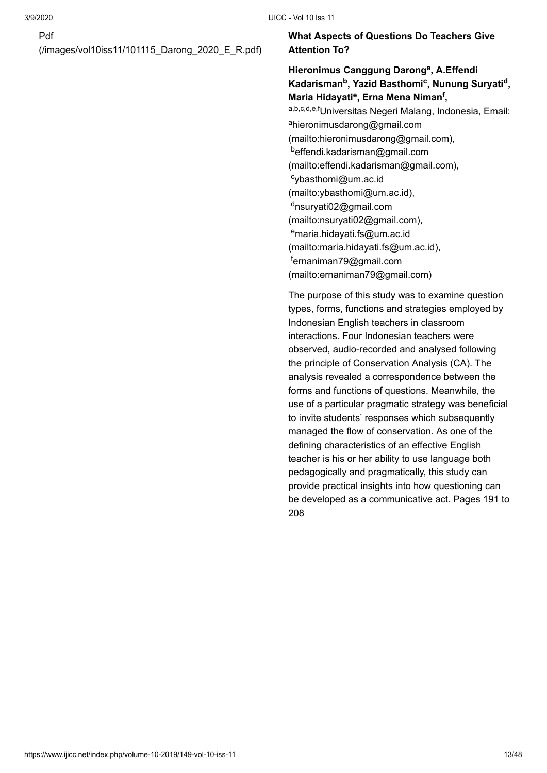[\(/images/vol10iss11/101115\\_Darong\\_2020\\_E\\_R.pdf\)](https://www.ijicc.net/images/vol10iss11/101115_Darong_2020_E_R.pdf)

#### **What Aspects of Questions Do Teachers Give Attention To?**

### Hieronimus Canggung Darong<sup>a</sup>, A.Effendi **Kadarisman<sup>b</sup>, Yazid Basthomi<sup>c</sup>, Nunung Suryati<sup>d</sup>, Maria Hidayati<sup>e</sup>, Erna Mena Niman<sup>f</sup>,** <sup>a,b,c,d,e,f</sup>Universitas Negeri Malang, Indonesia, Email: <sup>a</sup>hieronimusdarong@gmail.com [\(mailto:hieronimusdarong@gmail.com\),](mailto:hieronimusdarong@gmail.com) <sup>b</sup>effendi.kadarisman@gmail.com [\(mailto:effendi.kadarisman@gmail.com\),](mailto:effendi.kadarisman@gmail.com) cybasthomi@um.ac.id [\(mailto:ybasthomi@um.ac.id\)](mailto:ybasthomi@um.ac.id), <sup>d</sup>nsuryati02@gmail.com [\(mailto:nsuryati02@gmail.com\)](mailto:nsuryati02@gmail.com), <sup>e</sup>maria.hidayati.fs@um.ac.id [\(mailto:maria.hidayati.fs@um.ac.id\),](mailto:maria.hidayati.fs@um.ac.id) <sup>f</sup>ernaniman79@gmail.com [\(mailto:ernaniman79@gmail.com\)](mailto:ernaniman79@gmail.com)

The purpose of this study was to examine question types, forms, functions and strategies employed by Indonesian English teachers in classroom interactions. Four Indonesian teachers were observed, audio-recorded and analysed following the principle of Conservation Analysis (CA). The analysis revealed a correspondence between the forms and functions of questions. Meanwhile, the use of a particular pragmatic strategy was beneficial to invite students' responses which subsequently managed the flow of conservation. As one of the defining characteristics of an effective English teacher is his or her ability to use language both pedagogically and pragmatically, this study can provide practical insights into how questioning can be developed as a communicative act. Pages 191 to 208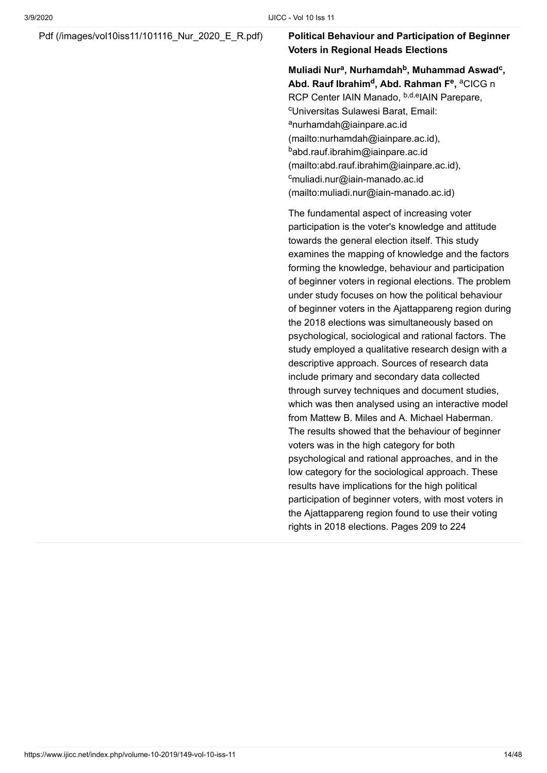#### [Pdf \(/images/vol10iss11/101116\\_Nur\\_2020\\_E\\_R.pdf\)](https://www.ijicc.net/images/vol10iss11/101116_Nur_2020_E_R.pdf) **Political Behaviour and Participation of Beginner Voters in Regional Heads Elections**

**Muliadi Nur , Nurhamdah , Muhammad Aswad , a b c Abd. Rauf Ibrahim<sup>d</sup>, Abd. Rahman F<sup>e</sup>, <sup>a</sup>CICG n** RCP Center IAIN Manado, <sup>b,d,e</sup>IAIN Parepare, <sup>c</sup>Universitas Sulawesi Barat, Email: <sup>a</sup>nurhamdah@iainpare.ac.id [\(mailto:nurhamdah@iainpare.ac.id\)](mailto:nurhamdah@iainpare.ac.id), <sup>b</sup>abd.rauf.ibrahim@iainpare.ac.id [\(mailto:abd.rauf.ibrahim@iainpare.ac.id\),](mailto:abd.rauf.ibrahim@iainpare.ac.id) <sup>c</sup>muliadi.nur@iain-manado.ac.id [\(mailto:muliadi.nur@iain-manado.ac.id\)](mailto:muliadi.nur@iain-manado.ac.id)

The fundamental aspect of increasing voter participation is the voter's knowledge and attitude towards the general election itself. This study examines the mapping of knowledge and the factors forming the knowledge, behaviour and participation of beginner voters in regional elections. The problem under study focuses on how the political behaviour of beginner voters in the Ajattappareng region during the 2018 elections was simultaneously based on psychological, sociological and rational factors. The study employed a qualitative research design with a descriptive approach. Sources of research data include primary and secondary data collected through survey techniques and document studies, which was then analysed using an interactive model from Mattew B. Miles and A. Michael Haberman. The results showed that the behaviour of beginner voters was in the high category for both psychological and rational approaches, and in the low category for the sociological approach. These results have implications for the high political participation of beginner voters, with most voters in the Ajattappareng region found to use their voting rights in 2018 elections. Pages 209 to 224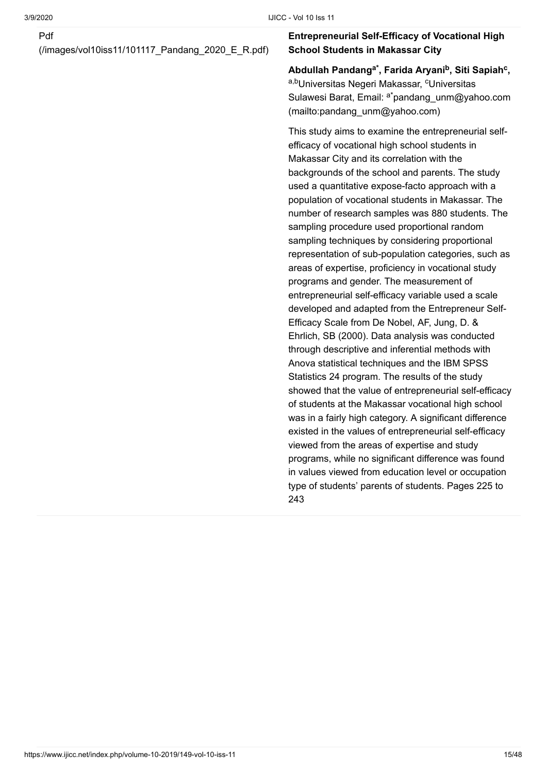[\(/images/vol10iss11/101117\\_Pandang\\_2020\\_E\\_R.pdf\)](https://www.ijicc.net/images/vol10iss11/101117_Pandang_2020_E_R.pdf)

#### **Entrepreneurial Self-Efficacy of Vocational High School Students in Makassar City**

**Abdullah Pandang , Farida Aryani , Siti Sapiah , a\* b c** <sup>a,b</sup>Universitas Negeri Makassar, <sup>c</sup>Universitas Sulawesi Barat, Email: <sup>a\*</sup>pandang\_unm@yahoo.com (mailto:pandang\_unm@yahoo.com)

This study aims to examine the entrepreneurial selfefficacy of vocational high school students in Makassar City and its correlation with the backgrounds of the school and parents. The study used a quantitative expose-facto approach with a population of vocational students in Makassar. The number of research samples was 880 students. The sampling procedure used proportional random sampling techniques by considering proportional representation of sub-population categories, such as areas of expertise, proficiency in vocational study programs and gender. The measurement of entrepreneurial self-efficacy variable used a scale developed and adapted from the Entrepreneur Self-Efficacy Scale from De Nobel, AF, Jung, D. & Ehrlich, SB (2000). Data analysis was conducted through descriptive and inferential methods with Anova statistical techniques and the IBM SPSS Statistics 24 program. The results of the study showed that the value of entrepreneurial self-efficacy of students at the Makassar vocational high school was in a fairly high category. A significant difference existed in the values of entrepreneurial self-efficacy viewed from the areas of expertise and study programs, while no significant difference was found in values viewed from education level or occupation type of students' parents of students. Pages 225 to 243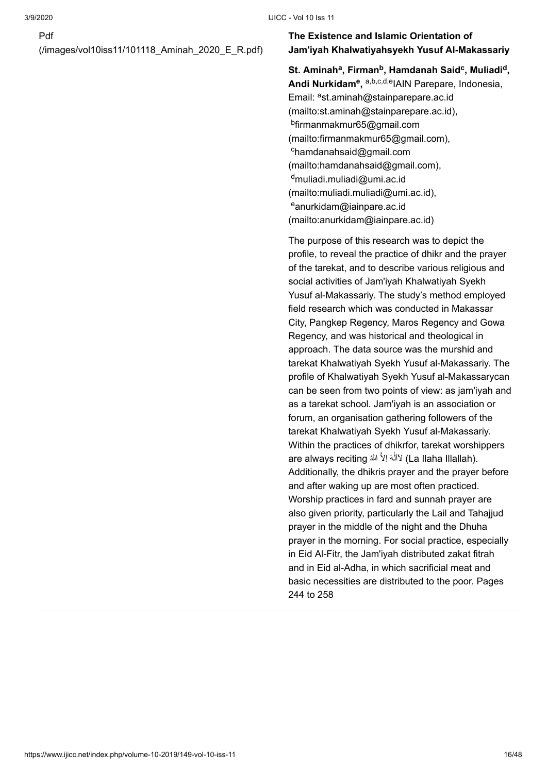[\(/images/vol10iss11/101118\\_Aminah\\_2020\\_E\\_R.pdf\)](https://www.ijicc.net/images/vol10iss11/101118_Aminah_2020_E_R.pdf)

#### **The Existence and Islamic Orientation of Jam'iyah Khalwatiyahsyekh Yusuf Al-Makassariy**

 $\mathsf{St.}\n$  Aminah<sup>a</sup>, Firman<sup>b</sup>, Hamdanah Said<sup>c</sup>, Muliadi<sup>d</sup>, **Andi Nurkidam<sup>e</sup>, a,b,c,d,e|AIN Parepare, Indonesia,** Email: <sup>a</sup>st.aminah@stainparepare.ac.id [\(mailto:st.aminah@stainparepare.ac.id\),](mailto:st.aminah@stainparepare.ac.id) <sup>b</sup>firmanmakmur65@gmail.com [\(mailto:firmanmakmur65@gmail.com\),](mailto:firmanmakmur65@gmail.com) <sup>c</sup>hamdanahsaid@gmail.com [\(mailto:hamdanahsaid@gmail.com\)](mailto:hamdanahsaid@gmail.com), <sup>d</sup>muliadi.muliadi@umi.ac.id [\(mailto:muliadi.muliadi@umi.ac.id\)](mailto:muliadi.muliadi@umi.ac.id), <sup>e</sup>anurkidam@iainpare.ac.id [\(mailto:anurkidam@iainpare.ac.id\)](mailto:anurkidam@iainpare.ac.id)

The purpose of this research was to depict the profile, to reveal the practice of dhikr and the prayer of the tarekat, and to describe various religious and social activities of Jam'iyah Khalwatiyah Syekh Yusuf al-Makassariy. The study's method employed field research which was conducted in Makassar City, Pangkep Regency, Maros Regency and Gowa Regency, and was historical and theological in approach. The data source was the murshid and tarekat Khalwatiyah Syekh Yusuf al-Makassariy. The profile of Khalwatiyah Syekh Yusuf al-Makassarycan can be seen from two points of view: as jam'iyah and as a tarekat school. Jam'iyah is an association or forum, an organisation gathering followers of the tarekat Khalwatiyah Syekh Yusuf al-Makassariy. Within the practices of dhikrfor, tarekat worshippers are always reciting لاَاَلَٰهَ اِلاَّ اش*اڤا* ٰ Additionally, the dhikris prayer and the prayer before and after waking up are most often practiced. Worship practices in fard and sunnah prayer are also given priority, particularly the Lail and Tahajjud prayer in the middle of the night and the Dhuha prayer in the morning. For social practice, especially in Eid Al-Fitr, the Jam'iyah distributed zakat fitrah and in Eid al-Adha, in which sacrificial meat and basic necessities are distributed to the poor. Pages 244 to 258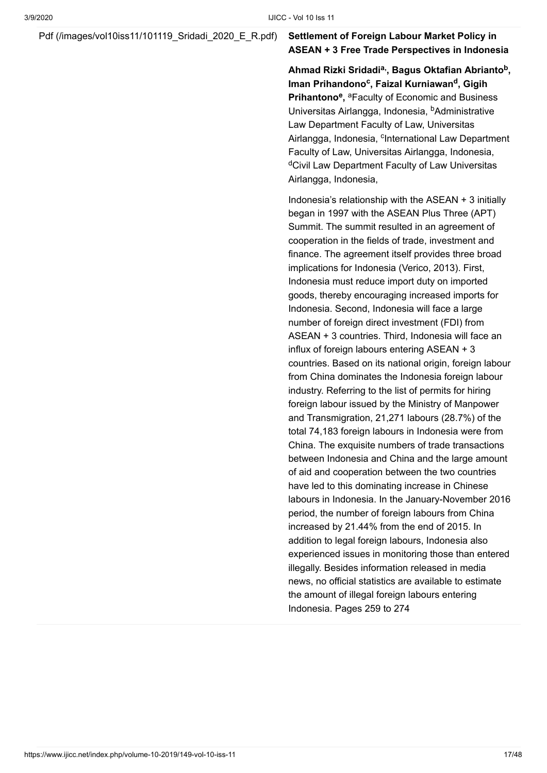[Pdf \(/images/vol10iss11/101119\\_Sridadi\\_2020\\_E\\_R.pdf\)](https://www.ijicc.net/images/vol10iss11/101119_Sridadi_2020_E_R.pdf) **Settlement of Foreign Labour Market Policy in**

### **ASEAN + 3 Free Trade Perspectives in Indonesia**

Ahmad Rizki Sridadi<sup>a,</sup>, Bagus Oktafian Abrianto<sup>b</sup>,  $l$  Iman Prihandono<sup>c</sup>, Faizal Kurniawan<sup>d</sup>, Gigih Prihantono<sup>e</sup>, <sup>a</sup>Faculty of Economic and Business Universitas Airlangga, Indonesia, <sup>b</sup>Administrative Law Department Faculty of Law, Universitas Airlangga, Indonesia, <sup>c</sup>International Law Department Faculty of Law, Universitas Airlangga, Indonesia, <sup>d</sup>Civil Law Department Faculty of Law Universitas Airlangga, Indonesia,

Indonesia's relationship with the ASEAN  $+$  3 initially began in 1997 with the ASEAN Plus Three (APT) Summit. The summit resulted in an agreement of cooperation in the fields of trade, investment and finance. The agreement itself provides three broad implications for Indonesia (Verico, 2013). First, Indonesia must reduce import duty on imported goods, thereby encouraging increased imports for Indonesia. Second, Indonesia will face a large number of foreign direct investment (FDI) from ASEAN + 3 countries. Third, Indonesia will face an influx of foreign labours entering ASEAN + 3 countries. Based on its national origin, foreign labour from China dominates the Indonesia foreign labour industry. Referring to the list of permits for hiring foreign labour issued by the Ministry of Manpower and Transmigration, 21,271 labours (28.7%) of the total 74,183 foreign labours in Indonesia were from China. The exquisite numbers of trade transactions between Indonesia and China and the large amount of aid and cooperation between the two countries have led to this dominating increase in Chinese labours in Indonesia. In the January-November 2016 period, the number of foreign labours from China increased by 21.44% from the end of 2015. In addition to legal foreign labours, Indonesia also experienced issues in monitoring those than entered illegally. Besides information released in media news, no official statistics are available to estimate the amount of illegal foreign labours entering Indonesia. Pages 259 to 274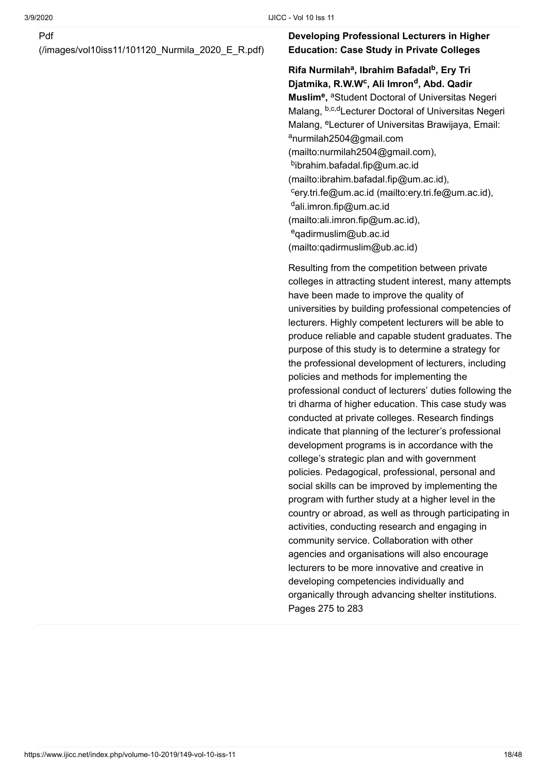[\(/images/vol10iss11/101120\\_Nurmila\\_2020\\_E\\_R.pdf\)](https://www.ijicc.net/images/vol10iss11/101120_Nurmila_2020_E_R.pdf)

#### **Developing Professional Lecturers in Higher Education: Case Study in Private Colleges**

**Rifa Nurmilah<sup>a</sup>, Ibrahim Bafadal<sup>b</sup>, Ery Tri** Djatmika, R.W.W<sup>c</sup>, Ali Imron<sup>d</sup>, Abd. Qadir **Muslim<sup>e</sup>**, aStudent Doctoral of Universitas Negeri Malang, <sup>b,c,d</sup>Lecturer Doctoral of Universitas Negeri Malang, <sup>e</sup>Lecturer of Universitas Brawijaya, Email: <sup>a</sup>nurmilah2504@gmail.com [\(mailto:nurmilah2504@gmail.com\)](mailto:nurmilah2504@gmail.com), <sup>b</sup>ibrahim.bafadal.fip@um.ac.id [\(mailto:ibrahim.bafadal.fip@um.ac.id\)](mailto:ibrahim.bafadal.fip@um.ac.id), <sup>c</sup>[ery.tri.fe@um.ac.id \(mailto:ery.tri.fe@um.ac.id\)](mailto:ery.tri.fe@um.ac.id), <sup>d</sup>ali.imron.fip@um.ac.id [\(mailto:ali.imron.fip@um.ac.id\)](mailto:ali.imron.fip@um.ac.id), <sup>e</sup>qadirmuslim@ub.ac.id [\(mailto:qadirmuslim@ub.ac.id\)](mailto:qadirmuslim@ub.ac.id)

Resulting from the competition between private colleges in attracting student interest, many attempts have been made to improve the quality of universities by building professional competencies of lecturers. Highly competent lecturers will be able to produce reliable and capable student graduates. The purpose of this study is to determine a strategy for the professional development of lecturers, including policies and methods for implementing the professional conduct of lecturers' duties following the tri dharma of higher education. This case study was conducted at private colleges. Research findings indicate that planning of the lecturer's professional development programs is in accordance with the college's strategic plan and with government policies. Pedagogical, professional, personal and social skills can be improved by implementing the program with further study at a higher level in the country or abroad, as well as through participating in activities, conducting research and engaging in community service. Collaboration with other agencies and organisations will also encourage lecturers to be more innovative and creative in developing competencies individually and organically through advancing shelter institutions. Pages 275 to 283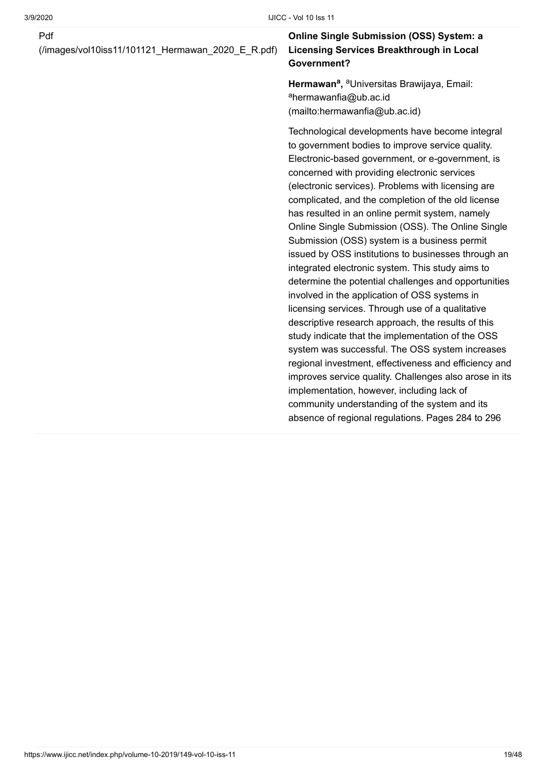[\(/images/vol10iss11/101121\\_Hermawan\\_2020\\_E\\_R.pdf\)](https://www.ijicc.net/images/vol10iss11/101121_Hermawan_2020_E_R.pdf)

#### **Online Single Submission (OSS) System: a Licensing Services Breakthrough in Local Government?**

**Hermawan<sup>a</sup>, <sup>a</sup>Universitas Brawijaya, Email:** <sup>a</sup>hermawanfia@ub.ac.id [\(mailto:hermawanfia@ub.ac.id\)](mailto:hermawanfia@ub.ac.id)

Technological developments have become integral to government bodies to improve service quality. Electronic-based government, or e-government, is concerned with providing electronic services (electronic services). Problems with licensing are complicated, and the completion of the old license has resulted in an online permit system, namely Online Single Submission (OSS). The Online Single Submission (OSS) system is a business permit issued by OSS institutions to businesses through an integrated electronic system. This study aims to determine the potential challenges and opportunities involved in the application of OSS systems in licensing services. Through use of a qualitative descriptive research approach, the results of this study indicate that the implementation of the OSS system was successful. The OSS system increases regional investment, effectiveness and efficiency and improves service quality. Challenges also arose in its implementation, however, including lack of community understanding of the system and its absence of regional regulations. Pages 284 to 296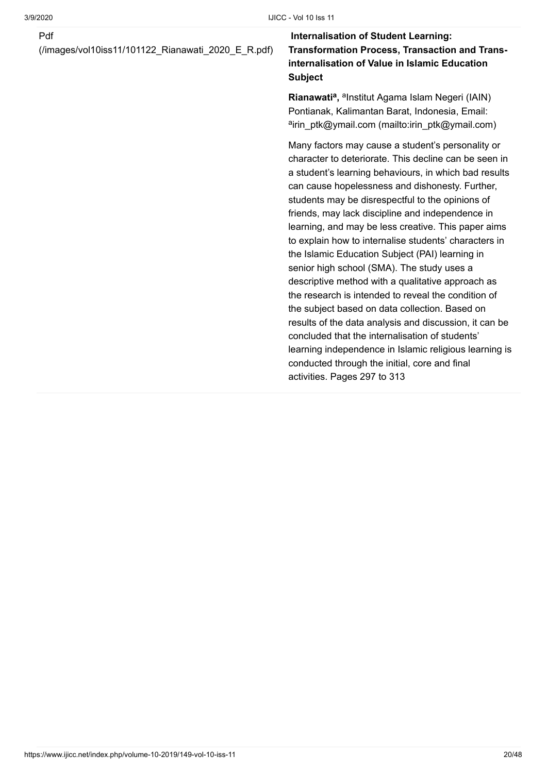[\(/images/vol10iss11/101122\\_Rianawati\\_2020\\_E\\_R.pdf\)](https://www.ijicc.net/images/vol10iss11/101122_Rianawati_2020_E_R.pdf)

#### **Internalisation of Student Learning: Transformation Process, Transaction and Transinternalisation of Value in Islamic Education Subject**

**Rianawati<sup>a</sup>, <sup>a</sup>lnstitut Agama Islam Negeri (IAIN)** Pontianak, Kalimantan Barat, Indonesia, Email: <sup>a</sup>[irin\\_ptk@ymail.com \(mailto:irin\\_ptk@ymail.com\)](mailto:irin_ptk@ymail.com)

Many factors may cause a student's personality or character to deteriorate. This decline can be seen in a student's learning behaviours, in which bad results can cause hopelessness and dishonesty. Further, students may be disrespectful to the opinions of friends, may lack discipline and independence in learning, and may be less creative. This paper aims to explain how to internalise students' characters in the Islamic Education Subject (PAI) learning in senior high school (SMA). The study uses a descriptive method with a qualitative approach as the research is intended to reveal the condition of the subject based on data collection. Based on results of the data analysis and discussion, it can be concluded that the internalisation of students' learning independence in Islamic religious learning is conducted through the initial, core and final activities. Pages 297 to 313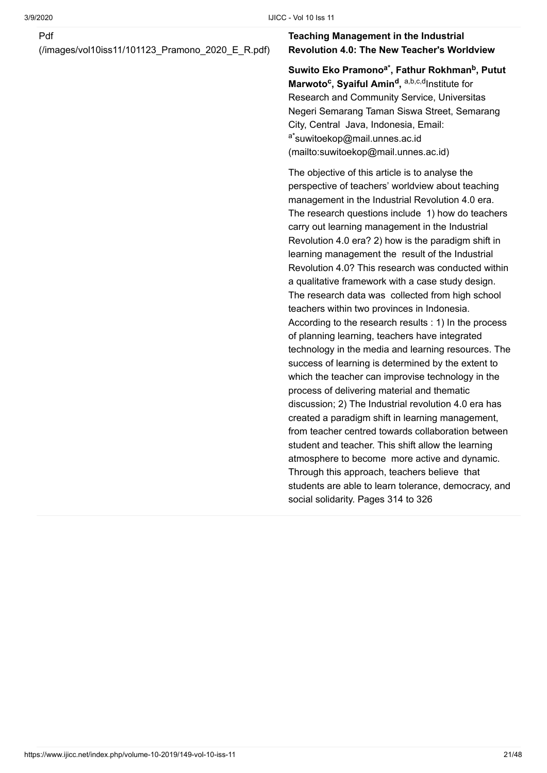[\(/images/vol10iss11/101123\\_Pramono\\_2020\\_E\\_R.pdf\)](https://www.ijicc.net/images/vol10iss11/101123_Pramono_2020_E_R.pdf)

#### **Teaching Management in the Industrial Revolution 4.0: The New Teacher's Worldview**

 $\boldsymbol{\mathsf{S}}$ uwito Eko Pramono<sup>a\*</sup>, Fathur Rokhman<sup>b</sup>, Putut **Marwoto<sup>c</sup>, Syaiful Amin<sup>d</sup>, a,b,c,dlnstitute for** Research and Community Service, Universitas Negeri Semarang Taman Siswa Street, Semarang City, Central Java, Indonesia, Email: <sup>a\*</sup>suwitoekop@mail.unnes.ac.id [\(mailto:suwitoekop@mail.unnes.ac.id\)](mailto:suwitoekop@mail.unnes.ac.id)

The objective of this article is to analyse the perspective of teachers' worldview about teaching management in the Industrial Revolution 4.0 era. The research questions include 1) how do teachers carry out learning management in the Industrial Revolution 4.0 era? 2) how is the paradigm shift in learning management the result of the Industrial Revolution 4.0? This research was conducted within a qualitative framework with a case study design. The research data was collected from high school teachers within two provinces in Indonesia. According to the research results : 1) In the process of planning learning, teachers have integrated technology in the media and learning resources. The success of learning is determined by the extent to which the teacher can improvise technology in the process of delivering material and thematic discussion; 2) The Industrial revolution 4.0 era has created a paradigm shift in learning management, from teacher centred towards collaboration between student and teacher. This shift allow the learning atmosphere to become more active and dynamic. Through this approach, teachers believe that students are able to learn tolerance, democracy, and social solidarity. Pages 314 to 326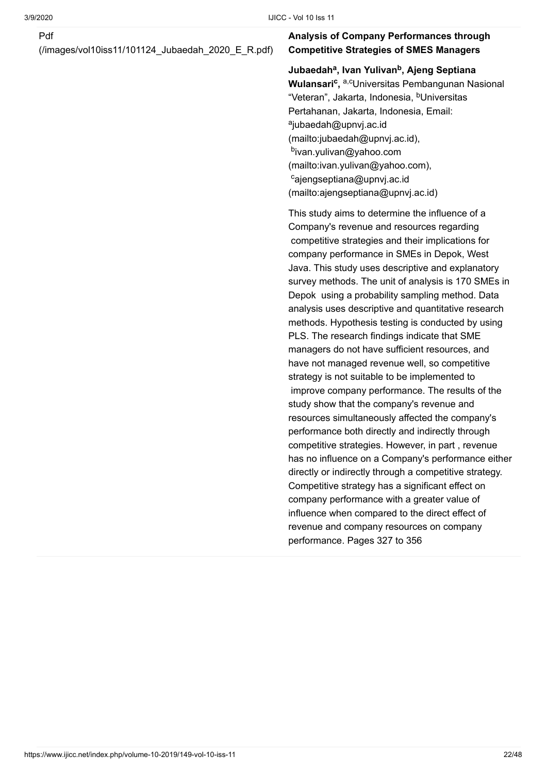[\(/images/vol10iss11/101124\\_Jubaedah\\_2020\\_E\\_R.pdf\)](https://www.ijicc.net/images/vol10iss11/101124_Jubaedah_2020_E_R.pdf)

#### **Analysis of Company Performances through Competitive Strategies of SMES Managers**

Jubaedah<sup>a</sup>, Ivan Yulivan<sup>b</sup>, Ajeng Septiana **Wulansari<sup>c</sup>, <sup>a,c</sup>Universitas Pembangunan Nasional** "Veteran", Jakarta, Indonesia, <sup>b</sup>Universitas Pertahanan, Jakarta, Indonesia, Email: <sup>a</sup>jubaedah@upnvj.ac.id [\(mailto:jubaedah@upnvj.ac.id\)](mailto:jubaedah@upnvj.ac.id), <sup>b</sup>ivan.yulivan@yahoo.com [\(mailto:ivan.yulivan@yahoo.com\)](mailto:ivan.yulivan@yahoo.com), <sup>c</sup>ajengseptiana@upnvj.ac.id [\(mailto:ajengseptiana@upnvj.ac.id\)](mailto:ajengseptiana@upnvj.ac.id)

This study aims to determine the influence of a Company's revenue and resources regarding competitive strategies and their implications for company performance in SMEs in Depok, West Java. This study uses descriptive and explanatory survey methods. The unit of analysis is 170 SMEs in Depok using a probability sampling method. Data analysis uses descriptive and quantitative research methods. Hypothesis testing is conducted by using PLS. The research findings indicate that SME managers do not have sufficient resources, and have not managed revenue well, so competitive strategy is not suitable to be implemented to improve company performance. The results of the study show that the company's revenue and resources simultaneously affected the company's performance both directly and indirectly through competitive strategies. However, in part , revenue has no influence on a Company's performance either directly or indirectly through a competitive strategy. Competitive strategy has a significant effect on company performance with a greater value of influence when compared to the direct effect of revenue and company resources on company performance. Pages 327 to 356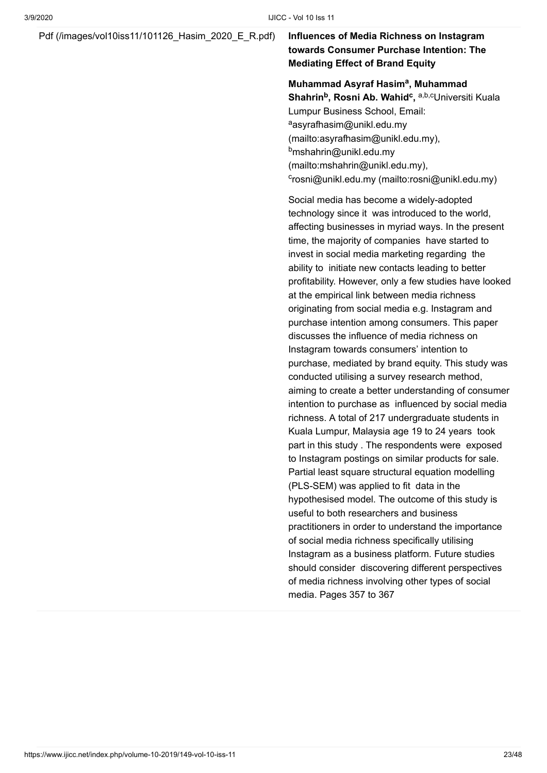#### [Pdf \(/images/vol10iss11/101126\\_Hasim\\_2020\\_E\\_R.pdf\)](https://www.ijicc.net/images/vol10iss11/101126_Hasim_2020_E_R.pdf) **Influences of Media Richness on Instagram**

### **towards Consumer Purchase Intention: The Mediating Effect of Brand Equity**

#### **Muhammad Asyraf Hasim<sup>a</sup>, Muhammad**

**Shahrin<sup>b</sup>, Rosni Ab. Wahid<sup>c</sup>, <sup>a,b,c</sup>Universiti Kuala** Lumpur Business School, Email: <sup>a</sup>asyrafhasim@unikl.edu.my [\(mailto:asyrafhasim@unikl.edu.my\)](mailto:asyrafhasim@unikl.edu.my), <sup>b</sup>mshahrin@unikl.edu.my [\(mailto:mshahrin@unikl.edu.my\)](mailto:mshahrin@unikl.edu.my), c[rosni@unikl.edu.my \(mailto:rosni@unikl.edu.my\)](mailto:rosni@unikl.edu.my)

Social media has become a widely-adopted technology since it was introduced to the world, affecting businesses in myriad ways. In the present time, the majority of companies have started to invest in social media marketing regarding the ability to initiate new contacts leading to better profitability. However, only a few studies have looked at the empirical link between media richness originating from social media e.g. Instagram and purchase intention among consumers. This paper discusses the influence of media richness on Instagram towards consumers' intention to purchase, mediated by brand equity. This study was conducted utilising a survey research method, aiming to create a better understanding of consumer intention to purchase as influenced by social media richness. A total of 217 undergraduate students in Kuala Lumpur, Malaysia age 19 to 24 years took part in this study . The respondents were exposed to Instagram postings on similar products for sale. Partial least square structural equation modelling (PLS-SEM) was applied to fit data in the hypothesised model. The outcome of this study is useful to both researchers and business practitioners in order to understand the importance of social media richness specifically utilising Instagram as a business platform. Future studies should consider discovering different perspectives of media richness involving other types of social media. Pages 357 to 367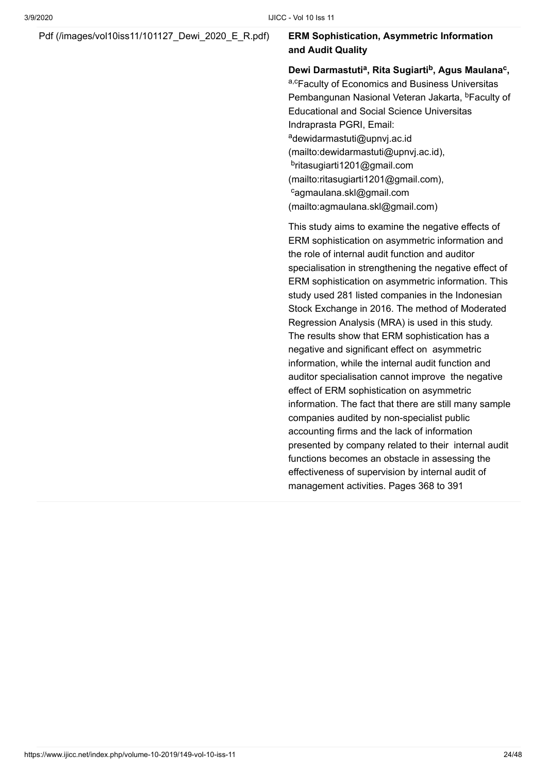#### [Pdf \(/images/vol10iss11/101127\\_Dewi\\_2020\\_E\\_R.pdf\)](https://www.ijicc.net/images/vol10iss11/101127_Dewi_2020_E_R.pdf) **ERM Sophistication, Asymmetric Information**

## **and Audit Quality**

**Dewi Darmastuti , Rita Sugiarti , Agus Maulana , a b c** a,cFaculty of Economics and Business Universitas Pembangunan Nasional Veteran Jakarta, <sup>b</sup>Faculty of Educational and Social Science Universitas Indraprasta PGRI, Email: <sup>a</sup>dewidarmastuti@upnvj.ac.id [\(mailto:dewidarmastuti@upnvj.ac.id\),](mailto:dewidarmastuti@upnvj.ac.id) <sup>b</sup>ritasugiarti1201@gmail.com [\(mailto:ritasugiarti1201@gmail.com\)](mailto:ritasugiarti1201@gmail.com), <sup>c</sup>agmaulana.skl@gmail.com [\(mailto:agmaulana.skl@gmail.com\)](mailto:agmaulana.skl@gmail.com)

This study aims to examine the negative effects of ERM sophistication on asymmetric information and the role of internal audit function and auditor specialisation in strengthening the negative effect of ERM sophistication on asymmetric information. This study used 281 listed companies in the Indonesian Stock Exchange in 2016. The method of Moderated Regression Analysis (MRA) is used in this study. The results show that ERM sophistication has a negative and significant effect on asymmetric information, while the internal audit function and auditor specialisation cannot improve the negative effect of ERM sophistication on asymmetric information. The fact that there are still many sample companies audited by non-specialist public accounting firms and the lack of information presented by company related to their internal audit functions becomes an obstacle in assessing the effectiveness of supervision by internal audit of management activities. Pages 368 to 391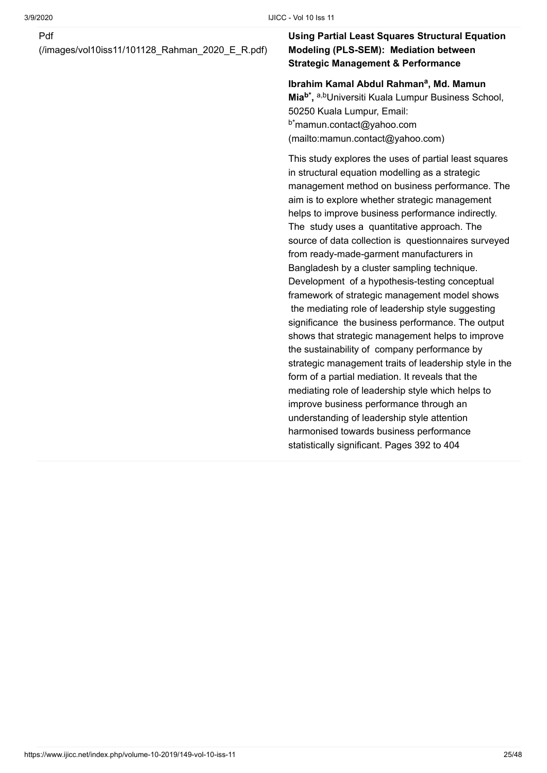[\(/images/vol10iss11/101128\\_Rahman\\_2020\\_E\\_R.pdf\)](https://www.ijicc.net/images/vol10iss11/101128_Rahman_2020_E_R.pdf)

#### **Using Partial Least Squares Structural Equation Modeling (PLS-SEM): Mediation between Strategic Management & Performance**

#### Ibrahim Kamal Abdul Rahman<sup>a</sup>, Md. Mamun **Mia<sup>b\*</sup>,** a,bUniversiti Kuala Lumpur Business School,

50250 Kuala Lumpur, Email: <sup>b\*</sup>mamun.contact@yahoo.com [\(mailto:mamun.contact@yahoo.com\)](mailto:mamun.contact@yahoo.com) 

This study explores the uses of partial least squares in structural equation modelling as a strategic management method on business performance. The aim is to explore whether strategic management helps to improve business performance indirectly. The study uses a quantitative approach. The source of data collection is questionnaires surveyed from ready-made-garment manufacturers in Bangladesh by a cluster sampling technique. Development of a hypothesis-testing conceptual framework of strategic management model shows the mediating role of leadership style suggesting significance the business performance. The output shows that strategic management helps to improve the sustainability of company performance by strategic management traits of leadership style in the form of a partial mediation. It reveals that the mediating role of leadership style which helps to improve business performance through an understanding of leadership style attention harmonised towards business performance statistically significant. Pages 392 to 404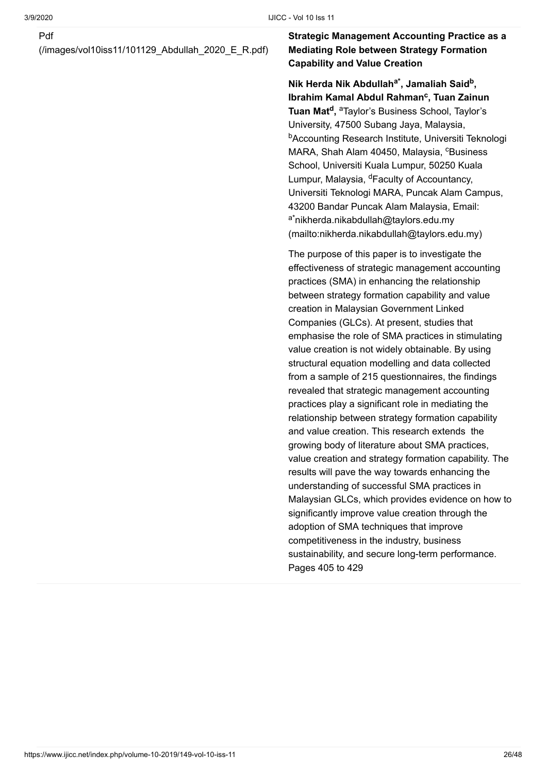[\(/images/vol10iss11/101129\\_Abdullah\\_2020\\_E\\_R.pdf\)](https://www.ijicc.net/images/vol10iss11/101129_Abdullah_2020_E_R.pdf)

#### **Strategic Management Accounting Practice as a Mediating Role between Strategy Formation Capability and Value Creation**

**Nik Herda Nik Abdullah , Jamaliah Said , a\* b** Ibrahim Kamal Abdul Rahman<sup>c</sup>, Tuan Zainun **Tuan Mat<sup>d</sup>, <sup>a</sup>Taylor's Business School, Taylor's** University, 47500 Subang Jaya, Malaysia, <sup>b</sup>Accounting Research Institute, Universiti Teknologi MARA, Shah Alam 40450, Malaysia, <sup>c</sup>Business School, Universiti Kuala Lumpur, 50250 Kuala Lumpur, Malaysia, <sup>d</sup>Faculty of Accountancy, Universiti Teknologi MARA, Puncak Alam Campus, 43200 Bandar Puncak Alam Malaysia, Email: <sup>a\*</sup>nikherda.nikabdullah@taylors.edu.my [\(mailto:nikherda.nikabdullah@taylors.edu.my\)](mailto:nikherda.nikabdullah@taylors.edu.my)

The purpose of this paper is to investigate the effectiveness of strategic management accounting practices (SMA) in enhancing the relationship between strategy formation capability and value creation in Malaysian Government Linked Companies (GLCs). At present, studies that emphasise the role of SMA practices in stimulating value creation is not widely obtainable. By using structural equation modelling and data collected from a sample of 215 questionnaires, the findings revealed that strategic management accounting practices play a significant role in mediating the relationship between strategy formation capability and value creation. This research extends the growing body of literature about SMA practices, value creation and strategy formation capability. The results will pave the way towards enhancing the understanding of successful SMA practices in Malaysian GLCs, which provides evidence on how to significantly improve value creation through the adoption of SMA techniques that improve competitiveness in the industry, business sustainability, and secure long-term performance. Pages 405 to 429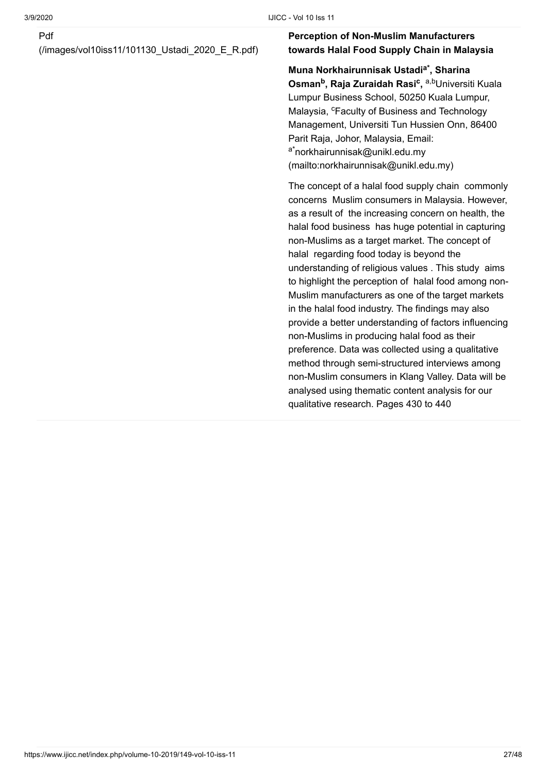[\(/images/vol10iss11/101130\\_Ustadi\\_2020\\_E\\_R.pdf\)](https://www.ijicc.net/images/vol10iss11/101130_Ustadi_2020_E_R.pdf)

#### **Perception of Non-Muslim Manufacturers towards Halal Food Supply Chain in Malaysia**

**Muna Norkhairunnisak Ustadi , Sharina a\* Osman<sup>b</sup>, Raja Zuraidah Rasi<sup>c</sup>, <sup>a,b</sup>Universiti Kuala** Lumpur Business School, 50250 Kuala Lumpur, Malaysia, <sup>c</sup>Faculty of Business and Technology Management, Universiti Tun Hussien Onn, 86400 Parit Raja, Johor, Malaysia, Email: <sup>a\*</sup>norkhairunnisak@unikl.edu.my [\(mailto:norkhairunnisak@unikl.edu.my\)](mailto:norkhairunnisak@unikl.edu.my)

The concept of a halal food supply chain commonly concerns Muslim consumers in Malaysia. However, as a result of the increasing concern on health, the halal food business has huge potential in capturing non-Muslims as a target market. The concept of halal regarding food today is beyond the understanding of religious values . This study aims to highlight the perception of halal food among non-Muslim manufacturers as one of the target markets in the halal food industry. The findings may also provide a better understanding of factors influencing non-Muslims in producing halal food as their preference. Data was collected using a qualitative method through semi-structured interviews among non-Muslim consumers in Klang Valley. Data will be analysed using thematic content analysis for our qualitative research. Pages 430 to 440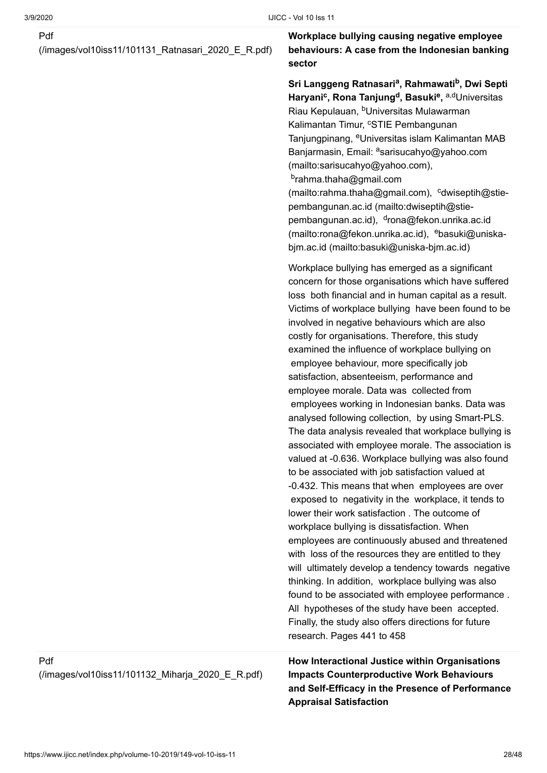[\(/images/vol10iss11/101131\\_Ratnasari\\_2020\\_E\\_R.pdf\)](https://www.ijicc.net/images/vol10iss11/101131_Ratnasari_2020_E_R.pdf)

**Workplace bullying causing negative employee behaviours: A case from the Indonesian banking sector**

Sri Langgeng Ratnasari<sup>a</sup>, Rahmawati<sup>b</sup>, Dwi Septi **Haryani<sup>c</sup>, Rona Tanjung<sup>d</sup>, Basuki<sup>e</sup>, <sup>a,d</sup>Universitas** Riau Kepulauan, <sup>b</sup>Universitas Mulawarman Kalimantan Timur, <sup>c</sup>STIE Pembangunan Tanjungpinang, <sup>e</sup>Universitas islam Kalimantan MAB Banjarmasin, Email: <sup>a</sup>sarisucahyo@yahoo.com (mailto:sarisucahyo@yahoo.com), <sup>b</sup>rahma.thaha@gmail.com [\(mailto:rahma.thaha@gmail.com\)](mailto:rahma.thaha@gmail.com), cdwiseptih@stiepembangunan.ac.id (mailto:dwiseptih@stiepembangunan.ac.id), <sup>d</sup>rona@fekon.unrika.ac.id (mailto:rona@fekon.unrika.ac.id), ebasuki@uniskabjm.ac.id (mailto:basuki@uniska-bjm.ac.id)

Workplace bullying has emerged as a significant concern for those organisations which have suffered loss both financial and in human capital as a result. Victims of workplace bullying have been found to be involved in negative behaviours which are also costly for organisations. Therefore, this study examined the influence of workplace bullying on employee behaviour, more specifically job satisfaction, absenteeism, performance and employee morale. Data was collected from employees working in Indonesian banks. Data was analysed following collection, by using Smart-PLS. The data analysis revealed that workplace bullying is associated with employee morale. The association is valued at -0.636. Workplace bullying was also found to be associated with job satisfaction valued at -0.432. This means that when employees are over exposed to negativity in the workplace, it tends to lower their work satisfaction . The outcome of workplace bullying is dissatisfaction. When employees are continuously abused and threatened with loss of the resources they are entitled to they will ultimately develop a tendency towards negative thinking. In addition, workplace bullying was also found to be associated with employee performance . All hypotheses of the study have been accepted. Finally, the study also offers directions for future research. Pages 441 to 458

**How Interactional Justice within Organisations Impacts Counterproductive Work Behaviours and Self-Efficacy in the Presence of Performance Appraisal Satisfaction**

#### Pdf

[\(/images/vol10iss11/101132\\_Miharja\\_2020\\_E\\_R.pdf\)](https://www.ijicc.net/images/vol10iss11/101132_Miharja_2020_E_R.pdf)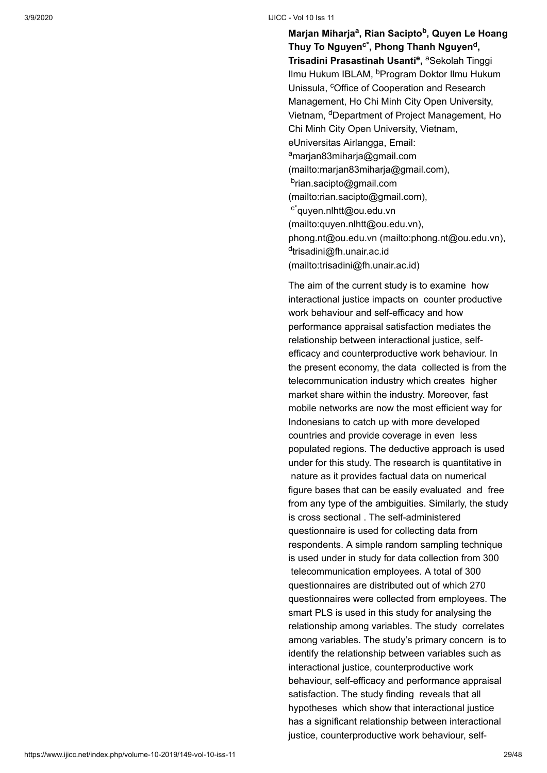**Marjan Miharja<sup>a</sup>, Rian Sacipto<sup>b</sup>, Quyen Le Hoang Thuy To Nguyen , Phong Thanh Nguyen , c\* d Trisadini Prasastinah Usanti<sup>e</sup>, <sup>a</sup>Sekolah Tinggi** Ilmu Hukum IBLAM, <sup>b</sup>Program Doktor Ilmu Hukum Unissula, <sup>c</sup>Office of Cooperation and Research Management, Ho Chi Minh City Open University, Vietnam, <sup>d</sup>Department of Project Management, Ho Chi Minh City Open University, Vietnam, eUniversitas Airlangga, Email: <sup>a</sup>marjan83miharja@gmail.com [\(mailto:marjan83miharja@gmail.com\),](mailto:marjan83miharja@gmail.com) <sup>b</sup>rian.sacipto@gmail.com [\(mailto:rian.sacipto@gmail.com\)](mailto:rian.sacipto@gmail.com), <sup>c\*</sup>quyen.nlhtt@ou.edu.vn [\(mailto:quyen.nlhtt@ou.edu.vn\),](mailto:quyen.nlhtt@ou.edu.vn) [phong.nt@ou.edu.vn \(mailto:phong.nt@ou.edu.vn\),](mailto:phong.nt@ou.edu.vn) <sup>d</sup>trisadini@fh.unair.ac.id [\(mailto:trisadini@fh.unair.ac.id\)](mailto:trisadini@fh.unair.ac.id)

The aim of the current study is to examine how interactional justice impacts on counter productive work behaviour and self-efficacy and how performance appraisal satisfaction mediates the relationship between interactional justice, selfefficacy and counterproductive work behaviour. In the present economy, the data collected is from the telecommunication industry which creates higher market share within the industry. Moreover, fast mobile networks are now the most efficient way for Indonesians to catch up with more developed countries and provide coverage in even less populated regions. The deductive approach is used under for this study. The research is quantitative in nature as it provides factual data on numerical figure bases that can be easily evaluated and free from any type of the ambiguities. Similarly, the study is cross sectional . The self-administered questionnaire is used for collecting data from respondents. A simple random sampling technique is used under in study for data collection from 300 telecommunication employees. A total of 300 questionnaires are distributed out of which 270 questionnaires were collected from employees. The smart PLS is used in this study for analysing the relationship among variables. The study correlates among variables. The study's primary concern is to identify the relationship between variables such as interactional justice, counterproductive work behaviour, self-efficacy and performance appraisal satisfaction. The study finding reveals that all hypotheses which show that interactional justice has a significant relationship between interactional justice, counterproductive work behaviour, self-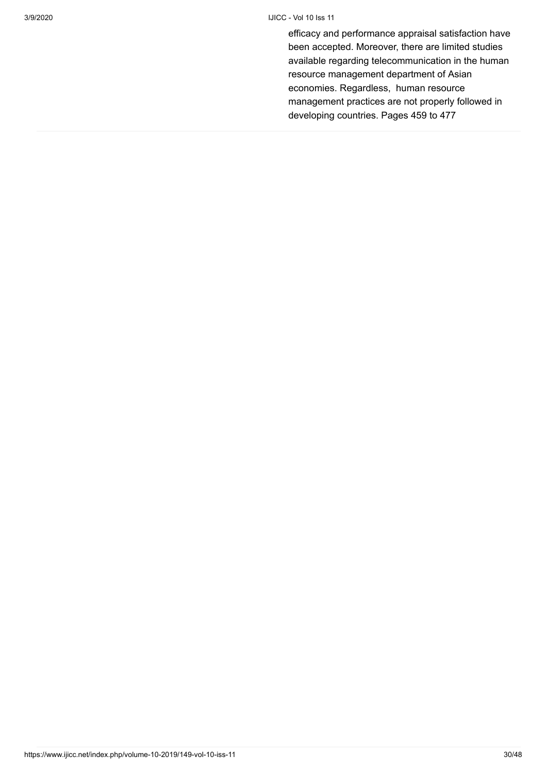efficacy and performance appraisal satisfaction have been accepted. Moreover, there are limited studies available regarding telecommunication in the human resource management department of Asian economies. Regardless, human resource management practices are not properly followed in developing countries. Pages 459 to 477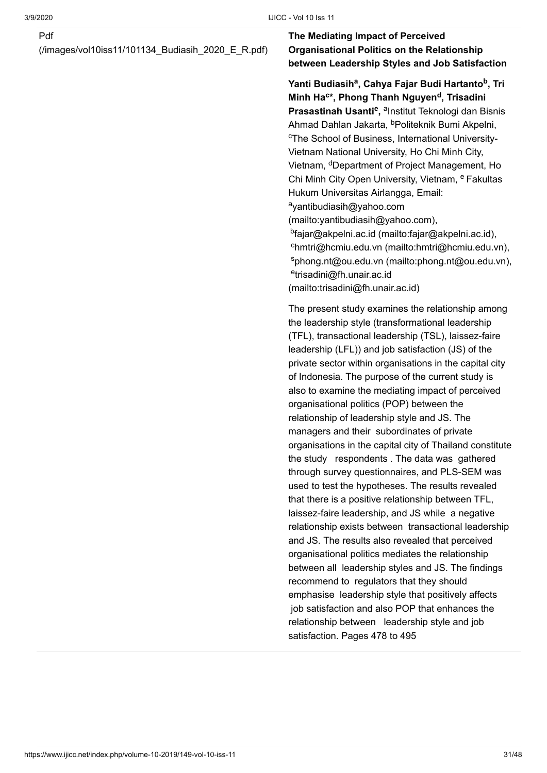[\(/images/vol10iss11/101134\\_Budiasih\\_2020\\_E\\_R.pdf\)](https://www.ijicc.net/images/vol10iss11/101134_Budiasih_2020_E_R.pdf)

#### **The Mediating Impact of Perceived Organisational Politics on the Relationship between Leadership Styles and Job Satisfaction**

Yanti Budiasih<sup>a</sup>, Cahya Fajar Budi Hartanto<sup>b</sup>, Tri **Minh Ha<sup>c</sup>\*, Phong Thanh Nguyen<sup>d</sup>, Trisadini Prasastinah Usanti<sup>e</sup>, <sup>a</sup>lnstitut Teknologi dan Bisnis** Ahmad Dahlan Jakarta, <sup>b</sup>Politeknik Bumi Akpelni, <sup>c</sup>The School of Business, International University-Vietnam National University, Ho Chi Minh City, Vietnam, <sup>d</sup>Department of Project Management, Ho Chi Minh City Open University, Vietnam, <sup>e</sup> Fakultas Hukum Universitas Airlangga, Email: <sup>a</sup>yantibudiasih@yahoo.com [\(mailto:yantibudiasih@yahoo.com\)](mailto:yantibudiasih@yahoo.com), <sup>b</sup>[fajar@akpelni.ac.id \(mailto:fajar@akpelni.ac.id\),](mailto:fajar@akpelni.ac.id) c[hmtri@hcmiu.edu.vn \(mailto:hmtri@hcmiu.edu.vn\),](mailto:hmtri@hcmiu.edu.vn) <sup>s</sup>[phong.nt@ou.edu.vn \(mailto:phong.nt@ou.edu.vn\)](mailto:phong.nt@ou.edu.vn), <sup>e</sup>trisadini@fh.unair.ac.id [\(mailto:trisadini@fh.unair.ac.id\)](mailto:trisadini@fh.unair.ac.id)

The present study examines the relationship among the leadership style (transformational leadership (TFL), transactional leadership (TSL), laissez-faire leadership (LFL)) and job satisfaction (JS) of the private sector within organisations in the capital city of Indonesia. The purpose of the current study is also to examine the mediating impact of perceived organisational politics (POP) between the relationship of leadership style and JS. The managers and their subordinates of private organisations in the capital city of Thailand constitute the study respondents . The data was gathered through survey questionnaires, and PLS-SEM was used to test the hypotheses. The results revealed that there is a positive relationship between TFL, laissez-faire leadership, and JS while a negative relationship exists between transactional leadership and JS. The results also revealed that perceived organisational politics mediates the relationship between all leadership styles and JS. The findings recommend to regulators that they should emphasise leadership style that positively affects job satisfaction and also POP that enhances the relationship between leadership style and job satisfaction. Pages 478 to 495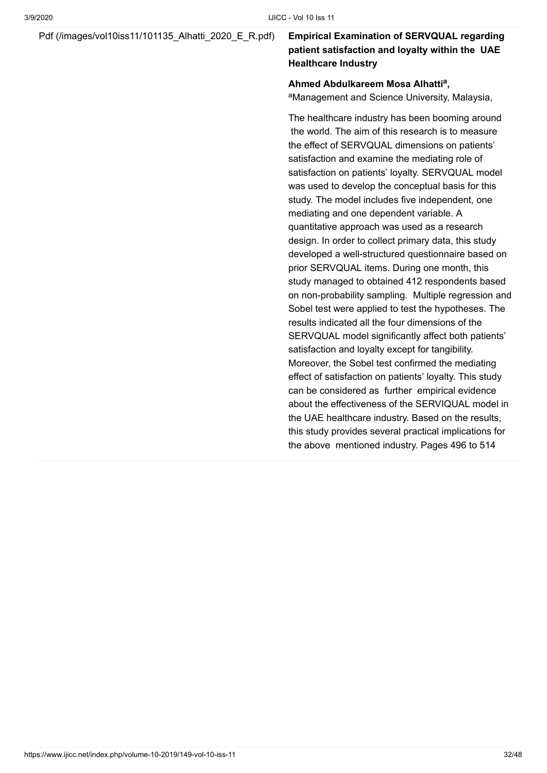#### [Pdf \(/images/vol10iss11/101135\\_Alhatti\\_2020\\_E\\_R.pdf\)](https://www.ijicc.net/images/vol10iss11/101135_Alhatti_2020_E_R.pdf) **Empirical Examination of SERVQUAL regarding**

### **patient satisfaction and loyalty within the UAE Healthcare Industry**

#### Ahmed Abdulkareem Mosa Alhatti<sup>a</sup>,

<sup>a</sup>Management and Science University, Malaysia,

The healthcare industry has been booming around the world. The aim of this research is to measure the effect of SERVQUAL dimensions on patients' satisfaction and examine the mediating role of satisfaction on patients' loyalty. SERVQUAL model was used to develop the conceptual basis for this study. The model includes five independent, one mediating and one dependent variable. A quantitative approach was used as a research design. In order to collect primary data, this study developed a well-structured questionnaire based on prior SERVQUAL items. During one month, this study managed to obtained 412 respondents based on non-probability sampling. Multiple regression and Sobel test were applied to test the hypotheses. The results indicated all the four dimensions of the SERVQUAL model significantly affect both patients' satisfaction and loyalty except for tangibility. Moreover, the Sobel test confirmed the mediating effect of satisfaction on patients' loyalty. This study can be considered as further empirical evidence about the effectiveness of the SERVIQUAL model in the UAE healthcare industry. Based on the results, this study provides several practical implications for the above mentioned industry. Pages 496 to 514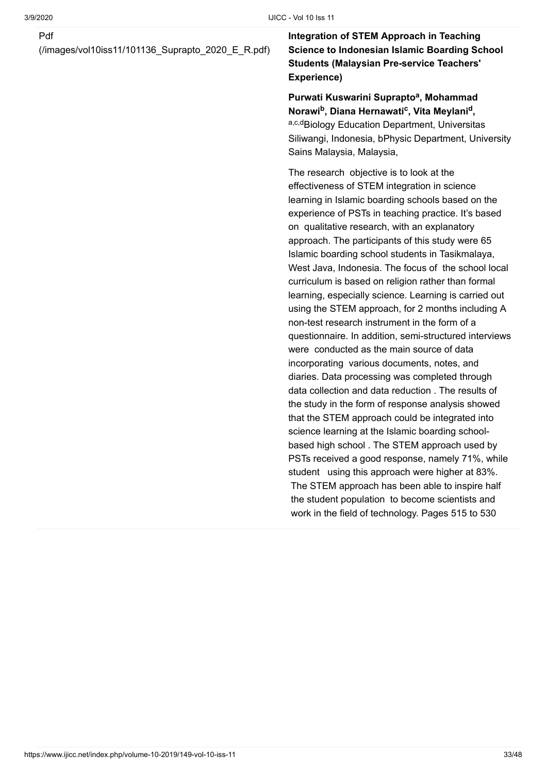[\(/images/vol10iss11/101136\\_Suprapto\\_2020\\_E\\_R.pdf\)](https://www.ijicc.net/images/vol10iss11/101136_Suprapto_2020_E_R.pdf)

**Integration of STEM Approach in Teaching Science to Indonesian Islamic Boarding School Students (Malaysian Pre-service Teachers' Experience)**

Purwati Kuswarini Suprapto<sup>a</sup>, Mohammad **Norawi , Diana Hernawati , Vita Meylani , b c d** a,c,dBiology Education Department, Universitas Siliwangi, Indonesia, bPhysic Department, University Sains Malaysia, Malaysia,

The research objective is to look at the effectiveness of STEM integration in science learning in Islamic boarding schools based on the experience of PSTs in teaching practice. It's based on qualitative research, with an explanatory approach. The participants of this study were 65 Islamic boarding school students in Tasikmalaya, West Java, Indonesia. The focus of the school local curriculum is based on religion rather than formal learning, especially science. Learning is carried out using the STEM approach, for 2 months including A non-test research instrument in the form of a questionnaire. In addition, semi-structured interviews were conducted as the main source of data incorporating various documents, notes, and diaries. Data processing was completed through data collection and data reduction . The results of the study in the form of response analysis showed that the STEM approach could be integrated into science learning at the Islamic boarding schoolbased high school . The STEM approach used by PSTs received a good response, namely 71%, while student using this approach were higher at 83%. The STEM approach has been able to inspire half the student population to become scientists and work in the field of technology. Pages 515 to 530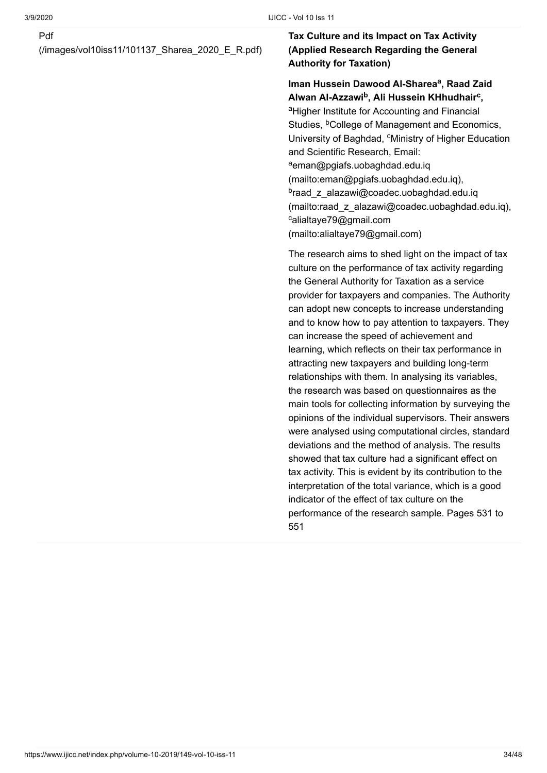[\(/images/vol10iss11/101137\\_Sharea\\_2020\\_E\\_R.pdf\)](https://www.ijicc.net/images/vol10iss11/101137_Sharea_2020_E_R.pdf)

#### **Tax Culture and its Impact on Tax Activity (Applied Research Regarding the General Authority for Taxation)**

#### Iman Hussein Dawood Al-Sharea<sup>a</sup>, Raad Zaid Alwan Al-Azzawi<sup>b</sup>, Ali Hussein KHhudhair<sup>c</sup>,

<sup>a</sup>Higher Institute for Accounting and Financial Studies, <sup>b</sup>College of Management and Economics, University of Baghdad, <sup>c</sup>Ministry of Higher Education and Scientific Research, Email: <sup>a</sup>eman@pgiafs.uobaghdad.edu.iq [\(mailto:eman@pgiafs.uobaghdad.edu.iq\),](mailto:eman@pgiafs.uobaghdad.edu.iq) <sup>b</sup>raad\_z\_alazawi@coadec.uobaghdad.edu.iq [\(mailto:raad\\_z\\_alazawi@coadec.uobaghdad.edu.iq\),](mailto:raad_z_alazawi@coadec.uobaghdad.edu.iq) calialtaye79@gmail.com [\(mailto:alialtaye79@gmail.com\)](mailto:alialtaye79@gmail.com)

The research aims to shed light on the impact of tax culture on the performance of tax activity regarding the General Authority for Taxation as a service provider for taxpayers and companies. The Authority can adopt new concepts to increase understanding and to know how to pay attention to taxpayers. They can increase the speed of achievement and learning, which reflects on their tax performance in attracting new taxpayers and building long-term relationships with them. In analysing its variables, the research was based on questionnaires as the main tools for collecting information by surveying the opinions of the individual supervisors. Their answers were analysed using computational circles, standard deviations and the method of analysis. The results showed that tax culture had a significant effect on tax activity. This is evident by its contribution to the interpretation of the total variance, which is a good indicator of the effect of tax culture on the performance of the research sample. Pages 531 to 551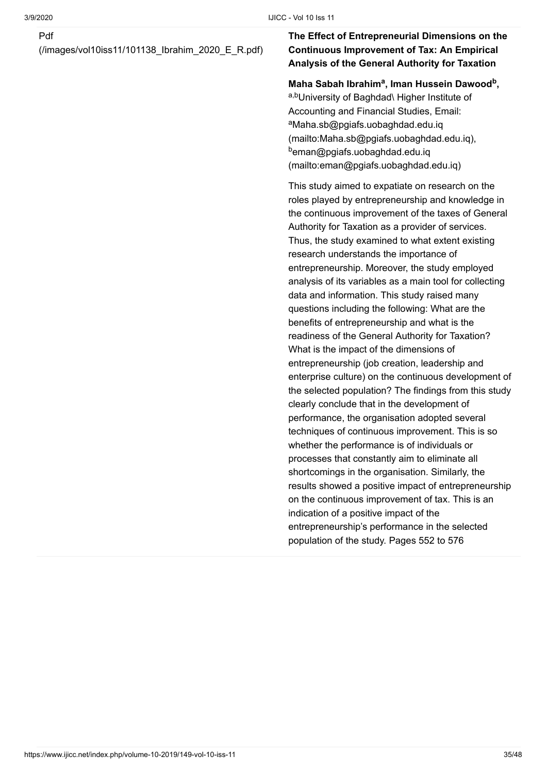[\(/images/vol10iss11/101138\\_Ibrahim\\_2020\\_E\\_R.pdf\)](https://www.ijicc.net/images/vol10iss11/101138_Ibrahim_2020_E_R.pdf)

#### **The Effect of Entrepreneurial Dimensions on the Continuous Improvement of Tax: An Empirical Analysis of the General Authority for Taxation**

#### **Maha Sabah Ibrahim<sup>a</sup>, Iman Hussein Dawood<sup>b</sup>,**

a,bUniversity of Baghdad\ Higher Institute of Accounting and Financial Studies, Email: aMaha.sb@pgiafs.uobaghdad.edu.iq [\(mailto:Maha.sb@pgiafs.uobaghdad.edu.iq\),](mailto:Maha.sb@pgiafs.uobaghdad.edu.iq) <sup>b</sup>eman@pgiafs.uobaghdad.edu.iq [\(mailto:eman@pgiafs.uobaghdad.edu.iq\)](mailto:eman@pgiafs.uobaghdad.edu.iq)

This study aimed to expatiate on research on the roles played by entrepreneurship and knowledge in the continuous improvement of the taxes of General Authority for Taxation as a provider of services. Thus, the study examined to what extent existing research understands the importance of entrepreneurship. Moreover, the study employed analysis of its variables as a main tool for collecting data and information. This study raised many questions including the following: What are the benefits of entrepreneurship and what is the readiness of the General Authority for Taxation? What is the impact of the dimensions of entrepreneurship (job creation, leadership and enterprise culture) on the continuous development of the selected population? The findings from this study clearly conclude that in the development of performance, the organisation adopted several techniques of continuous improvement. This is so whether the performance is of individuals or processes that constantly aim to eliminate all shortcomings in the organisation. Similarly, the results showed a positive impact of entrepreneurship on the continuous improvement of tax. This is an indication of a positive impact of the entrepreneurship's performance in the selected population of the study. Pages 552 to 576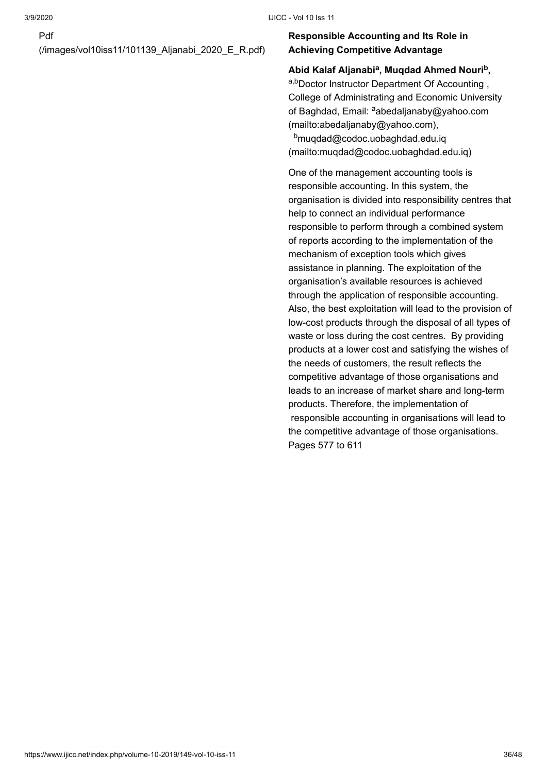[\(/images/vol10iss11/101139\\_Aljanabi\\_2020\\_E\\_R.pdf\)](https://www.ijicc.net/images/vol10iss11/101139_Aljanabi_2020_E_R.pdf)

#### **Responsible Accounting and Its Role in Achieving Competitive Advantage**

#### Abid Kalaf Aljanabi<sup>a</sup>, Muqdad Ahmed Nouri<sup>b</sup>,

a,bDoctor Instructor Department Of Accounting, College of Administrating and Economic University of Baghdad, Email: <sup>a</sup>abedaljanaby@yahoo.com (mailto:abedaljanaby@yahoo.com), b<sub>muqdad@codoc.uobaghdad.edu.iq</sub> [\(mailto:muqdad@codoc.uobaghdad.edu.iq\)](mailto:muqdad@codoc.uobaghdad.edu.iq)

One of the management accounting tools is responsible accounting. In this system, the organisation is divided into responsibility centres that help to connect an individual performance responsible to perform through a combined system of reports according to the implementation of the mechanism of exception tools which gives assistance in planning. The exploitation of the organisation's available resources is achieved through the application of responsible accounting. Also, the best exploitation will lead to the provision of low-cost products through the disposal of all types of waste or loss during the cost centres. By providing products at a lower cost and satisfying the wishes of the needs of customers, the result reflects the competitive advantage of those organisations and leads to an increase of market share and long-term products. Therefore, the implementation of responsible accounting in organisations will lead to the competitive advantage of those organisations. Pages 577 to 611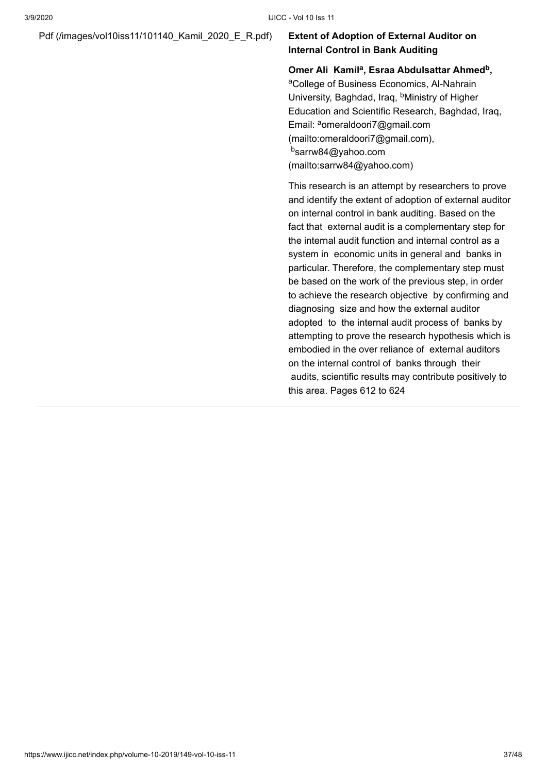#### [Pdf \(/images/vol10iss11/101140\\_Kamil\\_2020\\_E\\_R.pdf\)](https://www.ijicc.net/images/vol10iss11/101140_Kamil_2020_E_R.pdf) **Extent of Adoption of External Auditor on**

### **Internal Control in Bank Auditing**

**Omer Ali Kamil<sup>a</sup>, Esraa Abdulsattar Ahmed<sup>b</sup>,** 

<sup>a</sup>College of Business Economics, Al-Nahrain University, Baghdad, Iraq, <sup>b</sup>Ministry of Higher Education and Scientific Research, Baghdad, Iraq, Email: <sup>a</sup>omeraldoori7@gmail.com [\(mailto:omeraldoori7@gmail.com\),](mailto:omeraldoori7@gmail.com) <sup>b</sup>sarrw84@yahoo.com [\(mailto:sarrw84@yahoo.com\)](mailto:sarrw84@yahoo.com)

This research is an attempt by researchers to prove and identify the extent of adoption of external auditor on internal control in bank auditing. Based on the fact that external audit is a complementary step for the internal audit function and internal control as a system in economic units in general and banks in particular. Therefore, the complementary step must be based on the work of the previous step, in order to achieve the research objective by confirming and diagnosing size and how the external auditor adopted to the internal audit process of banks by attempting to prove the research hypothesis which is embodied in the over reliance of external auditors on the internal control of banks through their audits, scientific results may contribute positively to this area. Pages 612 to 624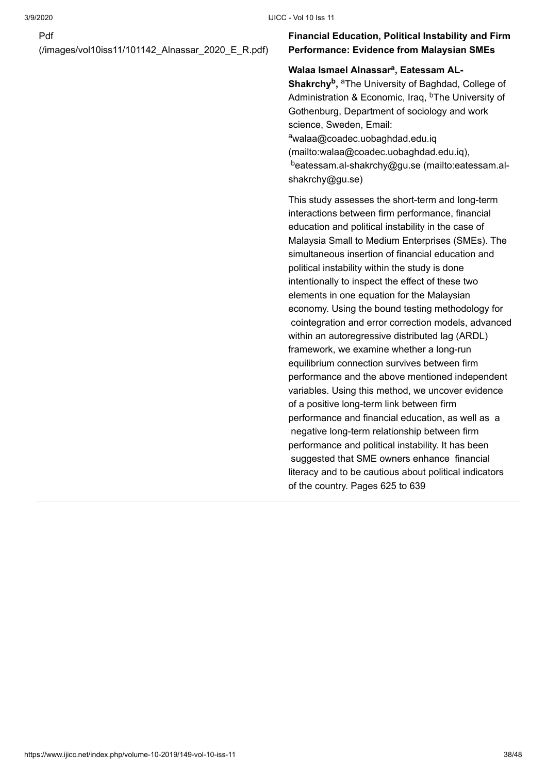#### Pdf

[\(/images/vol10iss11/101142\\_Alnassar\\_2020\\_E\\_R.pdf\)](https://www.ijicc.net/images/vol10iss11/101142_Alnassar_2020_E_R.pdf)

#### **Financial Education, Political Instability and Firm Performance: Evidence from Malaysian SMEs**

#### Walaa Ismael Alnassar<sup>a</sup>, Eatessam AL-

**Shakrchy<sup>b</sup>, <sup>a</sup>The University of Baghdad, College of** Administration & Economic, Iraq, <sup>b</sup>The University of Gothenburg, Department of sociology and work science, Sweden, Email: awalaa@coadec.uobaghdad.edu.iq [\(mailto:walaa@coadec.uobaghdad.edu.iq\)](mailto:walaa@coadec.uobaghdad.edu.iq), <sup>b</sup>[eatessam.al-shakrchy@gu.se \(mailto:eatessam.al](mailto:eatessam.al-shakrchy@gu.se)shakrchy@gu.se)

This study assesses the short-term and long-term interactions between firm performance, financial education and political instability in the case of Malaysia Small to Medium Enterprises (SMEs). The simultaneous insertion of financial education and political instability within the study is done intentionally to inspect the effect of these two elements in one equation for the Malaysian economy. Using the bound testing methodology for cointegration and error correction models, advanced within an autoregressive distributed lag (ARDL) framework, we examine whether a long-run equilibrium connection survives between firm performance and the above mentioned independent variables. Using this method, we uncover evidence of a positive long-term link between firm performance and financial education, as well as a negative long-term relationship between firm performance and political instability. It has been suggested that SME owners enhance financial literacy and to be cautious about political indicators of the country. Pages 625 to 639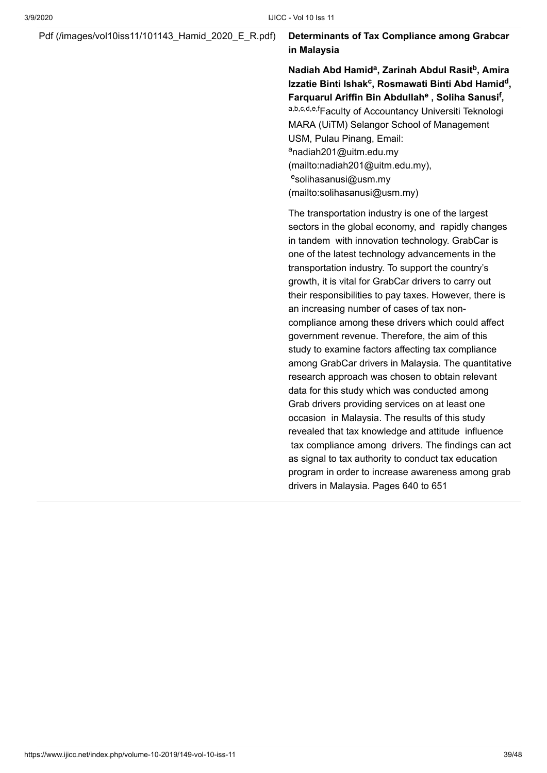[Pdf \(/images/vol10iss11/101143\\_Hamid\\_2020\\_E\\_R.pdf\)](https://www.ijicc.net/images/vol10iss11/101143_Hamid_2020_E_R.pdf) **Determinants of Tax Compliance among Grabcar in Malaysia**

> **Nadiah Abd Hamid<sup>a</sup>, Zarinah Abdul Rasit<sup>b</sup>, Amira** Izzatie Binti Ishak<sup>c</sup>, Rosmawati Binti Abd Hamid<sup>d</sup>, Farquarul Ariffin Bin Abdullah<sup>e</sup> , Soliha Sanusi<sup>f</sup>, a,b,c,d,e,fFaculty of Accountancy Universiti Teknologi MARA (UiTM) Selangor School of Management USM, Pulau Pinang, Email: <sup>a</sup>nadiah201@uitm.edu.my [\(mailto:nadiah201@uitm.edu.my\)](mailto:nadiah201@uitm.edu.my), <sup>e</sup>solihasanusi@usm.my [\(mailto:solihasanusi@usm.my\)](mailto:solihasanusi@usm.my)

> The transportation industry is one of the largest sectors in the global economy, and rapidly changes in tandem with innovation technology. GrabCar is one of the latest technology advancements in the transportation industry. To support the country's growth, it is vital for GrabCar drivers to carry out their responsibilities to pay taxes. However, there is an increasing number of cases of tax noncompliance among these drivers which could affect government revenue. Therefore, the aim of this study to examine factors affecting tax compliance among GrabCar drivers in Malaysia. The quantitative research approach was chosen to obtain relevant data for this study which was conducted among Grab drivers providing services on at least one occasion in Malaysia. The results of this study revealed that tax knowledge and attitude influence tax compliance among drivers. The findings can act as signal to tax authority to conduct tax education program in order to increase awareness among grab drivers in Malaysia. Pages 640 to 651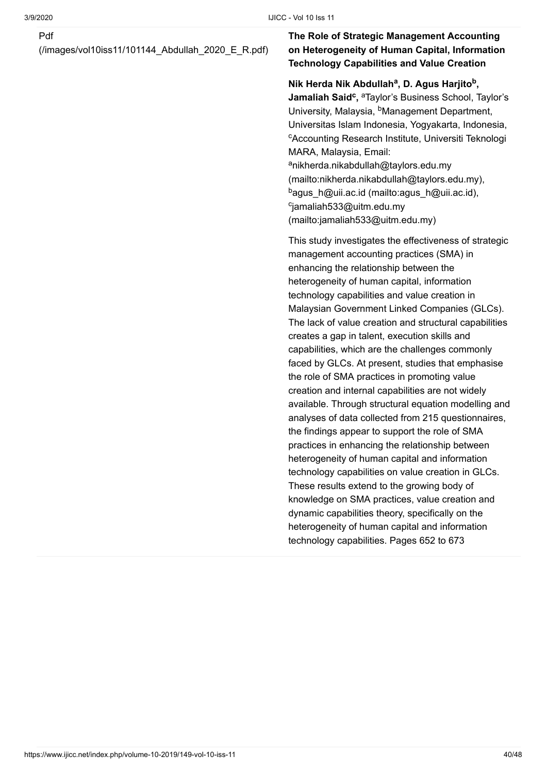#### Pdf

[\(/images/vol10iss11/101144\\_Abdullah\\_2020\\_E\\_R.pdf\)](https://www.ijicc.net/images/vol10iss11/101144_Abdullah_2020_E_R.pdf)

#### **The Role of Strategic Management Accounting on Heterogeneity of Human Capital, Information Technology Capabilities and Value Creation**

#### **Nik Herda Nik Abdullah<sup>a</sup>, D. Agus Harjito<sup>b</sup>,**

**Jamaliah Said<sup>c</sup>, <sup>a</sup>Taylor's Business School, Taylor's** University, Malaysia, <sup>b</sup>Management Department, Universitas Islam Indonesia, Yogyakarta, Indonesia, <sup>c</sup>Accounting Research Institute, Universiti Teknologi MARA, Malaysia, Email: <sup>a</sup>nikherda.nikabdullah@taylors.edu.my [\(mailto:nikherda.nikabdullah@taylors.edu.my\),](mailto:nikherda.nikabdullah@taylors.edu.my) <sup>b</sup>[agus\\_h@uii.ac.id \(mailto:agus\\_h@uii.ac.id\)](mailto:agus_h@uii.ac.id), cjamaliah533@uitm.edu.my [\(mailto:jamaliah533@uitm.edu.my\)](mailto:jamaliah533@uitm.edu.my)

This study investigates the effectiveness of strategic management accounting practices (SMA) in enhancing the relationship between the heterogeneity of human capital, information technology capabilities and value creation in Malaysian Government Linked Companies (GLCs). The lack of value creation and structural capabilities creates a gap in talent, execution skills and capabilities, which are the challenges commonly faced by GLCs. At present, studies that emphasise the role of SMA practices in promoting value creation and internal capabilities are not widely available. Through structural equation modelling and analyses of data collected from 215 questionnaires, the findings appear to support the role of SMA practices in enhancing the relationship between heterogeneity of human capital and information technology capabilities on value creation in GLCs. These results extend to the growing body of knowledge on SMA practices, value creation and dynamic capabilities theory, specifically on the heterogeneity of human capital and information technology capabilities. Pages 652 to 673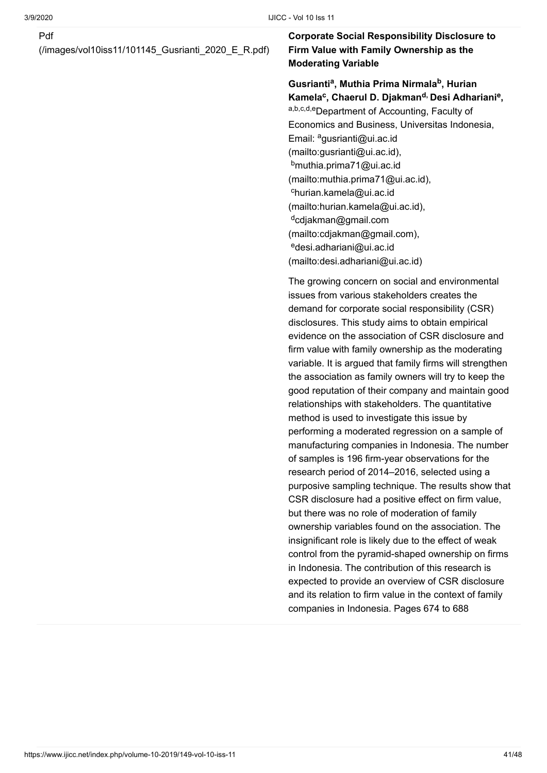#### Pdf

[\(/images/vol10iss11/101145\\_Gusrianti\\_2020\\_E\\_R.pdf\)](https://www.ijicc.net/images/vol10iss11/101145_Gusrianti_2020_E_R.pdf)

#### **Corporate Social Responsibility Disclosure to Firm Value with Family Ownership as the Moderating Variable**

#### Gusrianti<sup>a</sup>, Muthia Prima Nirmala<sup>b</sup>, Hurian **Kamela , Chaerul D. Djakman Desi Adhariani , c d, e**

a,b,c,d,eDepartment of Accounting, Faculty of Economics and Business, Universitas Indonesia, Email: <sup>a</sup>gusrianti@ui.ac.id [\(mailto:gusrianti@ui.ac.id\)](mailto:gusrianti@ui.ac.id), <sup>b</sup>muthia.prima71@ui.ac.id [\(mailto:muthia.prima71@ui.ac.id\),](mailto:muthia.prima71@ui.ac.id) <sup>c</sup>hurian.kamela@ui.ac.id [\(mailto:hurian.kamela@ui.ac.id\)](mailto:hurian.kamela@ui.ac.id), <sup>d</sup>cdjakman@gmail.com [\(mailto:cdjakman@gmail.com\)](mailto:cdjakman@gmail.com), <sup>e</sup>desi.adhariani@ui.ac.id [\(mailto:desi.adhariani@ui.ac.id\)](mailto:desi.adhariani@ui.ac.id)

The growing concern on social and environmental issues from various stakeholders creates the demand for corporate social responsibility (CSR) disclosures. This study aims to obtain empirical evidence on the association of CSR disclosure and firm value with family ownership as the moderating variable. It is argued that family firms will strengthen the association as family owners will try to keep the good reputation of their company and maintain good relationships with stakeholders. The quantitative method is used to investigate this issue by performing a moderated regression on a sample of manufacturing companies in Indonesia. The number of samples is 196 firm-year observations for the research period of 2014–2016, selected using a purposive sampling technique. The results show that CSR disclosure had a positive effect on firm value, but there was no role of moderation of family ownership variables found on the association. The insignificant role is likely due to the effect of weak control from the pyramid-shaped ownership on firms in Indonesia. The contribution of this research is expected to provide an overview of CSR disclosure and its relation to firm value in the context of family companies in Indonesia. Pages 674 to 688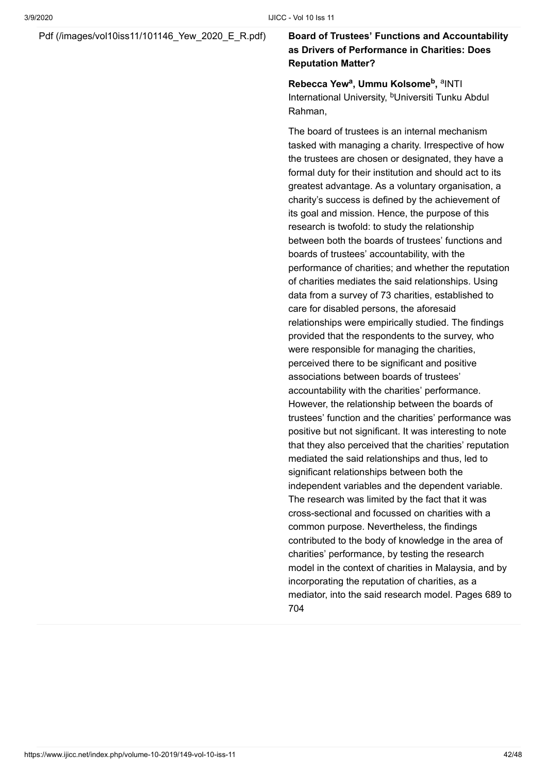#### [Pdf \(/images/vol10iss11/101146\\_Yew\\_2020\\_E\\_R.pdf\)](https://www.ijicc.net/images/vol10iss11/101146_Yew_2020_E_R.pdf) **Board of Trustees' Functions and Accountability**

### **as Drivers of Performance in Charities: Does Reputation Matter?**

**Rebecca Yew<sup>a</sup>, Ummu Kolsome<sup>b</sup>, <sup>a</sup>INTI** International University, <sup>b</sup>Universiti Tunku Abdul Rahman,

The board of trustees is an internal mechanism tasked with managing a charity. Irrespective of how the trustees are chosen or designated, they have a formal duty for their institution and should act to its greatest advantage. As a voluntary organisation, a charity's success is defined by the achievement of its goal and mission. Hence, the purpose of this research is twofold: to study the relationship between both the boards of trustees' functions and boards of trustees' accountability, with the performance of charities; and whether the reputation of charities mediates the said relationships. Using data from a survey of 73 charities, established to care for disabled persons, the aforesaid relationships were empirically studied. The findings provided that the respondents to the survey, who were responsible for managing the charities, perceived there to be significant and positive associations between boards of trustees' accountability with the charities' performance. However, the relationship between the boards of trustees' function and the charities' performance was positive but not significant. It was interesting to note that they also perceived that the charities' reputation mediated the said relationships and thus, led to significant relationships between both the independent variables and the dependent variable. The research was limited by the fact that it was cross-sectional and focussed on charities with a common purpose. Nevertheless, the findings contributed to the body of knowledge in the area of charities' performance, by testing the research model in the context of charities in Malaysia, and by incorporating the reputation of charities, as a mediator, into the said research model. Pages 689 to 704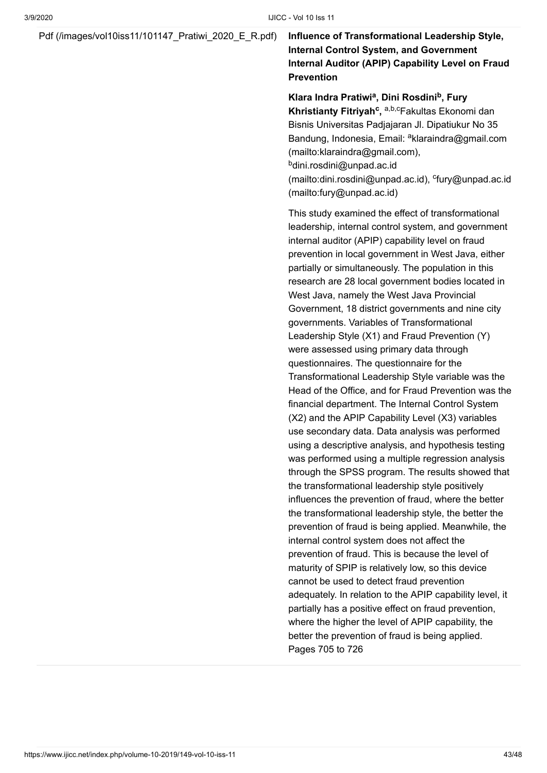#### [Pdf \(/images/vol10iss11/101147\\_Pratiwi\\_2020\\_E\\_R.pdf\)](https://www.ijicc.net/images/vol10iss11/101147_Pratiwi_2020_E_R.pdf) **Influence of Transformational Leadership Style,**

#### **Internal Control System, and Government Internal Auditor (APIP) Capability Level on Fraud Prevention**

Klara Indra Pratiwi<sup>a</sup>, Dini Rosdini<sup>b</sup>, Fury **Khristianty Fitriyah<sup>c</sup>, <sup>a,b,c</sup>Fakultas Ekonomi dan** Bisnis Universitas Padjajaran Jl. Dipatiukur No 35 Bandung, Indonesia, Email: <sup>a</sup>klaraindra@gmail.com (mailto:klaraindra@gmail.com), <sup>b</sup>dini.rosdini@unpad.ac.id [\(mailto:dini.rosdini@unpad.ac.id](mailto:dini.rosdini@unpad.ac.id)), cfury@unpad.ac.id (mailto:fury@unpad.ac.id)

This study examined the effect of transformational leadership, internal control system, and government internal auditor (APIP) capability level on fraud prevention in local government in West Java, either partially or simultaneously. The population in this research are 28 local government bodies located in West Java, namely the West Java Provincial Government, 18 district governments and nine city governments. Variables of Transformational Leadership Style (X1) and Fraud Prevention (Y) were assessed using primary data through questionnaires. The questionnaire for the Transformational Leadership Style variable was the Head of the Office, and for Fraud Prevention was the financial department. The Internal Control System (X2) and the APIP Capability Level (X3) variables use secondary data. Data analysis was performed using a descriptive analysis, and hypothesis testing was performed using a multiple regression analysis through the SPSS program. The results showed that the transformational leadership style positively influences the prevention of fraud, where the better the transformational leadership style, the better the prevention of fraud is being applied. Meanwhile, the internal control system does not affect the prevention of fraud. This is because the level of maturity of SPIP is relatively low, so this device cannot be used to detect fraud prevention adequately. In relation to the APIP capability level, it partially has a positive effect on fraud prevention, where the higher the level of APIP capability, the better the prevention of fraud is being applied. Pages 705 to 726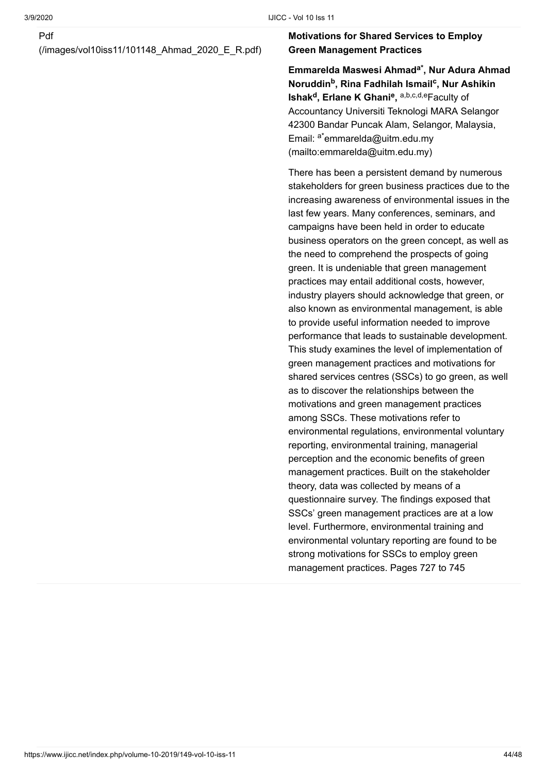#### Pdf

[\(/images/vol10iss11/101148\\_Ahmad\\_2020\\_E\\_R.pdf\)](https://www.ijicc.net/images/vol10iss11/101148_Ahmad_2020_E_R.pdf)

#### **Motivations for Shared Services to Employ Green Management Practices**

**Emmarelda Maswesi Ahmad , Nur Adura Ahmad a\***  $\mathsf{N}\text{-}\mathsf{orddim}^\mathsf{b}, \mathsf{R}$ ina Fadhilah Ismail<sup>c</sup>, Nur Ashikin **Ishak<sup>d</sup>, Erlane K Ghani<sup>e</sup>, <sup>a,b,c,d,e</sup>Faculty of** Accountancy Universiti Teknologi MARA Selangor 42300 Bandar Puncak Alam, Selangor, Malaysia, Email: <sup>a\*</sup>emmarelda@uitm.edu.my (mailto:emmarelda@uitm.edu.my)

There has been a persistent demand by numerous stakeholders for green business practices due to the increasing awareness of environmental issues in the last few years. Many conferences, seminars, and campaigns have been held in order to educate business operators on the green concept, as well as the need to comprehend the prospects of going green. It is undeniable that green management practices may entail additional costs, however, industry players should acknowledge that green, or also known as environmental management, is able to provide useful information needed to improve performance that leads to sustainable development. This study examines the level of implementation of green management practices and motivations for shared services centres (SSCs) to go green, as well as to discover the relationships between the motivations and green management practices among SSCs. These motivations refer to environmental regulations, environmental voluntary reporting, environmental training, managerial perception and the economic benefits of green management practices. Built on the stakeholder theory, data was collected by means of a questionnaire survey. The findings exposed that SSCs' green management practices are at a low level. Furthermore, environmental training and environmental voluntary reporting are found to be strong motivations for SSCs to employ green management practices. Pages 727 to 745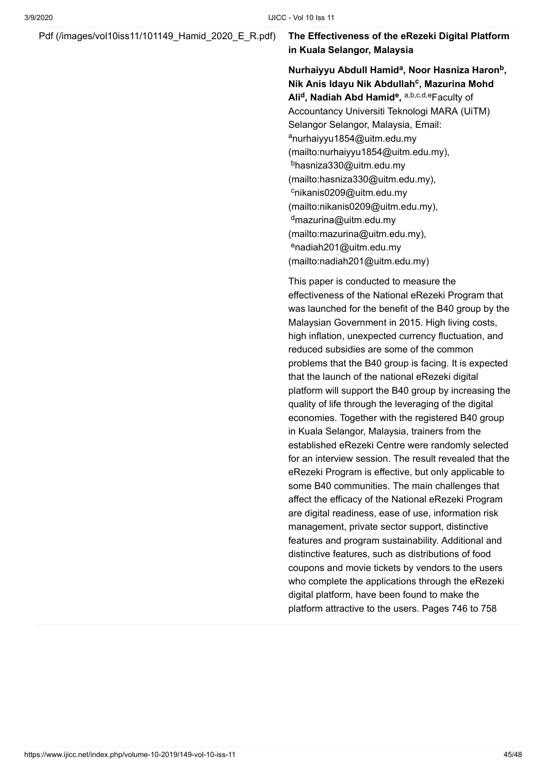#### [Pdf \(/images/vol10iss11/101149\\_Hamid\\_2020\\_E\\_R.pdf\)](https://www.ijicc.net/images/vol10iss11/101149_Hamid_2020_E_R.pdf) **The Effectiveness of the eRezeki Digital Platform in Kuala Selangor, Malaysia**

**Nurhaiyyu Abdull Hamid<sup>a</sup>, Noor Hasniza Haron<sup>b</sup>,** Nik Anis Idayu Nik Abdullah<sup>c</sup>, Mazurina Mohd  $\mathsf{Ali}^\mathsf{d}, \mathsf{N}$ adiah <code>Abd Hamid</code><sup>e, <code>a,b,c,d,e</sup>Faculty of</code></sup> Accountancy Universiti Teknologi MARA (UiTM) Selangor Selangor, Malaysia, Email: <sup>a</sup>nurhaiyyu1854@uitm.edu.my [\(mailto:nurhaiyyu1854@uitm.edu.my\),](mailto:nurhaiyyu1854@uitm.edu.my) <sup>b</sup>hasniza330@uitm.edu.my [\(mailto:hasniza330@uitm.edu.my\),](mailto:hasniza330@uitm.edu.my) <sup>c</sup>nikanis0209@uitm.edu.my [\(mailto:nikanis0209@uitm.edu.my\)](mailto:nikanis0209@uitm.edu.my), <sup>d</sup>mazurina@uitm.edu.my [\(mailto:mazurina@uitm.edu.my\),](mailto:mazurina@uitm.edu.my) <sup>e</sup>nadiah201@uitm.edu.my [\(mailto:nadiah201@uitm.edu.my\)](mailto:nadiah201@uitm.edu.my)

This paper is conducted to measure the effectiveness of the National eRezeki Program that was launched for the benefit of the B40 group by the Malaysian Government in 2015. High living costs, high inflation, unexpected currency fluctuation, and reduced subsidies are some of the common problems that the B40 group is facing. It is expected that the launch of the national eRezeki digital platform will support the B40 group by increasing the quality of life through the leveraging of the digital economies. Together with the registered B40 group in Kuala Selangor, Malaysia, trainers from the established eRezeki Centre were randomly selected for an interview session. The result revealed that the eRezeki Program is effective, but only applicable to some B40 communities. The main challenges that affect the efficacy of the National eRezeki Program are digital readiness, ease of use, information risk management, private sector support, distinctive features and program sustainability. Additional and distinctive features, such as distributions of food coupons and movie tickets by vendors to the users who complete the applications through the eRezeki digital platform, have been found to make the platform attractive to the users. Pages 746 to 758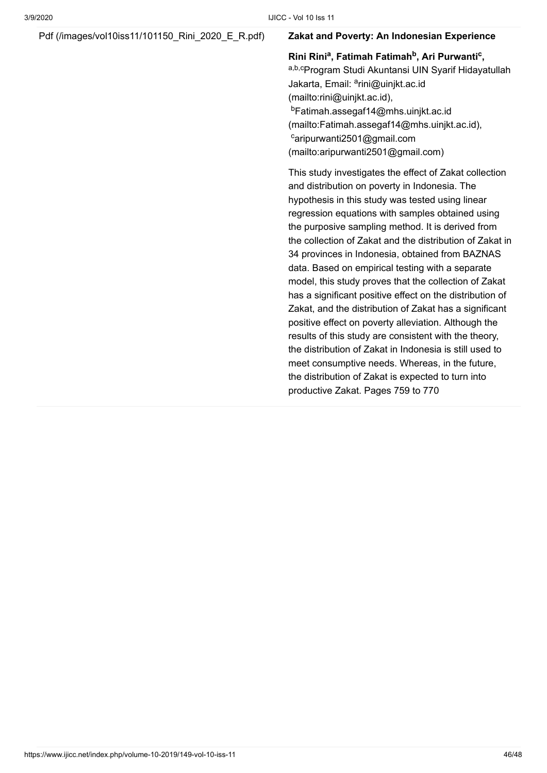#### [Pdf \(/images/vol10iss11/101150\\_Rini\\_2020\\_E\\_R.pdf\)](https://www.ijicc.net/images/vol10iss11/101150_Rini_2020_E_R.pdf) **Zakat and Poverty: An Indonesian Experience**

**Rini Rini , Fatimah Fatimah , Ari Purwanti , a b c** <sup>a,b,c</sup>Program Studi Akuntansi UIN Syarif Hidayatullah Jakarta, Email: <sup>a</sup>rini@uinjkt.ac.id (mailto:rini@uinjkt.ac.id), <sup>b</sup>Fatimah.assegaf14@mhs.uinjkt.ac.id [\(mailto:Fatimah.assegaf14@mhs.uinjkt.ac.id\),](mailto:Fatimah.assegaf14@mhs.uinjkt.ac.id) <sup>c</sup>aripurwanti2501@gmail.com [\(mailto:aripurwanti2501@gmail.com\)](mailto:aripurwanti2501@gmail.com)

This study investigates the effect of Zakat collection and distribution on poverty in Indonesia. The hypothesis in this study was tested using linear regression equations with samples obtained using the purposive sampling method. It is derived from the collection of Zakat and the distribution of Zakat in 34 provinces in Indonesia, obtained from BAZNAS data. Based on empirical testing with a separate model, this study proves that the collection of Zakat has a significant positive effect on the distribution of Zakat, and the distribution of Zakat has a significant positive effect on poverty alleviation. Although the results of this study are consistent with the theory, the distribution of Zakat in Indonesia is still used to meet consumptive needs. Whereas, in the future, the distribution of Zakat is expected to turn into productive Zakat. Pages 759 to 770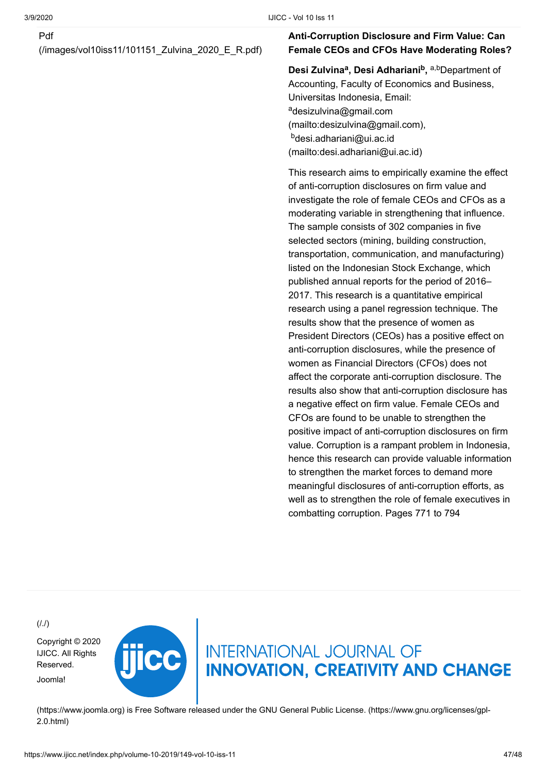#### Pdf

[\(/images/vol10iss11/101151\\_Zulvina\\_2020\\_E\\_R.pdf\)](https://www.ijicc.net/images/vol10iss11/101151_Zulvina_2020_E_R.pdf)

#### **Anti-Corruption Disclosure and Firm Value: Can Female CEOs and CFOs Have Moderating Roles?**

**Desi Zulvina<sup>a</sup>, Desi Adhariani<sup>b</sup>, a,b** Department of Accounting, Faculty of Economics and Business, Universitas Indonesia, Email: <sup>a</sup>desizulvina@gmail.com [\(mailto:desizulvina@gmail.com\),](mailto:desizulvina@gmail.com) <sup>b</sup>desi.adhariani@ui.ac.id [\(mailto:desi.adhariani@ui.ac.id\)](mailto:desi.adhariani@ui.ac.id)

This research aims to empirically examine the effect of anti-corruption disclosures on firm value and investigate the role of female CEOs and CFOs as a moderating variable in strengthening that influence. The sample consists of 302 companies in five selected sectors (mining, building construction, transportation, communication, and manufacturing) listed on the Indonesian Stock Exchange, which published annual reports for the period of 2016– 2017. This research is a quantitative empirical research using a panel regression technique. The results show that the presence of women as President Directors (CEOs) has a positive effect on anti-corruption disclosures, while the presence of women as Financial Directors (CFOs) does not affect the corporate anti-corruption disclosure. The results also show that anti-corruption disclosure has a negative effect on firm value. Female CEOs and CFOs are found to be unable to strengthen the positive impact of anti-corruption disclosures on firm value. Corruption is a rampant problem in Indonesia, hence this research can provide valuable information to strengthen the market forces to demand more meaningful disclosures of anti-corruption efforts, as well as to strengthen the role of female executives in combatting corruption. Pages 771 to 794

 $(1.1)$ 

[Copyright © 2020](https://www.ijicc.net/) IJICC. All Rights Reserved. Joomla!



**INTERNATIONAL JOURNAL OF INNOVATION, CREATIVITY AND CHANGE** 

[\(https://www.joomla.org\)](https://www.joomla.org/) [is Free Software released under the GNU General Public License. \(https://www.gnu.org/licenses/gpl-](https://www.gnu.org/licenses/gpl-2.0.html)2.0.html)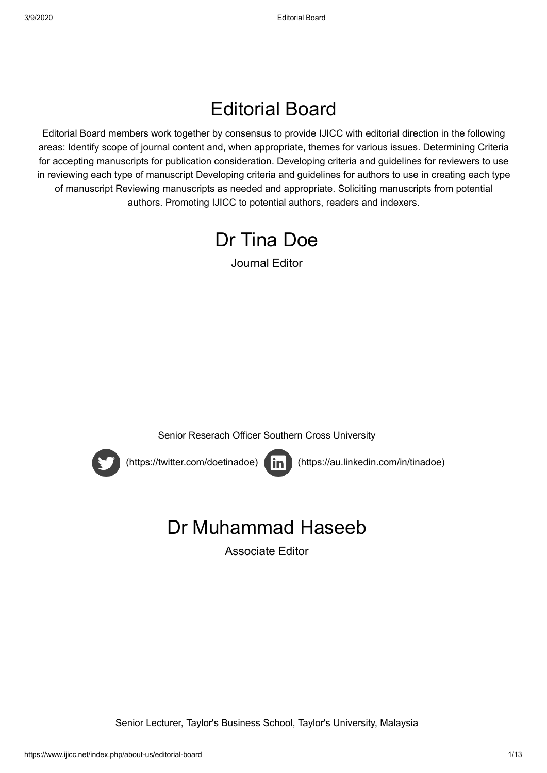### Editorial Board

Editorial Board members work together by consensus to provide IJICC with editorial direction in the following areas: Identify scope of journal content and, when appropriate, themes for various issues. Determining Criteria for accepting manuscripts for publication consideration. Developing criteria and guidelines for reviewers to use in reviewing each type of manuscript Developing criteria and guidelines for authors to use in creating each type of manuscript Reviewing manuscripts as needed and appropriate. Soliciting manuscripts from potential authors. Promoting IJICC to potential authors, readers and indexers.



Journal Editor







 [\(https://twitter.com/doetinadoe\)](https://twitter.com/doetinadoe) [\(https://au.linkedin.com/in/tinadoe\)](https://au.linkedin.com/in/tinadoe)

### Dr Muhammad Haseeb

Associate Editor

Senior Lecturer, Taylor's Business School, Taylor's University, Malaysia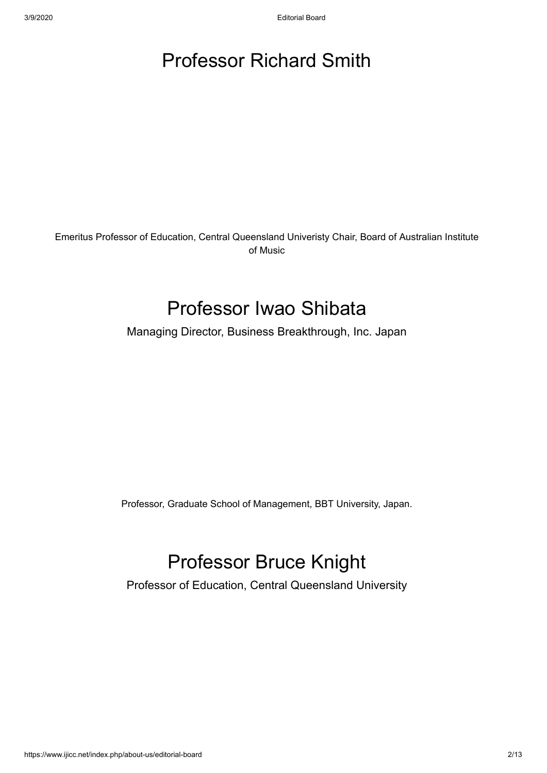### Professor Richard Smith

Emeritus Professor of Education, Central Queensland Univeristy Chair, Board of Australian Institute of Music

### Professor Iwao Shibata

Managing Director, Business Breakthrough, Inc. Japan

Professor, Graduate School of Management, BBT University, Japan.

### Professor Bruce Knight

Professor of Education, Central Queensland University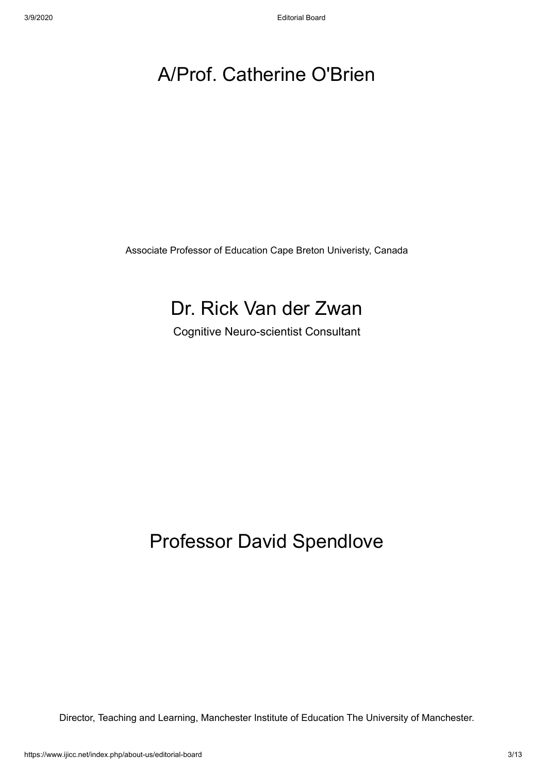### A/Prof. Catherine O'Brien

Associate Professor of Education Cape Breton Univeristy, Canada

### Dr. Rick Van der Zwan

Cognitive Neuro-scientist Consultant

### Professor David Spendlove

Director, Teaching and Learning, Manchester Institute of Education The University of Manchester.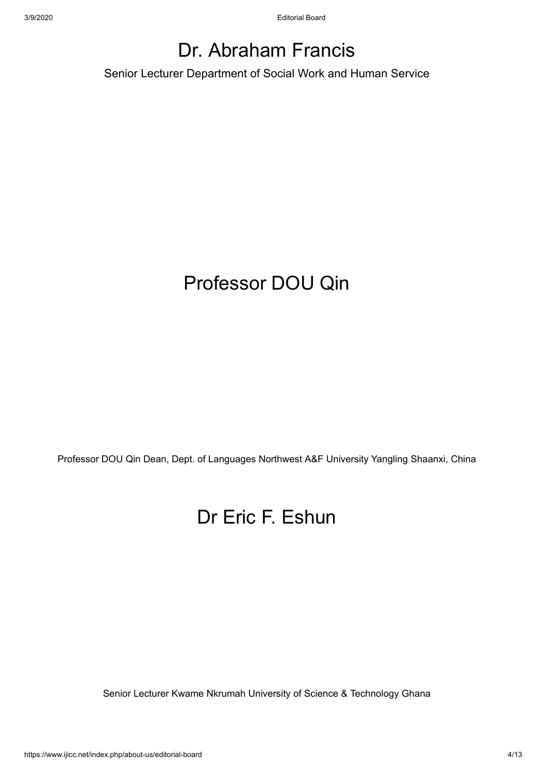### Dr. Abraham Francis

Senior Lecturer Department of Social Work and Human Service

### Professor DOU Qin

Professor DOU Qin Dean, Dept. of Languages Northwest A&F University Yangling Shaanxi, China

### Dr Eric F. Eshun

Senior Lecturer Kwame Nkrumah University of Science & Technology Ghana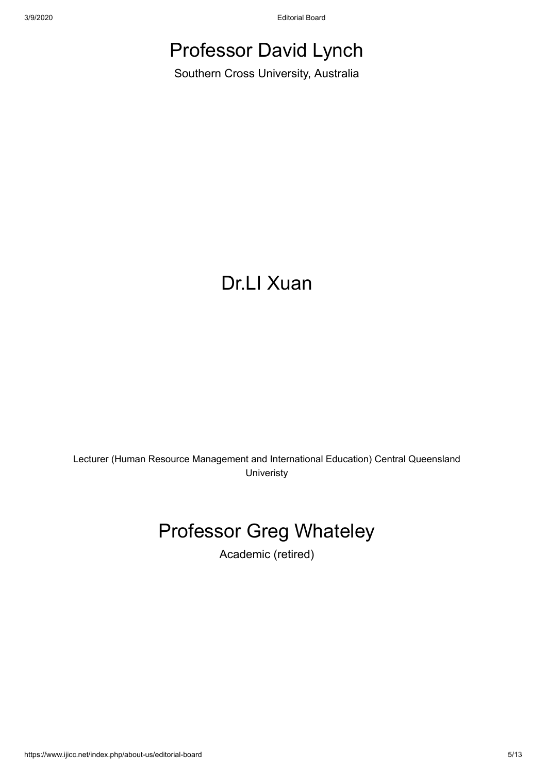3/9/2020 Editorial Board

### Professor David Lynch

Southern Cross University, Australia

### Dr.LI Xuan

Lecturer (Human Resource Management and International Education) Central Queensland Univeristy

### Professor Greg Whateley

Academic (retired)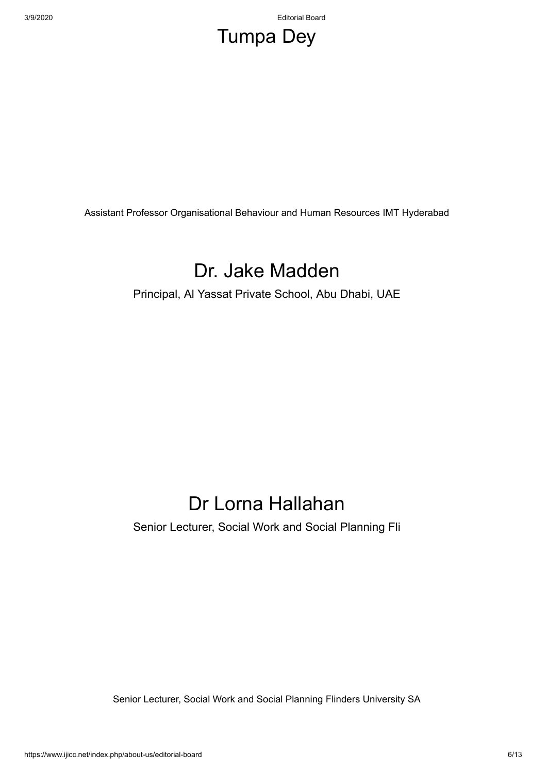3/9/2020 Editorial Board

### Tumpa Dey

Assistant Professor Organisational Behaviour and Human Resources IMT Hyderabad

### Dr. Jake Madden

Principal, Al Yassat Private School, Abu Dhabi, UAE

### Dr Lorna Hallahan

Senior Lecturer, Social Work and Social Planning Fli

Senior Lecturer, Social Work and Social Planning Flinders University SA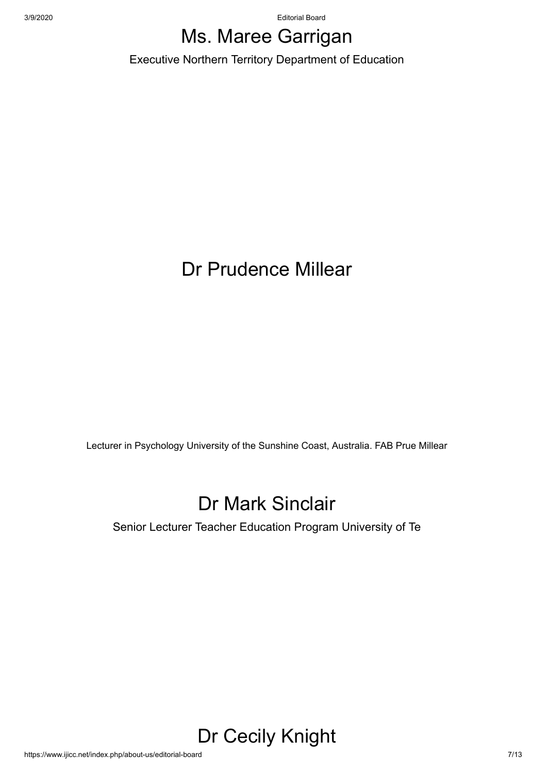3/9/2020 Editorial Board

### Ms. Maree Garrigan

Executive Northern Territory Department of Education

### Dr Prudence Millear

Lecturer in Psychology University of the Sunshine Coast, Australia. FAB Prue Millear

### Dr Mark Sinclair

Senior Lecturer Teacher Education Program University of Te

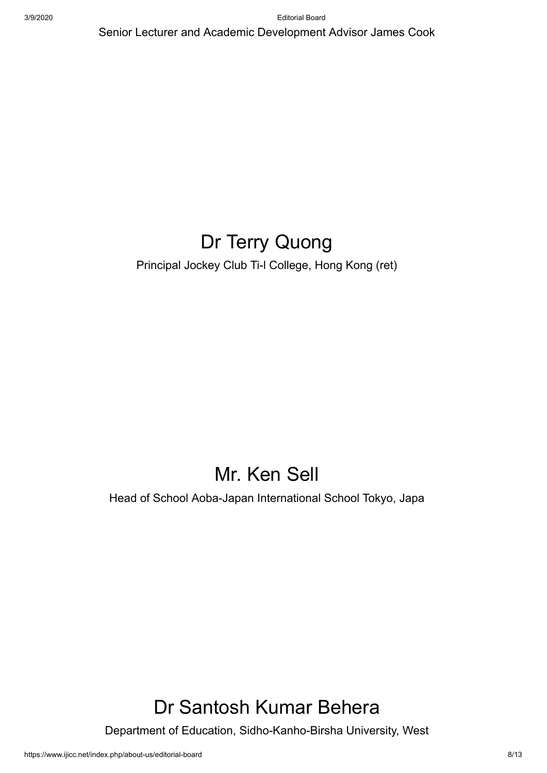Senior Lecturer and Academic Development Advisor James Cook

### Dr Terry Quong

Principal Jockey Club Ti-l College, Hong Kong (ret)

### Mr. Ken Sell

Head of School Aoba-Japan International School Tokyo, Japa

### Dr Santosh Kumar Behera

Department of Education, Sidho-Kanho-Birsha University, West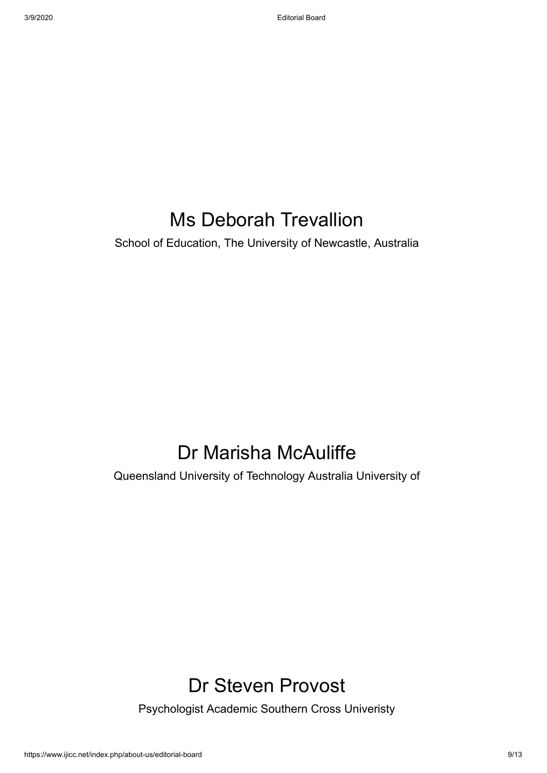### Ms Deborah Trevallion

School of Education, The University of Newcastle, Australia

### Dr Marisha McAuliffe

Queensland University of Technology Australia University of

### Dr Steven Provost

Psychologist Academic Southern Cross Univeristy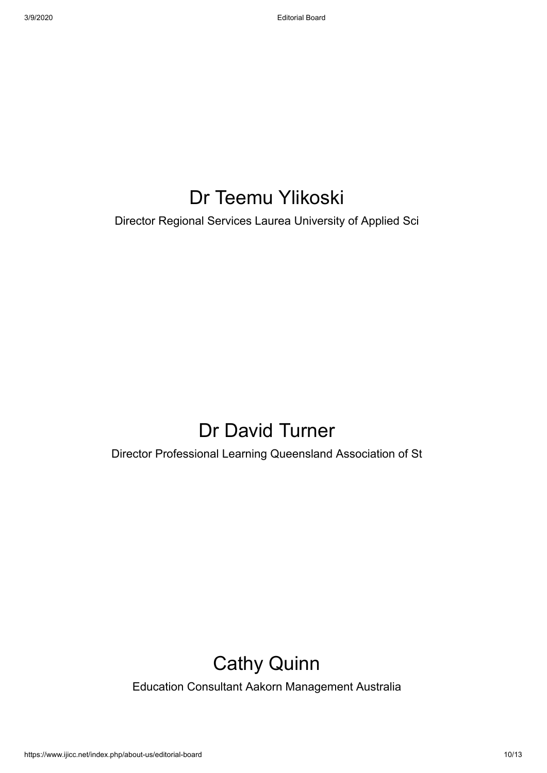### Dr Teemu Ylikoski

Director Regional Services Laurea University of Applied Sci

### Dr David Turner

Director Professional Learning Queensland Association of St

### Cathy Quinn

Education Consultant Aakorn Management Australia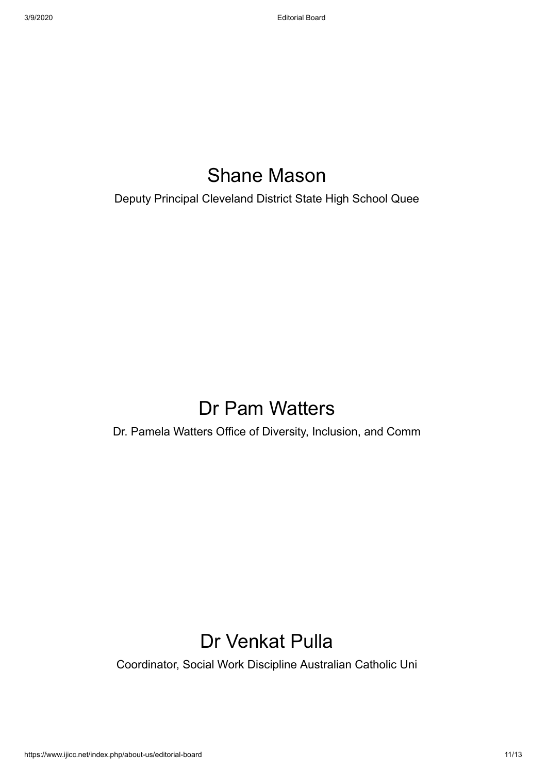### Shane Mason

Deputy Principal Cleveland District State High School Quee

### Dr Pam Watters

Dr. Pamela Watters Office of Diversity, Inclusion, and Comm

### Dr Venkat Pulla

Coordinator, Social Work Discipline Australian Catholic Uni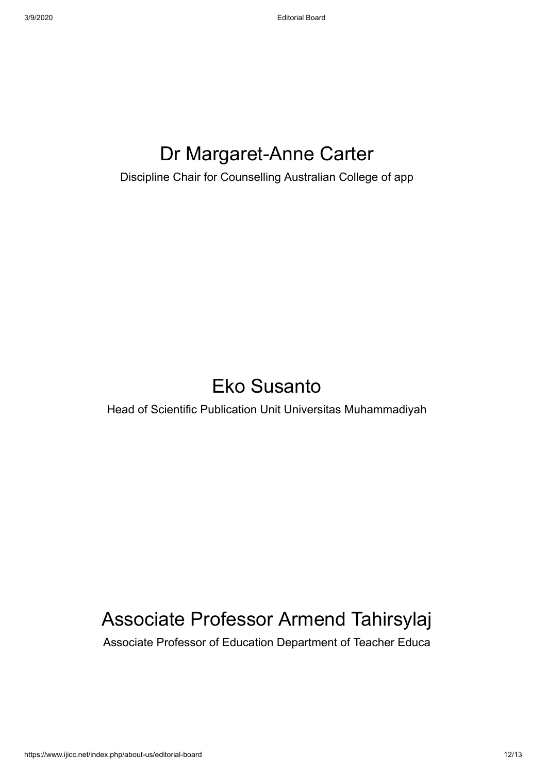### Dr Margaret-Anne Carter

Discipline Chair for Counselling Australian College of app

### Eko Susanto

Head of Scientific Publication Unit Universitas Muhammadiyah

### Associate Professor Armend Tahirsylaj

Associate Professor of Education Department of Teacher Educa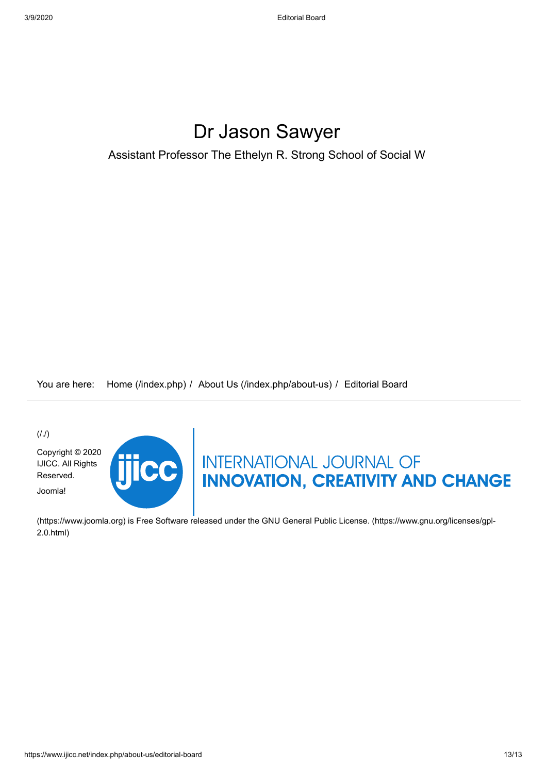### Dr Jason Sawyer

Assistant Professor The Ethelyn R. Strong School of Social W

You are here: [Home \(/index.php\)](https://www.ijicc.net/index.php) / [About Us \(/index.php/about-us\)](https://www.ijicc.net/index.php/about-us) / Editorial Board

 $(1.1)$ 

[Copyright © 2020](https://www.ijicc.net/) IJICC. All Rights Reserved. Joomla!



# THERE INTERNATIONAL JOURNAL OF

[\(https://www.joomla.org\)](https://www.joomla.org/) [is Free Software released under the GNU General Public License. \(https://www.gnu.org/licenses/gpl-](https://www.gnu.org/licenses/gpl-2.0.html)2.0.html)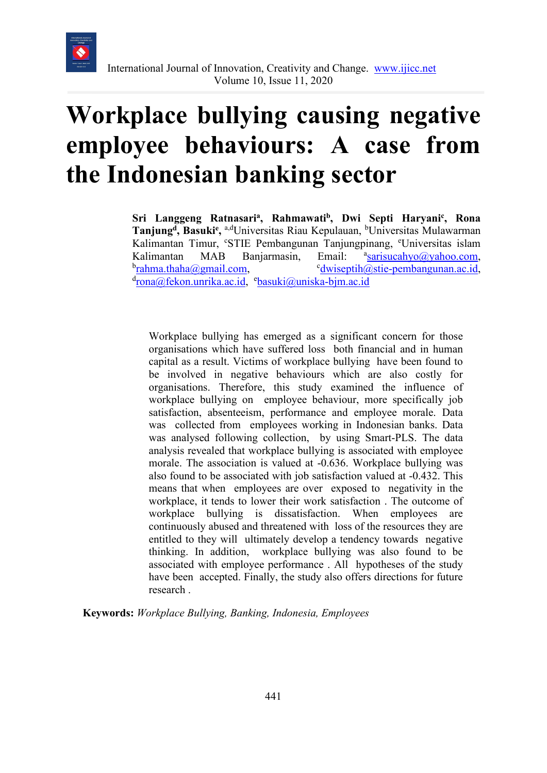

## **Workplace bullying causing negative employee behaviours: A case from the Indonesian banking sector**

Sri Langgeng Ratnasari<sup>a</sup>, Rahmawati<sup>b</sup>, Dwi Septi Haryani<sup>c</sup>, Rona Tanjung<sup>d</sup>, Basuki<sup>e</sup>, <sup>a,d</sup>Universitas Riau Kepulauan, <sup>b</sup>Universitas Mulawarman Kalimantan Timur, 'STIE Pembangunan Tanjungpinang, <sup>e</sup>Universitas islam Kalimantan MAB Banjarmasin, Email: [sarisucahyo@yahoo.com,](mailto:sarisucahyo@yahoo.com) b<u>[rahma.thaha@gmail.com,](mailto:rahma.thaha@gmail.com)</u> com [dwiseptih@stie-pembangunan.ac.id,](mailto:dwiseptih@stie-pembangunan.ac.id) <sup>d</sup>[rona@fekon.unrika.ac.id,](mailto:rona@fekon.unrika.ac.id) <sup>e</sup>[basuki@uniska-bjm.ac.id](mailto:basuki@uniska-bjm.ac.id)

Workplace bullying has emerged as a significant concern for those organisations which have suffered loss both financial and in human capital as a result. Victims of workplace bullying have been found to be involved in negative behaviours which are also costly for organisations. Therefore, this study examined the influence of workplace bullying on employee behaviour, more specifically job satisfaction, absenteeism, performance and employee morale. Data was collected from employees working in Indonesian banks. Data was analysed following collection, by using Smart-PLS. The data analysis revealed that workplace bullying is associated with employee morale. The association is valued at -0.636. Workplace bullying was also found to be associated with job satisfaction valued at -0.432. This means that when employees are over exposed to negativity in the workplace, it tends to lower their work satisfaction . The outcome of workplace bullying is dissatisfaction. When employees are continuously abused and threatened with loss of the resources they are entitled to they will ultimately develop a tendency towards negative thinking. In addition, workplace bullying was also found to be associated with employee performance . All hypotheses of the study have been accepted. Finally, the study also offers directions for future research .

**Keywords:** *Workplace Bullying, Banking, Indonesia, Employees*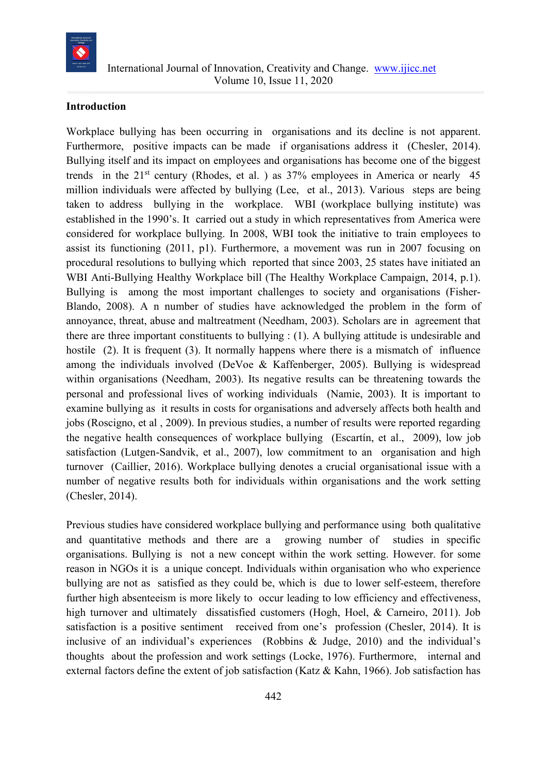

#### **Introduction**

Workplace bullying has been occurring in organisations and its decline is not apparent. Furthermore, positive impacts can be made if organisations address it [\(Chesler, 2014\)](#page-76-0). Bullying itself and its impact on employees and organisations has become one of the biggest trends in the  $21<sup>st</sup>$  century [\(Rhodes, et al. \)](#page-78-0) as  $37%$  employees in America or nearly 45 million individuals were affected by bullying [\(Lee, et al.,](#page-77-0) 2013). Various steps are being taken to address bullying in the workplace. WBI (workplace bullying institute) was established in the 1990's. It carried out a study in which representatives from America were considered for workplace bullying. In 2008, WBI took the initiative to train employees to assist its functioning (2011, p1). Furthermore, a movement was run in 2007 focusing on procedural resolutions to bullying which reported that since 2003, 25 states have initiated an WBI Anti-Bullying Healthy Workplace bill (The Healthy Workplace Campaign, 2014, p.1). Bullying is among the most important challenges to society and organisations (Fisher-Blando, 2008). A n number of studies have acknowledged the problem in the form of annoyance, threat, abuse and maltreatment [\(Needham, 2003\)](#page-77-1). Scholars are in agreement that there are three important constituents to bullying : (1). A bullying attitude is undesirable and hostile (2). It is frequent (3). It normally happens where there is a mismatch of influence among the individuals involved (DeVoe & Kaffenberger, 2005). Bullying is widespread within organisations [\(Needham, 2003\)](#page-77-1). Its negative results can be threatening towards the personal and professional lives of working individuals [\(Namie, 2003\)](#page-77-2). It is important to examine bullying as it results in costs for organisations and adversely affects both health and jobs [\(Roscigno, et al , 2009\)](#page-78-1). In previous studies, a number of results were reported regarding the negative health consequences of workplace bullying (Escartín, [et al., 2009\)](#page-76-1), low job satisfaction (Lutgen-Sandvik, et al., 2007), low commitment to an organisation and high turnover [\(Caillier, 2016\)](#page-76-2). Workplace bullying denotes a crucial organisational issue with a number of negative results both for individuals within organisations and the work setting [\(Chesler, 2014\)](#page-76-0).

Previous studies have considered workplace bullying and performance using both qualitative and quantitative methods and there are a growing number of studies in specific organisations. Bullying is not a new concept within the work setting. However. for some reason in NGOs it is a unique concept. Individuals within organisation who who experience bullying are not as satisfied as they could be, which is due to lower self-esteem, therefore further high absenteeism is more likely to occur leading to low efficiency and effectiveness, high turnover and ultimately dissatisfied customers [\(Hogh, Hoel, & Carneiro, 2011\)](#page-77-3). Job satisfaction is a positive sentiment received from one's profession [\(Chesler, 2014\)](#page-76-0). It is inclusive of an individual's experiences (Robbins & Judge, 2010) and the individual's thoughts about the profession and work settings (Locke, 1976). Furthermore, internal and external factors define the extent of job satisfaction [\(Katz & Kahn, 1966\)](#page-77-4). Job satisfaction has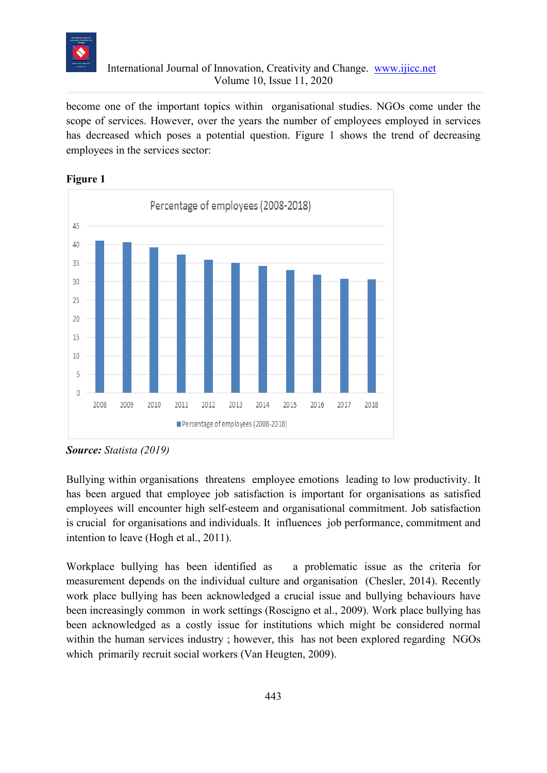

become one of the important topics within organisational studies. NGOs come under the scope of services. However, over the years the number of employees employed in services has decreased which poses a potential question. Figure 1 shows the trend of decreasing employees in the services sector:





*Source: [Statista \(2019\)](#page-78-2)*

Bullying within organisations threatens employee emotions leading to low productivity. It has been argued that employee job satisfaction is important for organisations as satisfied employees will encounter high self-esteem and organisational commitment. Job satisfaction is crucial for organisations and individuals. It influences job performance, commitment and intention to leave [\(Hogh et al., 2011\)](#page-77-3).

Workplace bullying has been identified as a problematic issue as the criteria for measurement depends on the individual culture and organisation [\(Chesler, 2014\)](#page-76-0). Recently work place bullying has been acknowledged a crucial issue and bullying behaviours have been increasingly common in work settings [\(Roscigno et al., 2009\)](#page-78-1). Work place bullying has been acknowledged as a costly issue for institutions which might be considered normal within the human services industry ; however, this has not been explored regarding NGOs which primarily recruit social workers [\(Van Heugten, 2009\)](#page-78-3).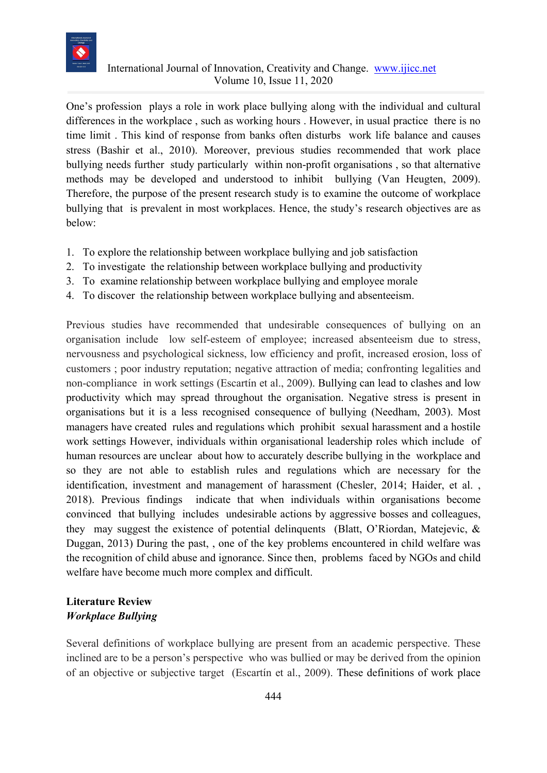

One's profession plays a role in work place bullying along with the individual and cultural differences in the workplace , such as working hours . However, in usual practice there is no time limit . This kind of response from banks often disturbs work life balance and causes stress (Bashir et al., 2010). Moreover, previous studies recommended that work place bullying needs further study particularly within non-profit organisations , so that alternative methods may be developed and understood to inhibit bullying [\(Van Heugten, 2009\)](#page-78-3). Therefore, the purpose of the present research study is to examine the outcome of workplace bullying that is prevalent in most workplaces. Hence, the study's research objectives are as below:

- 1. To explore the relationship between workplace bullying and job satisfaction
- 2. To investigate the relationship between workplace bullying and productivity
- 3. To examine relationship between workplace bullying and employee morale
- 4. To discover the relationship between workplace bullying and absenteeism.

Previous studies have recommended that undesirable consequences of bullying on an organisation include low self-esteem of employee; increased absenteeism due to stress, nervousness and psychological sickness, low efficiency and profit, increased erosion, loss of customers ; poor industry reputation; negative attraction of media; confronting legalities and non-compliance in work settings [\(Escartín et al., 2009\)](#page-76-1). Bullying can lead to clashes and low productivity which may spread throughout the organisation. Negative stress is present in organisations but it is a less recognised consequence of bullying [\(Needham, 2003\)](#page-77-1). Most managers have created rules and regulations which prohibit sexual harassment and a hostile work settings However, individuals within organisational leadership roles which include of human resources are unclear about how to accurately describe bullying in the workplace and so they are not able to establish rules and regulations which are necessary for the identification, investment and management of harassment [\(Chesler, 2014;](#page-76-0) Haider, et al., [2018\)](#page-77-5). Previous findings indicate that when individuals within organisations become convinced that bullying includes undesirable actions by aggressive bosses and colleagues, they may suggest the existence of potential delinquents [\(Blatt, O'Riordan, Matejevic, &](#page-76-3)  [Duggan, 2013\)](#page-76-3) During the past, , one of the key problems encountered in child welfare was the recognition of child abuse and ignorance. Since then, problems faced by NGOs and child welfare have become much more complex and difficult.

#### **Literature Review** *Workplace Bullying*

Several definitions of workplace bullying are present from an academic perspective. These inclined are to be a person's perspective who was bullied or may be derived from the opinion of an objective or subjective target [\(Escartín et al., 2009\)](#page-76-1). These definitions of work place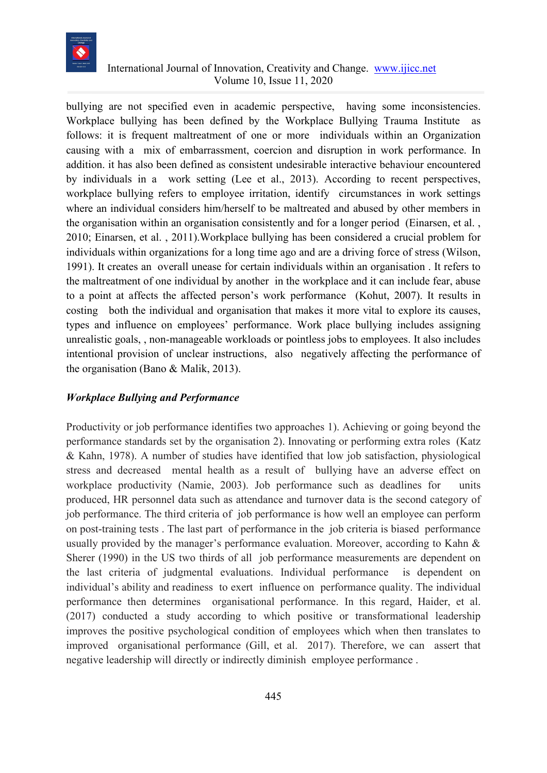

bullying are not specified even in academic perspective, having some inconsistencies. Workplace bullying has been defined by the Workplace Bullying Trauma Institute as follows: it is frequent maltreatment of one or more individuals within an Organization causing with a mix of embarrassment, coercion and disruption in work performance. In addition. it has also been defined as consistent undesirable interactive behaviour encountered by individuals in a work setting [\(Lee et al., 2013\)](#page-77-0). According to recent perspectives, workplace bullying refers to employee irritation, identify circumstances in work settings where an individual considers him/herself to be maltreated and abused by other members in the organisation within an organisation consistently and for a longer period [\(Einarsen,](#page-76-4) et al. , [2010;](#page-76-4) [Einarsen, et al. , 2011\)](#page-76-5).Workplace bullying has been considered a crucial problem for individuals within organizations for a long time ago and are a driving force of stress [\(Wilson,](#page-78-4)  [1991\)](#page-78-4). It creates an overall unease for certain individuals within an organisation . It refers to the maltreatment of one individual by another in the workplace and it can include fear, abuse to a point at affects the affected person's work performance (Kohut, 2007). It results in costing both the individual and organisation that makes it more vital to explore its causes, types and influence on employees' performance. Work place bullying includes assigning unrealistic goals, , non-manageable workloads or pointless jobs to employees. It also includes intentional provision of unclear instructions, also negatively affecting the performance of the organisation [\(Bano & Malik, 2013\)](#page-76-6).

#### *Workplace Bullying and Performance*

Productivity or job performance identifies two approaches 1). Achieving or going beyond the performance standards set by the organisation 2). Innovating or performing extra roles [\(Katz](#page-77-6)  [& Kahn, 1978\)](#page-77-6). A number of studies have identified that low job satisfaction, physiological stress and decreased mental health as a result of bullying have an adverse effect on workplace productivity [\(Namie, 2003\)](#page-77-2). Job performance such as deadlines for units produced, HR personnel data such as attendance and turnover data is the second category of job performance. The third criteria of job performance is how well an employee can perform on post-training tests . The last part of performance in the job criteria is biased performance usually provided by the manager's performance evaluation. Moreover, according to [Kahn &](#page-77-7)  [Sherer](#page-77-7) (1990) in the US two thirds of all job performance measurements are dependent on the last criteria of judgmental evaluations. Individual performance is dependent on individual's ability and readiness to exert influence on performance quality. The individual performance then determines organisational performance. In this regard, [Haider, et al.](#page-77-8)  (2017) conducted a study according to which positive or transformational leadership improves the positive psychological condition of employees which when then translates to improved organisational performance (Gill, [et al. 2017\)](#page-77-9). Therefore, we can assert that negative leadership will directly or indirectly diminish employee performance .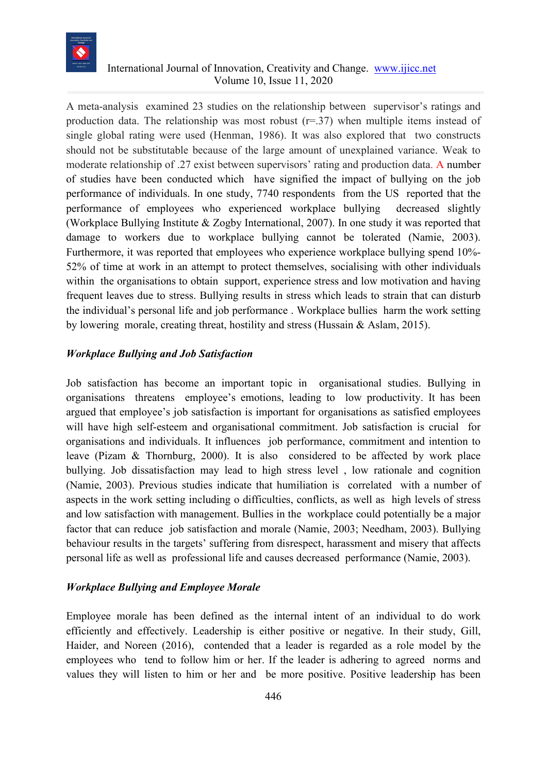

A meta-analysis examined 23 studies on the relationship between supervisor's ratings and production data. The relationship was most robust  $(r=37)$  when multiple items instead of single global rating were used (Henman, 1986). It was also explored that two constructs should not be substitutable because of the large amount of unexplained variance. Weak to moderate relationship of .27 exist between supervisors' rating and production data. A number of studies have been conducted which have signified the impact of bullying on the job performance of individuals. In one study, 7740 respondents from the US reported that the performance of employees who experienced workplace bullying decreased slightly (Workplace Bullying Institute & Zogby International, 2007). In one study it was reported that damage to workers due to workplace bullying cannot be tolerated [\(Namie, 2003\)](#page-77-2). Furthermore, it was reported that employees who experience workplace bullying spend 10%- 52% of time at work in an attempt to protect themselves, socialising with other individuals within the organisations to obtain support, experience stress and low motivation and having frequent leaves due to stress. Bullying results in stress which leads to strain that can disturb the individual's personal life and job performance . Workplace bullies harm the work setting by lowering morale, creating threat, hostility and stress [\(Hussain & Aslam, 2015\)](#page-77-10).

#### *Workplace Bullying and Job Satisfaction*

Job satisfaction has become an important topic in organisational studies. Bullying in organisations threatens employee's emotions, leading to low productivity. It has been argued that employee's job satisfaction is important for organisations as satisfied employees will have high self-esteem and organisational commitment. Job satisfaction is crucial for organisations and individuals. It influences job performance, commitment and intention to leave [\(Pizam & Thornburg, 2000\)](#page-78-5). It is also considered to be affected by work place bullying. Job dissatisfaction may lead to high stress level , low rationale and cognition [\(Namie, 2003\)](#page-77-2). Previous studies indicate that humiliation is correlated with a number of aspects in the work setting including o difficulties, conflicts, as well as high levels of stress and low satisfaction with management. Bullies in the workplace could potentially be a major factor that can reduce job satisfaction and morale [\(Namie, 2003;](#page-77-2) [Needham, 2003\)](#page-77-1). Bullying behaviour results in the targets' suffering from disrespect, harassment and misery that affects personal life as well as professional life and causes decreased performance [\(Namie, 2003\)](#page-77-2).

#### *Workplace Bullying and Employee Morale*

Employee morale has been defined as the internal intent of an individual to do work efficiently and effectively. Leadership is either positive or negative. In their study, [Gill,](#page-77-11)  Haider, and Noreen (2016), contended that a leader is regarded as a role model by the employees who tend to follow him or her. If the leader is adhering to agreed norms and values they will listen to him or her and be more positive. Positive leadership has been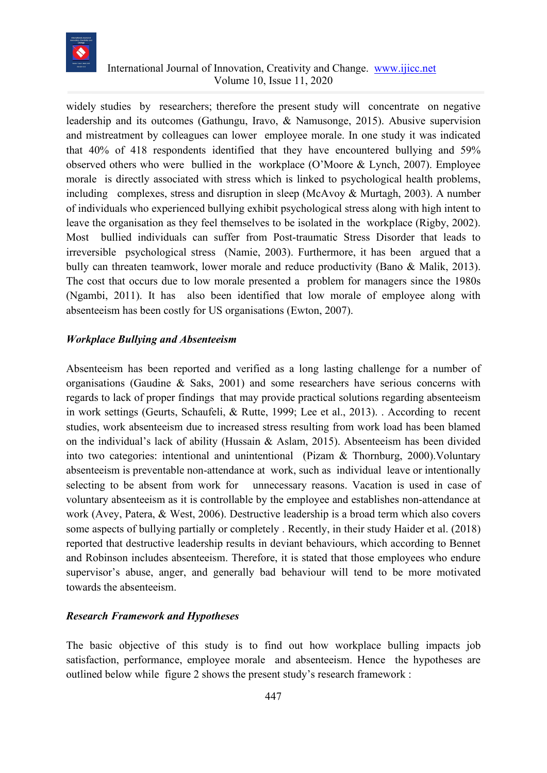

widely studies by researchers; therefore the present study will concentrate on negative leadership and its outcomes [\(Gathungu, Iravo, & Namusonge, 2015\)](#page-76-7). Abusive supervision and mistreatment by colleagues can lower employee morale. In one study it was indicated that 40% of 418 respondents identified that they have encountered bullying and 59% observed others who were bullied in the workplace (O'Moore & [Lynch, 2007\)](#page-78-6). Employee morale is directly associated with stress which is linked to psychological health problems, including complexes, stress and disruption in sleep [\(McAvoy & Murtagh, 2003\)](#page-77-12). A number of individuals who experienced bullying exhibit psychological stress along with high intent to leave the organisation as they feel themselves to be isolated in the workplace (Rigby, 2002). Most bullied individuals can suffer from Post-traumatic Stress Disorder that leads to irreversible psychological stress [\(Namie, 2003\)](#page-77-2). Furthermore, it has been argued that a bully can threaten teamwork, lower morale and reduce productivity [\(Bano & Malik, 2013\)](#page-76-6). The cost that occurs due to low morale presented a problem for managers since the 1980s (Ngambi, 2011). It has also been identified that low morale of employee along with absenteeism has been costly for US organisations (Ewton, 2007).

#### *Workplace Bullying and Absenteeism*

Absenteeism has been reported and verified as a long lasting challenge for a number of organisations [\(Gaudine & Saks, 2001\)](#page-76-8) and some researchers have serious concerns with regards to lack of proper findings that may provide practical solutions regarding absenteeism in work settings [\(Geurts, Schaufeli, & Rutte, 1999;](#page-76-9) [Lee et al., 2013\)](#page-77-0). . According to recent studies, work absenteeism due to increased stress resulting from work load has been blamed on the individual's lack of ability [\(Hussain & Aslam, 2015\)](#page-77-10). Absenteeism has been divided into two categories: intentional and unintentional [\(Pizam & Thornburg, 2000\)](#page-78-5).Voluntary absenteeism is preventable non-attendance at work, such as individual leave or intentionally selecting to be absent from work for unnecessary reasons. Vacation is used in case of voluntary absenteeism as it is controllable by the employee and establishes non-attendance at work [\(Avey, Patera, & West, 2006\)](#page-76-10). Destructive leadership is a broad term which also covers some aspects of bullying partially or completely . Recently, in their study [Haider et al. \(2018\)](#page-77-5) reported that destructive leadership results in deviant behaviours, which according to Bennet and Robinson includes absenteeism. Therefore, it is stated that those employees who endure supervisor's abuse, anger, and generally bad behaviour will tend to be more motivated towards the absenteeism.

#### *Research Framework and Hypotheses*

The basic objective of this study is to find out how workplace bulling impacts job satisfaction, performance, employee morale and absenteeism. Hence the hypotheses are outlined below while figure 2 shows the present study's research framework :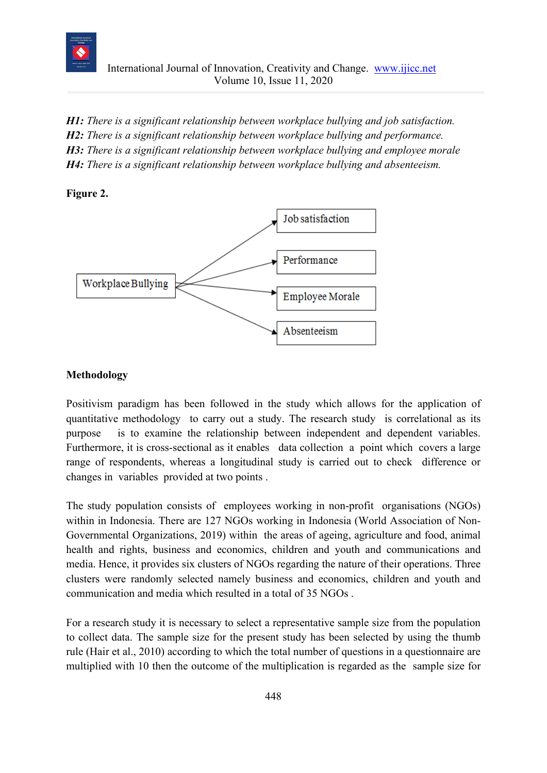

*H1: There is a significant relationship between workplace bullying and job satisfaction. H2: There is a significant relationship between workplace bullying and performance. H3: There is a significant relationship between workplace bullying and employee morale H4: There is a significant relationship between workplace bullying and absenteeism.*

#### **Figure 2.**



#### **Methodology**

Positivism paradigm has been followed in the study which allows for the application of quantitative methodology to carry out a study. The research study is correlational as its purpose is to examine the relationship between independent and dependent variables. Furthermore, it is cross-sectional as it enables data collection a point which covers a large range of respondents, whereas a longitudinal study is carried out to check difference or changes in variables provided at two points .

The study population consists of employees working in non-profit organisations (NGOs) within in Indonesia. There are 127 NGOs working in Indonesia [\(World Association of Non-](#page-78-7)[Governmental Organizations, 2019\)](#page-78-7) within the areas of ageing, agriculture and food, animal health and rights, business and economics, children and youth and communications and media. Hence, it provides six clusters of NGOs regarding the nature of their operations. Three clusters were randomly selected namely business and economics, children and youth and communication and media which resulted in a total of 35 NGOs .

For a research study it is necessary to select a representative sample size from the population to collect data. The sample size for the present study has been selected by using the thumb rule (Hair et al., 2010) according to which the total number of questions in a questionnaire are multiplied with 10 then the outcome of the multiplication is regarded as the sample size for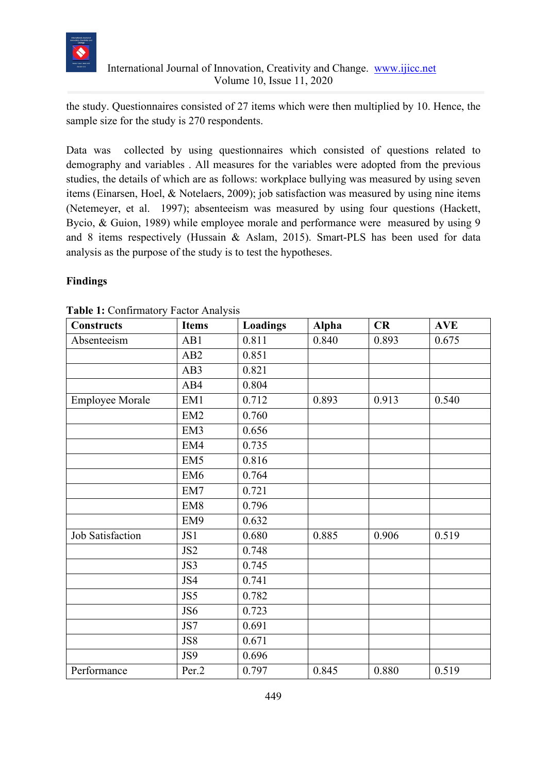

the study. Questionnaires consisted of 27 items which were then multiplied by 10. Hence, the sample size for the study is 270 respondents.

Data was collected by using questionnaires which consisted of questions related to demography and variables . All measures for the variables were adopted from the previous studies, the details of which are as follows: workplace bullying was measured by using seven items [\(Einarsen, Hoel, & Notelaers, 2009\)](#page-76-11); job satisfaction was measured by using nine items [\(Netemeyer,](#page-78-8) et al. 1997); absenteeism was measured by using four questions [\(Hackett,](#page-77-13)  [Bycio, & Guion, 1989\)](#page-77-13) while employee morale and performance were measured by using 9 and 8 items respectively [\(Hussain & Aslam, 2015\)](#page-77-10). Smart-PLS has been used for data analysis as the purpose of the study is to test the hypotheses.

#### **Findings**

| <b>Constructs</b>      | <b>Items</b>    | <b>Loadings</b> | <b>Alpha</b> | CR    | <b>AVE</b> |
|------------------------|-----------------|-----------------|--------------|-------|------------|
| Absenteeism            | AB1             | 0.811           | 0.840        | 0.893 | 0.675      |
|                        | AB2             | 0.851           |              |       |            |
|                        | AB3             | 0.821           |              |       |            |
|                        | AB4             | 0.804           |              |       |            |
| <b>Employee Morale</b> | EM1             | 0.712           | 0.893        | 0.913 | 0.540      |
|                        | EM <sub>2</sub> | 0.760           |              |       |            |
|                        | EM <sub>3</sub> | 0.656           |              |       |            |
|                        | EM4             | 0.735           |              |       |            |
|                        | EM <sub>5</sub> | 0.816           |              |       |            |
|                        | EM <sub>6</sub> | 0.764           |              |       |            |
|                        | EM7             | 0.721           |              |       |            |
|                        | EM <sub>8</sub> | 0.796           |              |       |            |
|                        | EM9             | 0.632           |              |       |            |
| Job Satisfaction       | JS1             | 0.680           | 0.885        | 0.906 | 0.519      |
|                        | JS <sub>2</sub> | 0.748           |              |       |            |
|                        | JS3             | 0.745           |              |       |            |
|                        | JS4             | 0.741           |              |       |            |
|                        | JS5             | 0.782           |              |       |            |
|                        | JS6             | 0.723           |              |       |            |
|                        | JS7             | 0.691           |              |       |            |
|                        | JS8             | 0.671           |              |       |            |
|                        | JS9             | 0.696           |              |       |            |
| Performance            | Per.2           | 0.797           | 0.845        | 0.880 | 0.519      |

**Table 1:** Confirmatory Factor Analysis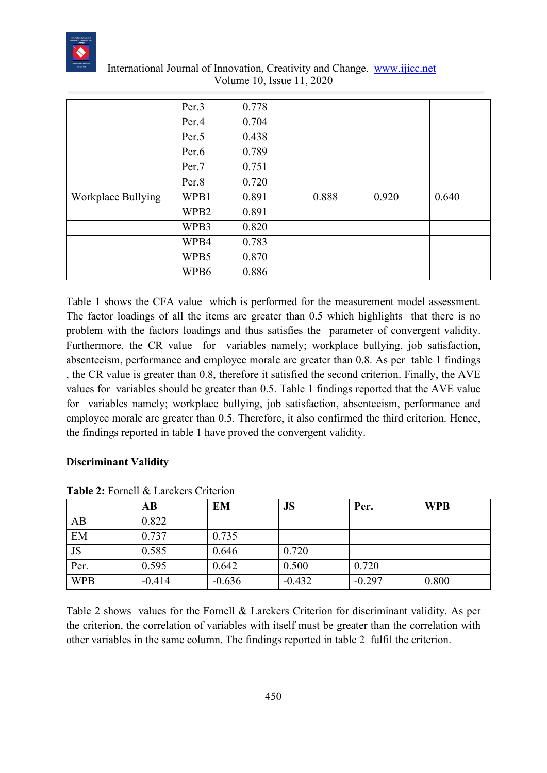

|                    | Per.3            | 0.778 |       |       |       |
|--------------------|------------------|-------|-------|-------|-------|
|                    | Per.4            | 0.704 |       |       |       |
|                    | Per.5            | 0.438 |       |       |       |
|                    | Per.6            | 0.789 |       |       |       |
|                    | Per.7            | 0.751 |       |       |       |
|                    | Per.8            | 0.720 |       |       |       |
| Workplace Bullying | WPB1             | 0.891 | 0.888 | 0.920 | 0.640 |
|                    | WPB <sub>2</sub> | 0.891 |       |       |       |
|                    | WPB3             | 0.820 |       |       |       |
|                    | WPB4             | 0.783 |       |       |       |
|                    | WPB5             | 0.870 |       |       |       |
|                    | WPB6             | 0.886 |       |       |       |

Table 1 shows the CFA value which is performed for the measurement model assessment. The factor loadings of all the items are greater than 0.5 which highlights that there is no problem with the factors loadings and thus satisfies the parameter of convergent validity. Furthermore, the CR value for variables namely; workplace bullying, job satisfaction, absenteeism, performance and employee morale are greater than 0.8. As per table 1 findings , the CR value is greater than 0.8, therefore it satisfied the second criterion. Finally, the AVE values for variables should be greater than 0.5. Table 1 findings reported that the AVE value for variables namely; workplace bullying, job satisfaction, absenteeism, performance and employee morale are greater than 0.5. Therefore, it also confirmed the third criterion. Hence, the findings reported in table 1 have proved the convergent validity.

#### **Discriminant Validity**

|            | $\mathbf{A}\mathbf{B}$ | <b>EM</b> | <b>JS</b> | Per.     | <b>WPB</b> |
|------------|------------------------|-----------|-----------|----------|------------|
| AB         | 0.822                  |           |           |          |            |
| EM         | 0.737                  | 0.735     |           |          |            |
| JS         | 0.585                  | 0.646     | 0.720     |          |            |
| Per.       | 0.595                  | 0.642     | 0.500     | 0.720    |            |
| <b>WPB</b> | $-0.414$               | $-0.636$  | $-0.432$  | $-0.297$ | 0.800      |

**Table 2:** Fornell & Larckers Criterion

Table 2 shows values for the Fornell & Larckers Criterion for discriminant validity. As per the criterion, the correlation of variables with itself must be greater than the correlation with other variables in the same column. The findings reported in table 2 fulfil the criterion.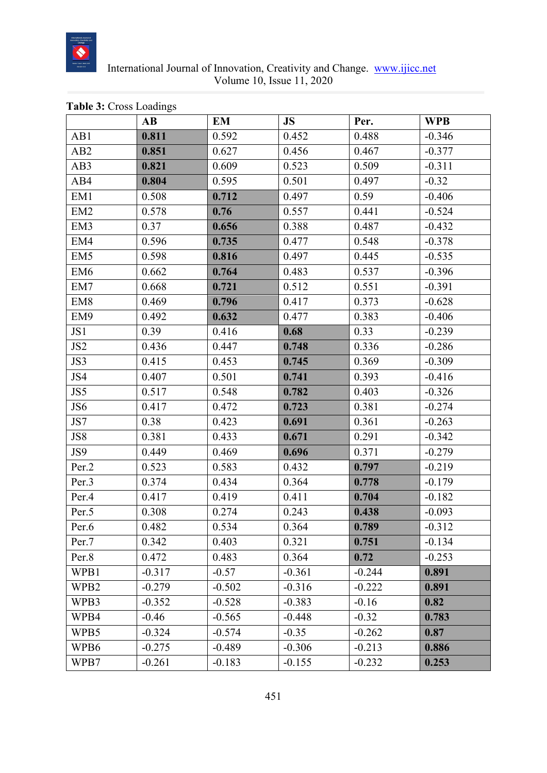

|                  | AB       | <b>EM</b> | <b>JS</b> | Per.     | <b>WPB</b> |
|------------------|----------|-----------|-----------|----------|------------|
| AB1              | 0.811    | 0.592     | 0.452     | 0.488    | $-0.346$   |
| AB <sub>2</sub>  | 0.851    | 0.627     | 0.456     | 0.467    | $-0.377$   |
| AB3              | 0.821    | 0.609     | 0.523     | 0.509    | $-0.311$   |
| AB4              | 0.804    | 0.595     | 0.501     | 0.497    | $-0.32$    |
| EM <sub>1</sub>  | 0.508    | 0.712     | 0.497     | 0.59     | $-0.406$   |
| EM <sub>2</sub>  | 0.578    | 0.76      | 0.557     | 0.441    | $-0.524$   |
| EM3              | 0.37     | 0.656     | 0.388     | 0.487    | $-0.432$   |
| EM4              | 0.596    | 0.735     | 0.477     | 0.548    | $-0.378$   |
| EM <sub>5</sub>  | 0.598    | 0.816     | 0.497     | 0.445    | $-0.535$   |
| EM <sub>6</sub>  | 0.662    | 0.764     | 0.483     | 0.537    | $-0.396$   |
| EM7              | 0.668    | 0.721     | 0.512     | 0.551    | $-0.391$   |
| EM <sub>8</sub>  | 0.469    | 0.796     | 0.417     | 0.373    | $-0.628$   |
| EM9              | 0.492    | 0.632     | 0.477     | 0.383    | $-0.406$   |
| JS1              | 0.39     | 0.416     | 0.68      | 0.33     | $-0.239$   |
| JS <sub>2</sub>  | 0.436    | 0.447     | 0.748     | 0.336    | $-0.286$   |
| JS3              | 0.415    | 0.453     | 0.745     | 0.369    | $-0.309$   |
| JS4              | 0.407    | 0.501     | 0.741     | 0.393    | $-0.416$   |
| JS5              | 0.517    | 0.548     | 0.782     | 0.403    | $-0.326$   |
| JS6              | 0.417    | 0.472     | 0.723     | 0.381    | $-0.274$   |
| JS7              | 0.38     | 0.423     | 0.691     | 0.361    | $-0.263$   |
| JS8              | 0.381    | 0.433     | 0.671     | 0.291    | $-0.342$   |
| JS9              | 0.449    | 0.469     | 0.696     | 0.371    | $-0.279$   |
| Per.2            | 0.523    | 0.583     | 0.432     | 0.797    | $-0.219$   |
| Per.3            | 0.374    | 0.434     | 0.364     | 0.778    | $-0.179$   |
| Per.4            | 0.417    | 0.419     | 0.411     | 0.704    | $-0.182$   |
| Per.5            | 0.308    | 0.274     | 0.243     | 0.438    | $-0.093$   |
| Per.6            | 0.482    | 0.534     | 0.364     | 0.789    | $-0.312$   |
| Per.7            | 0.342    | 0.403     | 0.321     | 0.751    | $-0.134$   |
| Per.8            | 0.472    | 0.483     | 0.364     | 0.72     | $-0.253$   |
| WPB1             | $-0.317$ | $-0.57$   | $-0.361$  | $-0.244$ | 0.891      |
| WPB <sub>2</sub> | $-0.279$ | $-0.502$  | $-0.316$  | $-0.222$ | 0.891      |
| WPB3             | $-0.352$ | $-0.528$  | $-0.383$  | $-0.16$  | 0.82       |
| WPB4             | $-0.46$  | $-0.565$  | $-0.448$  | $-0.32$  | 0.783      |
| WPB5             | $-0.324$ | $-0.574$  | $-0.35$   | $-0.262$ | 0.87       |
| WPB6             | $-0.275$ | $-0.489$  | $-0.306$  | $-0.213$ | 0.886      |
| WPB7             | $-0.261$ | $-0.183$  | $-0.155$  | $-0.232$ | 0.253      |

#### **Table 3:** Cross Loadings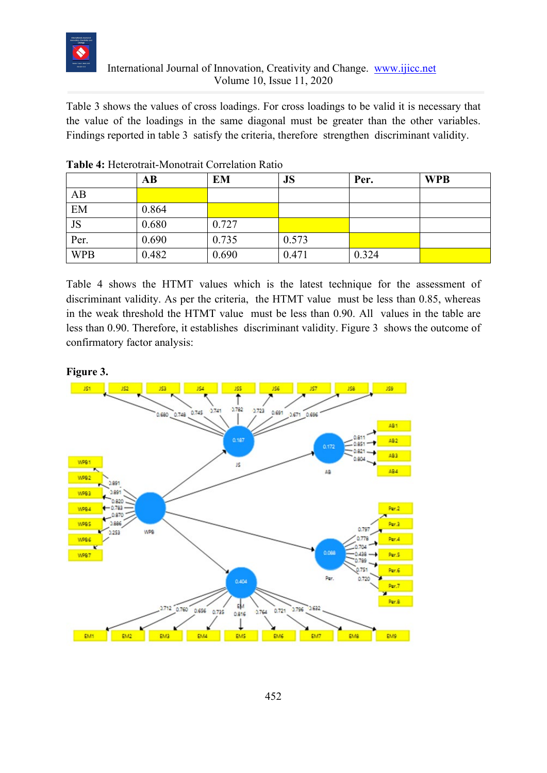

## International Journal of Innovation, Creativity and Change. [www.ijicc.net](http://www.ijicc.net/) Volume 10, Issue 11, 2020

Table 3 shows the values of cross loadings. For cross loadings to be valid it is necessary that the value of the loadings in the same diagonal must be greater than the other variables. Findings reported in table 3 satisfy the criteria, therefore strengthen discriminant validity.

|            | AВ    | EM    | JS    | Per.  | <b>WPB</b> |
|------------|-------|-------|-------|-------|------------|
| AB         |       |       |       |       |            |
| EM         | 0.864 |       |       |       |            |
| JS         | 0.680 | 0.727 |       |       |            |
| Per.       | 0.690 | 0.735 | 0.573 |       |            |
| <b>WPB</b> | 0.482 | 0.690 | 0.471 | 0.324 |            |

|  |  | Table 4: Heterotrait-Monotrait Correlation Ratio |  |  |
|--|--|--------------------------------------------------|--|--|
|--|--|--------------------------------------------------|--|--|

Table 4 shows the HTMT values which is the latest technique for the assessment of discriminant validity. As per the criteria, the HTMT value must be less than 0.85, whereas in the weak threshold the HTMT value must be less than 0.90. All values in the table are less than 0.90. Therefore, it establishes discriminant validity. Figure 3 shows the outcome of confirmatory factor analysis:

### **Figure 3.**

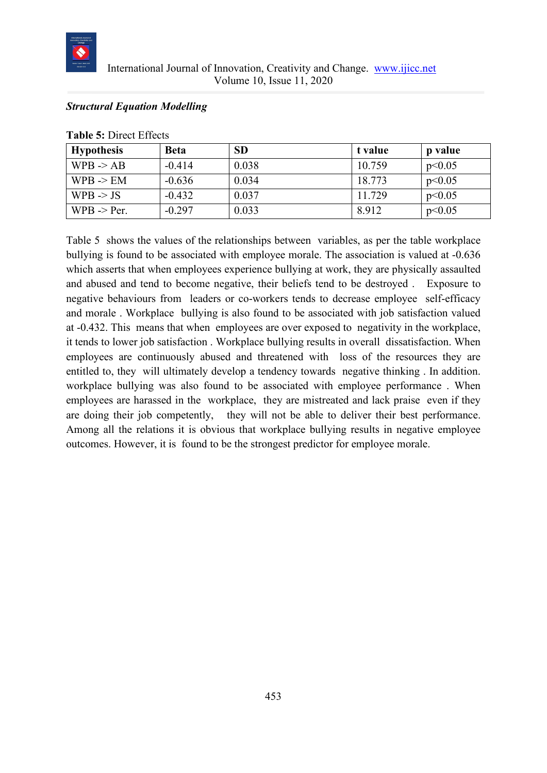

## International Journal of Innovation, Creativity and Change. [www.ijicc.net](http://www.ijicc.net/) Volume 10, Issue 11, 2020

### *Structural Equation Modelling*

| <b>Hypothesis</b>      | <b>Beta</b> | <b>SD</b> | t value | p value |
|------------------------|-------------|-----------|---------|---------|
| $WPB \rightarrow AB$   | $-0.414$    | 0.038     | 10.759  | p<0.05  |
| $WPB \rightarrow EM$   | $-0.636$    | 0.034     | 18.773  | p<0.05  |
| WPB $\rightarrow$ JS   | $-0.432$    | 0.037     | 11.729  | p<0.05  |
| $WPB \rightarrow Per.$ | $-0.297$    | 0.033     | 8.912   | p<0.05  |

**Table 5:** Direct Effects

Table 5 shows the values of the relationships between variables, as per the table workplace bullying is found to be associated with employee morale. The association is valued at -0.636 which asserts that when employees experience bullying at work, they are physically assaulted and abused and tend to become negative, their beliefs tend to be destroyed . Exposure to negative behaviours from leaders or co-workers tends to decrease employee self-efficacy and morale . Workplace bullying is also found to be associated with job satisfaction valued at -0.432. This means that when employees are over exposed to negativity in the workplace, it tends to lower job satisfaction . Workplace bullying results in overall dissatisfaction. When employees are continuously abused and threatened with loss of the resources they are entitled to, they will ultimately develop a tendency towards negative thinking . In addition. workplace bullying was also found to be associated with employee performance . When employees are harassed in the workplace, they are mistreated and lack praise even if they are doing their job competently, they will not be able to deliver their best performance. Among all the relations it is obvious that workplace bullying results in negative employee outcomes. However, it is found to be the strongest predictor for employee morale.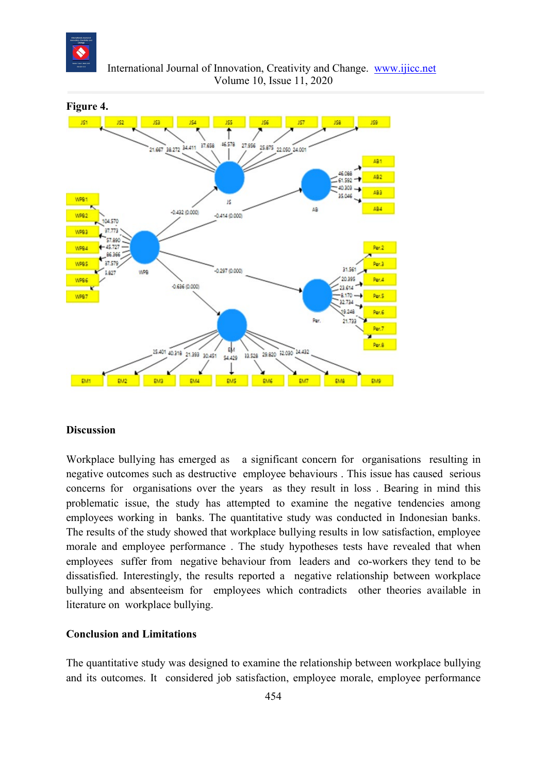

 International Journal of Innovation, Creativity and Change. [www.ijicc.net](http://www.ijicc.net/) Volume 10, Issue 11, 2020



#### **Discussion**

Workplace bullying has emerged as a significant concern for organisations resulting in negative outcomes such as destructive employee behaviours . This issue has caused serious concerns for organisations over the years as they result in loss . Bearing in mind this problematic issue, the study has attempted to examine the negative tendencies among employees working in banks. The quantitative study was conducted in Indonesian banks. The results of the study showed that workplace bullying results in low satisfaction, employee morale and employee performance . The study hypotheses tests have revealed that when employees suffer from negative behaviour from leaders and co-workers they tend to be dissatisfied. Interestingly, the results reported a negative relationship between workplace bullying and absenteeism for employees which contradicts other theories available in literature on workplace bullying.

#### **Conclusion and Limitations**

The quantitative study was designed to examine the relationship between workplace bullying and its outcomes. It considered job satisfaction, employee morale, employee performance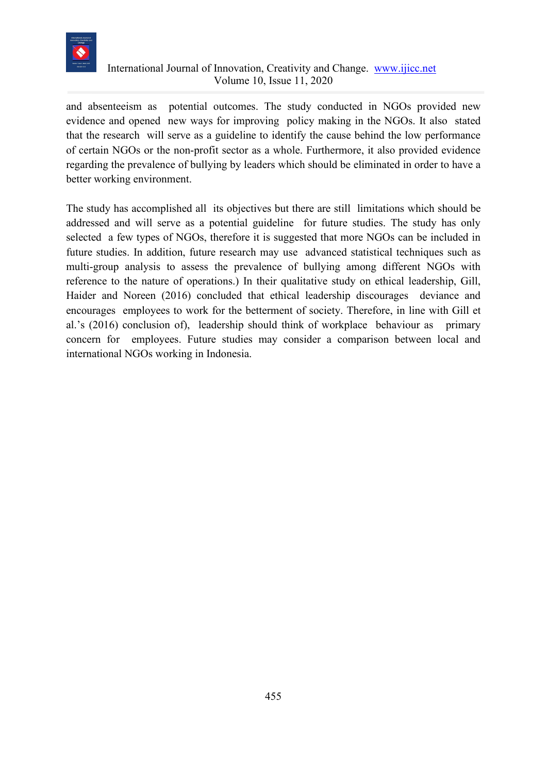

# International Journal of Innovation, Creativity and Change. [www.ijicc.net](http://www.ijicc.net/) Volume 10, Issue 11, 2020

and absenteeism as potential outcomes. The study conducted in NGOs provided new evidence and opened new ways for improving policy making in the NGOs. It also stated that the research will serve as a guideline to identify the cause behind the low performance of certain NGOs or the non-profit sector as a whole. Furthermore, it also provided evidence regarding the prevalence of bullying by leaders which should be eliminated in order to have a better working environment.

The study has accomplished all its objectives but there are still limitations which should be addressed and will serve as a potential guideline for future studies. The study has only selected a few types of NGOs, therefore it is suggested that more NGOs can be included in future studies. In addition, future research may use advanced statistical techniques such as multi-group analysis to assess the prevalence of bullying among different NGOs with reference to the nature of operations.) In their qualitative study on ethical leadership, Gill, Haider and Noreen (2016) concluded that ethical leadership discourages deviance and encourages employees to work for the betterment of society. Therefore, in line with Gill et al.'s (2016) conclusion of), leadership should think of workplace behaviour as primary concern for employees. Future studies may consider a comparison between local and international NGOs working in Indonesia.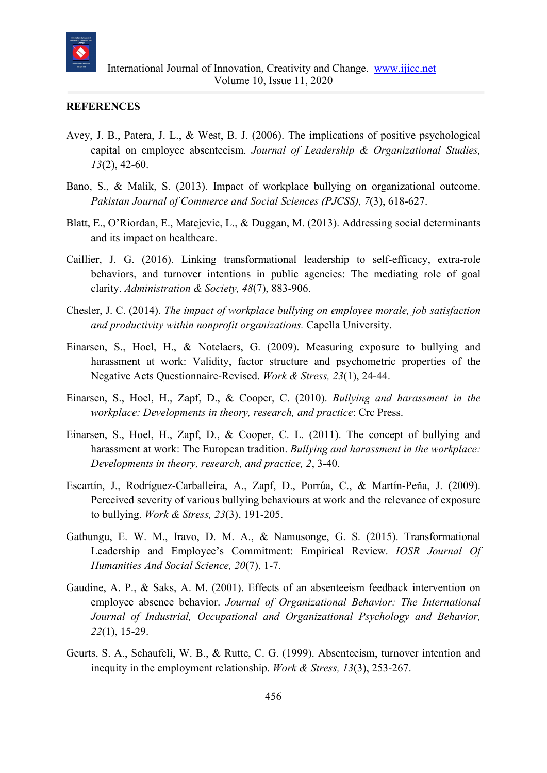

#### **REFERENCES**

- Avey, J. B., Patera, J. L., & West, B. J. (2006). The implications of positive psychological capital on employee absenteeism. *Journal of Leadership & Organizational Studies, 13*(2), 42-60.
- Bano, S., & Malik, S. (2013). Impact of workplace bullying on organizational outcome. *Pakistan Journal of Commerce and Social Sciences (PJCSS), 7*(3), 618-627.
- Blatt, E., O'Riordan, E., Matejevic, L., & Duggan, M. (2013). Addressing social determinants and its impact on healthcare.
- Caillier, J. G. (2016). Linking transformational leadership to self-efficacy, extra-role behaviors, and turnover intentions in public agencies: The mediating role of goal clarity. *Administration & Society, 48*(7), 883-906.
- Chesler, J. C. (2014). *The impact of workplace bullying on employee morale, job satisfaction and productivity within nonprofit organizations.* Capella University.
- Einarsen, S., Hoel, H., & Notelaers, G. (2009). Measuring exposure to bullying and harassment at work: Validity, factor structure and psychometric properties of the Negative Acts Questionnaire-Revised. *Work & Stress, 23*(1), 24-44.
- Einarsen, S., Hoel, H., Zapf, D., & Cooper, C. (2010). *Bullying and harassment in the workplace: Developments in theory, research, and practice*: Crc Press.
- Einarsen, S., Hoel, H., Zapf, D., & Cooper, C. L. (2011). The concept of bullying and harassment at work: The European tradition. *Bullying and harassment in the workplace: Developments in theory, research, and practice, 2*, 3-40.
- Escartín, J., Rodríguez-Carballeira, A., Zapf, D., Porrúa, C., & Martín-Peña, J. (2009). Perceived severity of various bullying behaviours at work and the relevance of exposure to bullying. *Work & Stress, 23*(3), 191-205.
- Gathungu, E. W. M., Iravo, D. M. A., & Namusonge, G. S. (2015). Transformational Leadership and Employee's Commitment: Empirical Review. *IOSR Journal Of Humanities And Social Science, 20*(7), 1-7.
- Gaudine, A. P., & Saks, A. M. (2001). Effects of an absenteeism feedback intervention on employee absence behavior. *Journal of Organizational Behavior: The International Journal of Industrial, Occupational and Organizational Psychology and Behavior, 22*(1), 15-29.
- Geurts, S. A., Schaufeli, W. B., & Rutte, C. G. (1999). Absenteeism, turnover intention and inequity in the employment relationship. *Work & Stress, 13*(3), 253-267.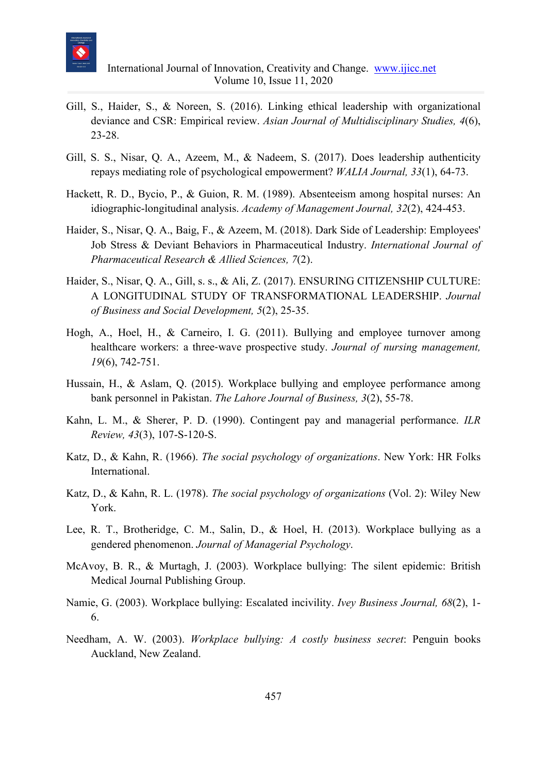

- Gill, S., Haider, S., & Noreen, S. (2016). Linking ethical leadership with organizational deviance and CSR: Empirical review. *Asian Journal of Multidisciplinary Studies, 4*(6), 23-28.
- Gill, S. S., Nisar, Q. A., Azeem, M., & Nadeem, S. (2017). Does leadership authenticity repays mediating role of psychological empowerment? *WALIA Journal, 33*(1), 64-73.
- Hackett, R. D., Bycio, P., & Guion, R. M. (1989). Absenteeism among hospital nurses: An idiographic-longitudinal analysis. *Academy of Management Journal, 32*(2), 424-453.
- Haider, S., Nisar, Q. A., Baig, F., & Azeem, M. (2018). Dark Side of Leadership: Employees' Job Stress & Deviant Behaviors in Pharmaceutical Industry. *International Journal of Pharmaceutical Research & Allied Sciences, 7*(2).
- Haider, S., Nisar, Q. A., Gill, s. s., & Ali, Z. (2017). ENSURING CITIZENSHIP CULTURE: A LONGITUDINAL STUDY OF TRANSFORMATIONAL LEADERSHIP. *Journal of Business and Social Development, 5*(2), 25-35.
- Hogh, A., Hoel, H., & Carneiro, I. G. (2011). Bullying and employee turnover among healthcare workers: a three‐wave prospective study. *Journal of nursing management, 19*(6), 742-751.
- Hussain, H., & Aslam, Q. (2015). Workplace bullying and employee performance among bank personnel in Pakistan. *The Lahore Journal of Business, 3*(2), 55-78.
- Kahn, L. M., & Sherer, P. D. (1990). Contingent pay and managerial performance. *ILR Review, 43*(3), 107-S-120-S.
- Katz, D., & Kahn, R. (1966). *The social psychology of organizations*. New York: HR Folks International.
- Katz, D., & Kahn, R. L. (1978). *The social psychology of organizations* (Vol. 2): Wiley New York.
- Lee, R. T., Brotheridge, C. M., Salin, D., & Hoel, H. (2013). Workplace bullying as a gendered phenomenon. *Journal of Managerial Psychology*.
- McAvoy, B. R., & Murtagh, J. (2003). Workplace bullying: The silent epidemic: British Medical Journal Publishing Group.
- Namie, G. (2003). Workplace bullying: Escalated incivility. *Ivey Business Journal, 68*(2), 1- 6.
- Needham, A. W. (2003). *Workplace bullying: A costly business secret*: Penguin books Auckland, New Zealand.